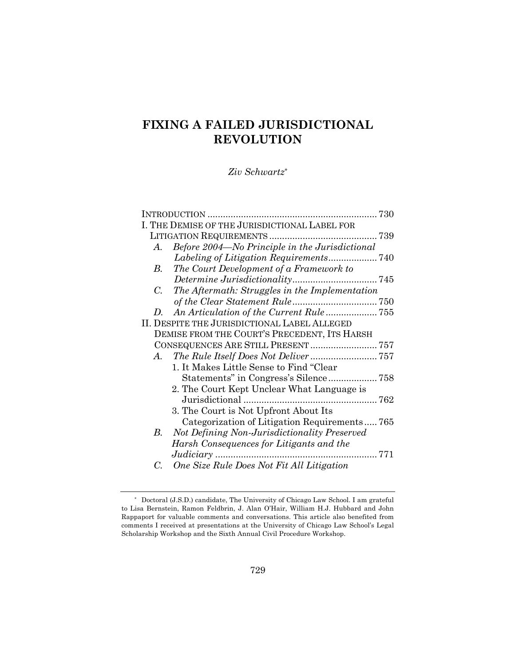# **FIXING A FAILED JURISDICTIONAL REVOLUTION**

*Ziv Schwartz\**

|             | I. THE DEMISE OF THE JURISDICTIONAL LABEL FOR  |  |  |  |
|-------------|------------------------------------------------|--|--|--|
|             |                                                |  |  |  |
| $A_{\cdot}$ | Before 2004—No Principle in the Jurisdictional |  |  |  |
|             |                                                |  |  |  |
| В.          | The Court Development of a Framework to        |  |  |  |
|             |                                                |  |  |  |
| $C_{\cdot}$ | The Aftermath: Struggles in the Implementation |  |  |  |
|             |                                                |  |  |  |
| D.          | An Articulation of the Current Rule755         |  |  |  |
|             | II. DESPITE THE JURISDICTIONAL LABEL ALLEGED   |  |  |  |
|             | DEMISE FROM THE COURT'S PRECEDENT, ITS HARSH   |  |  |  |
|             |                                                |  |  |  |
| $A_{\cdot}$ |                                                |  |  |  |
|             | 1. It Makes Little Sense to Find "Clear"       |  |  |  |
|             |                                                |  |  |  |
|             | 2. The Court Kept Unclear What Language is     |  |  |  |
|             |                                                |  |  |  |
|             | 3. The Court is Not Upfront About Its          |  |  |  |
|             | Categorization of Litigation Requirements765   |  |  |  |
| В.          | Not Defining Non-Jurisdictionality Preserved   |  |  |  |
|             | Harsh Consequences for Litigants and the       |  |  |  |
|             |                                                |  |  |  |
| C.          | One Size Rule Does Not Fit All Litigation      |  |  |  |

<sup>\*</sup> Doctoral (J.S.D.) candidate, The University of Chicago Law School. I am grateful to Lisa Bernstein, Ramon Feldbrin, J. Alan O'Hair, William H.J. Hubbard and John Rappaport for valuable comments and conversations. This article also benefited from comments I received at presentations at the University of Chicago Law School's Legal Scholarship Workshop and the Sixth Annual Civil Procedure Workshop.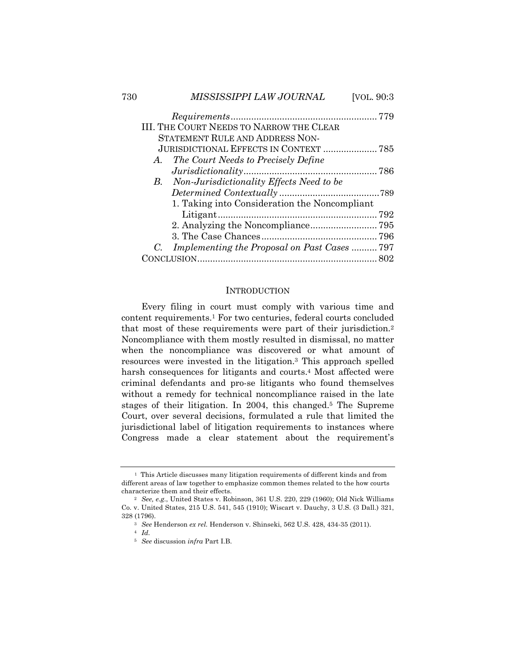| 730 |    | MISSISSIPPI LAW JOURNAL                         | [VOL. 90:3 |
|-----|----|-------------------------------------------------|------------|
|     |    |                                                 |            |
|     |    | <b>III. THE COURT NEEDS TO NARROW THE CLEAR</b> |            |
|     |    | STATEMENT RULE AND ADDRESS NON-                 |            |
|     |    | <b>JURISDICTIONAL EFFECTS IN CONTEXT  785</b>   |            |
|     | A. | The Court Needs to Precisely Define             |            |
|     |    |                                                 |            |
|     |    | B. Non-Jurisdictionality Effects Need to be     |            |
|     |    |                                                 |            |
|     |    | 1. Taking into Consideration the Noncompliant   |            |
|     |    |                                                 |            |
|     |    |                                                 |            |
|     |    |                                                 |            |
|     | C. | Implementing the Proposal on Past Cases 797     |            |
|     |    |                                                 |            |

#### **INTRODUCTION**

Every filing in court must comply with various time and content requirements.1 For two centuries, federal courts concluded that most of these requirements were part of their jurisdiction.2 Noncompliance with them mostly resulted in dismissal, no matter when the noncompliance was discovered or what amount of resources were invested in the litigation.3 This approach spelled harsh consequences for litigants and courts.<sup>4</sup> Most affected were criminal defendants and pro-se litigants who found themselves without a remedy for technical noncompliance raised in the late stages of their litigation. In 2004, this changed.5 The Supreme Court, over several decisions, formulated a rule that limited the jurisdictional label of litigation requirements to instances where Congress made a clear statement about the requirement's

<sup>&</sup>lt;sup>1</sup> This Article discusses many litigation requirements of different kinds and from different areas of law together to emphasize common themes related to the how courts characterize them and their effects.

<sup>2</sup> *See, e.g.*, United States v. Robinson, 361 U.S. 220, 229 (1960); Old Nick Williams Co. v. United States, 215 U.S. 541, 545 (1910); Wiscart v. Dauchy, 3 U.S. (3 Dall.) 321, 328 (1796).

<sup>3</sup> *See* Henderson *ex rel.* Henderson v. Shinseki, 562 U.S. 428, 434-35 (2011).

<sup>4</sup> *Id.*

<sup>5</sup> *See* discussion *infra* Part I.B.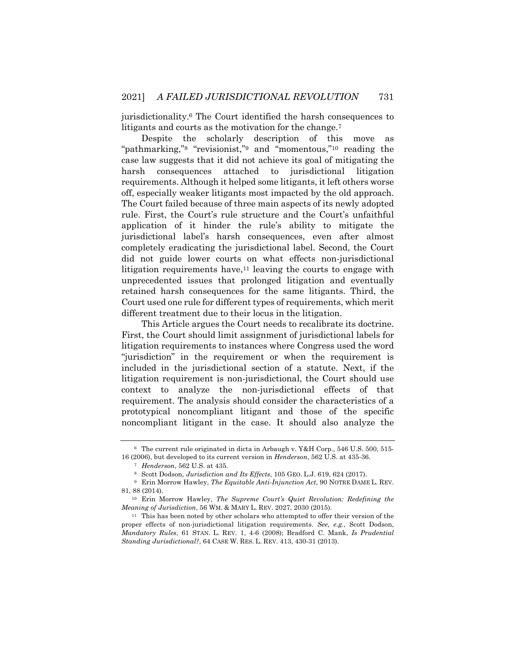jurisdictionality.6 The Court identified the harsh consequences to litigants and courts as the motivation for the change.7

Despite the scholarly description of this move as "pathmarking,"<sup>8</sup> "revisionist,"<sup>9</sup> and "momentous,"<sup>10</sup> reading the case law suggests that it did not achieve its goal of mitigating the harsh consequences attached to jurisdictional litigation requirements. Although it helped some litigants, it left others worse off, especially weaker litigants most impacted by the old approach. The Court failed because of three main aspects of its newly adopted rule. First, the Court's rule structure and the Court's unfaithful application of it hinder the rule's ability to mitigate the jurisdictional label's harsh consequences, even after almost completely eradicating the jurisdictional label. Second, the Court did not guide lower courts on what effects non-jurisdictional litigation requirements have, $11$  leaving the courts to engage with unprecedented issues that prolonged litigation and eventually retained harsh consequences for the same litigants. Third, the Court used one rule for different types of requirements, which merit different treatment due to their locus in the litigation.

This Article argues the Court needs to recalibrate its doctrine. First, the Court should limit assignment of jurisdictional labels for litigation requirements to instances where Congress used the word "jurisdiction" in the requirement or when the requirement is included in the jurisdictional section of a statute. Next, if the litigation requirement is non-jurisdictional, the Court should use context to analyze the non-jurisdictional effects of that requirement. The analysis should consider the characteristics of a prototypical noncompliant litigant and those of the specific noncompliant litigant in the case. It should also analyze the

<sup>6</sup> The current rule originated in dicta in Arbaugh v. Y&H Corp., 546 U.S. 500, 515- 16 (2006), but developed to its current version in *Henderson*, 562 U.S. at 435-36.

<sup>7</sup> *Henderson*, 562 U.S. at 435.

<sup>8</sup> Scott Dodson, *Jurisdiction and Its Effects*, 105 GEO. L.J. 619, 624 (2017).

<sup>9</sup> Erin Morrow Hawley, *The Equitable Anti-Injunction Act*, 90 NOTRE DAME L. REV. 81, 88 (2014).

<sup>10</sup> Erin Morrow Hawley, *The Supreme Court's Quiet Revolution: Redefining the Meaning of Jurisdiction*, 56 WM. & MARY L. REV. 2027, 2030 (2015).

<sup>&</sup>lt;sup>11</sup> This has been noted by other scholars who attempted to offer their version of the proper effects of non-jurisdictional litigation requirements. *See, e.g.*, Scott Dodson, *Mandatory Rules*, 61 STAN. L. REV. 1, 4-6 (2008); Bradford C. Mank, *Is Prudential Standing Jurisdictional?*, 64 CASE W. RES. L. REV. 413, 430-31 (2013).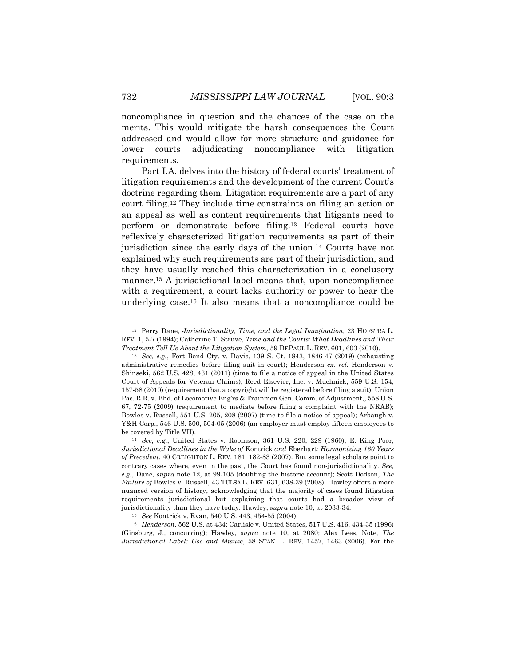noncompliance in question and the chances of the case on the merits. This would mitigate the harsh consequences the Court addressed and would allow for more structure and guidance for lower courts adjudicating noncompliance with litigation requirements.

Part I.A. delves into the history of federal courts' treatment of litigation requirements and the development of the current Court's doctrine regarding them. Litigation requirements are a part of any court filing.12 They include time constraints on filing an action or an appeal as well as content requirements that litigants need to perform or demonstrate before filing.13 Federal courts have reflexively characterized litigation requirements as part of their jurisdiction since the early days of the union.14 Courts have not explained why such requirements are part of their jurisdiction, and they have usually reached this characterization in a conclusory manner.<sup>15</sup> A jurisdictional label means that, upon noncompliance with a requirement, a court lacks authority or power to hear the underlying case.16 It also means that a noncompliance could be

<sup>16</sup> *Henderson*, 562 U.S. at 434; Carlisle v. United States, 517 U.S. 416, 434-35 (1996) (Ginsburg, J., concurring); Hawley, *supra* note 10, at 2080; Alex Lees, Note, *The Jurisdictional Label: Use and Misuse*, 58 STAN. L. REV. 1457, 1463 (2006). For the

<sup>12</sup> Perry Dane, *Jurisdictionality, Time, and the Legal Imagination*, 23 HOFSTRA L. REV. 1, 5-7 (1994); Catherine T. Struve, *Time and the Courts: What Deadlines and Their Treatment Tell Us About the Litigation System*, 59 DEPAUL L. REV. 601, 603 (2010).

<sup>13</sup> *See, e.g.*, Fort Bend Cty. v. Davis, 139 S. Ct. 1843, 1846-47 (2019) (exhausting administrative remedies before filing suit in court); Henderson *ex. rel.* Henderson v. Shinseki, 562 U.S. 428, 431 (2011) (time to file a notice of appeal in the United States Court of Appeals for Veteran Claims); Reed Elsevier, Inc. v. Muchnick, 559 U.S. 154, 157-58 (2010) (requirement that a copyright will be registered before filing a suit); Union Pac. R.R. v. Bhd. of Locomotive Eng'rs & Trainmen Gen. Comm. of Adjustment,, 558 U.S. 67, 72-75 (2009) (requirement to mediate before filing a complaint with the NRAB); Bowles v. Russell, 551 U.S. 205, 208 (2007) (time to file a notice of appeal); Arbaugh v. Y&H Corp., 546 U.S. 500, 504-05 (2006) (an employer must employ fifteen employees to be covered by Title VII).

<sup>14</sup> *See, e.g.*, United States v. Robinson, 361 U.S. 220, 229 (1960); E. King Poor, *Jurisdictional Deadlines in the Wake of* Kontrick *and* Eberhart*: Harmonizing 160 Years of Precedent*, 40 CREIGHTON L. REV. 181, 182-83 (2007). But some legal scholars point to contrary cases where, even in the past, the Court has found non-jurisdictionality. *See, e.g.*, Dane, *supra* note 12, at 99-105 (doubting the historic account); Scott Dodson, *The Failure of Bowles v. Russell, 43 TULSA L. REV. 631, 638-39 (2008). Hawley offers a more* nuanced version of history, acknowledging that the majority of cases found litigation requirements jurisdictional but explaining that courts had a broader view of jurisdictionality than they have today. Hawley, *supra* note 10, at 2033-34.

<sup>15</sup> *See* Kontrick v. Ryan, 540 U.S. 443, 454-55 (2004).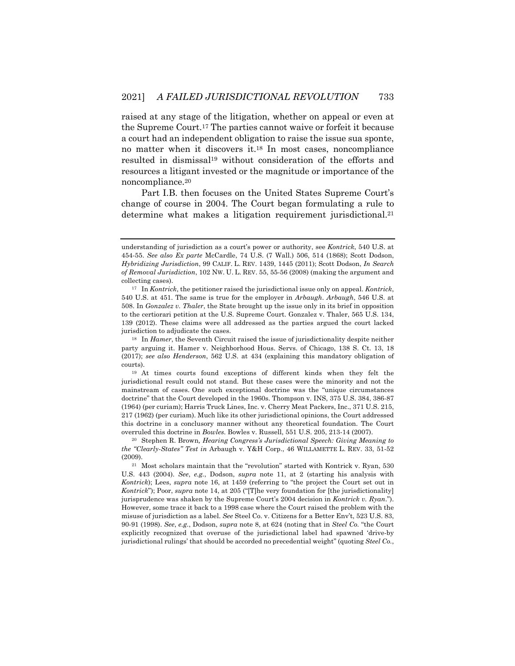raised at any stage of the litigation, whether on appeal or even at the Supreme Court.17 The parties cannot waive or forfeit it because a court had an independent obligation to raise the issue sua sponte, no matter when it discovers it.18 In most cases, noncompliance resulted in dismissal19 without consideration of the efforts and resources a litigant invested or the magnitude or importance of the noncompliance.20

Part I.B. then focuses on the United States Supreme Court's change of course in 2004. The Court began formulating a rule to determine what makes a litigation requirement jurisdictional.<sup>21</sup>

understanding of jurisdiction as a court's power or authority, see *Kontrick*, 540 U.S. at 454-55. *See also Ex parte* McCardle, 74 U.S. (7 Wall.) 506, 514 (1868); Scott Dodson, *Hybridizing Jurisdiction*, 99 CALIF. L. REV. 1439, 1445 (2011); Scott Dodson, *In Search of Removal Jurisdiction*, 102 NW. U. L. REV. 55, 55-56 (2008) (making the argument and collecting cases).

<sup>17</sup> In *Kontrick*, the petitioner raised the jurisdictional issue only on appeal. *Kontrick*, 540 U.S. at 451. The same is true for the employer in *Arbaugh*. *Arbaugh*, 546 U.S. at 508. In *Gonzalez v. Thaler*, the State brought up the issue only in its brief in opposition to the certiorari petition at the U.S. Supreme Court. Gonzalez v. Thaler, 565 U.S. 134, 139 (2012). These claims were all addressed as the parties argued the court lacked jurisdiction to adjudicate the cases.

<sup>18</sup> In *Hamer*, the Seventh Circuit raised the issue of jurisdictionality despite neither party arguing it. Hamer v. Neighborhood Hous. Servs. of Chicago, 138 S. Ct. 13, 18 (2017); *see also Henderson*, 562 U.S. at 434 (explaining this mandatory obligation of courts).

<sup>19</sup> At times courts found exceptions of different kinds when they felt the jurisdictional result could not stand. But these cases were the minority and not the mainstream of cases. One such exceptional doctrine was the "unique circumstances doctrine" that the Court developed in the 1960s. Thompson v. INS, 375 U.S. 384, 386-87 (1964) (per curiam); Harris Truck Lines, Inc. v. Cherry Meat Packers, Inc., 371 U.S. 215, 217 (1962) (per curiam). Much like its other jurisdictional opinions, the Court addressed this doctrine in a conclusory manner without any theoretical foundation. The Court overruled this doctrine in *Bowles*. Bowles v. Russell, 551 U.S. 205, 213-14 (2007).

<sup>20</sup> Stephen R. Brown*, Hearing Congress's Jurisdictional Speech: Giving Meaning to the "Clearly-States" Test in* Arbaugh v. Y&H Corp., 46 WILLAMETTE L. REV. 33, 51-52 (2009).

<sup>21</sup> Most scholars maintain that the "revolution" started with Kontrick v. Ryan, 530 U.S. 443 (2004). *See*, *e.g.*, Dodson, *supra* note 11, at 2 (starting his analysis with *Kontrick*); Lees, *supra* note 16, at 1459 (referring to "the project the Court set out in *Kontrick*"); Poor, *supra* note 14, at 205 ("[T]he very foundation for [the jurisdictionality] jurisprudence was shaken by the Supreme Court's 2004 decision in *Kontrick v. Ryan*."). However, some trace it back to a 1998 case where the Court raised the problem with the misuse of jurisdiction as a label. *See* Steel Co. v. Citizens for a Better Env't, 523 U.S. 83, 90-91 (1998). *See*, *e.g.*, Dodson, *supra* note 8, at 624 (noting that in *Steel Co.* "the Court explicitly recognized that overuse of the jurisdictional label had spawned 'drive-by jurisdictional rulings' that should be accorded no precedential weight" (quoting *Steel Co.*,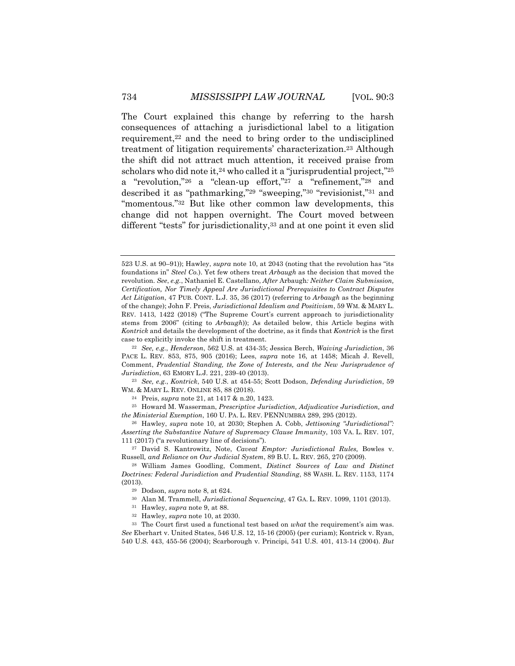The Court explained this change by referring to the harsh consequences of attaching a jurisdictional label to a litigation requirement,<sup>22</sup> and the need to bring order to the undisciplined treatment of litigation requirements' characterization.23 Although the shift did not attract much attention, it received praise from scholars who did note it,<sup>24</sup> who called it a "jurisprudential project,"<sup>25</sup> a "revolution,"26 a "clean-up effort,"27 a "refinement,"28 and described it as "pathmarking,"29 "sweeping,"30 "revisionist,"31 and "momentous."<sup>32</sup> But like other common law developments, this change did not happen overnight. The Court moved between

different "tests" for jurisdictionality,33 and at one point it even slid

<sup>23</sup> *See, e.g.*, *Kontrick*, 540 U.S. at 454-55; Scott Dodson, *Defending Jurisdiction*, 59 WM. & MARY L. REV. ONLINE 85, 88 (2018).

<sup>24</sup> Preis, *supra* note 21, at 1417 & n.20, 1423.

<sup>25</sup> Howard M. Wasserman, *Prescriptive Jurisdiction, Adjudicative Jurisdiction, and the Ministerial Exemption*, 160 U. PA. L. REV. PENNUMBRA 289, 295 (2012).

<sup>26</sup> Hawley, *supra* note 10, at 2030; Stephen A. Cobb, *Jettisoning "Jurisdictional": Asserting the Substantive Nature of Supremacy Clause Immunity*, 103 VA. L. REV. 107, 111 (2017) ("a revolutionary line of decisions").

<sup>27</sup> David S. Kantrowitz, Note, *Caveat Emptor: Jurisdictional Rules,* Bowles v. Russell*, and Reliance on Our Judicial System*, 89 B.U. L. REV. 265, 270 (2009).

<sup>28</sup> William James Goodling, Comment, *Distinct Sources of Law and Distinct Doctrines: Federal Jurisdiction and Prudential Standing*, 88 WASH. L. REV. 1153, 1174 (2013).

<sup>31</sup> Hawley, *supra* note 9, at 88.

<sup>33</sup> The Court first used a functional test based on *what* the requirement's aim was. *See* Eberhart v. United States, 546 U.S. 12, 15-16 (2005) (per curiam); Kontrick v. Ryan, 540 U.S. 443, 455-56 (2004); Scarborough v. Principi, 541 U.S. 401, 413-14 (2004). *But* 

<sup>523</sup> U.S. at 90–91)); Hawley, *supra* note 10, at 2043 (noting that the revolution has "its foundations in" *Steel Co.*). Yet few others treat *Arbaugh* as the decision that moved the revolution. *See*, *e.g.*, Nathaniel E. Castellano, *After* Arbaugh*: Neither Claim Submission, Certification, Nor Timely Appeal Are Jurisdictional Prerequisites to Contract Disputes Act Litigation*, 47 PUB. CONT. L.J. 35, 36 (2017) (referring to *Arbaugh* as the beginning of the change); John F. Preis, *Jurisdictional Idealism and Positivism*, 59 WM. & MARY L. REV. 1413, 1422 (2018) ("The Supreme Court's current approach to jurisdictionality stems from 2006" (citing to *Arbaugh*)); As detailed below, this Article begins with *Kontrick* and details the development of the doctrine, as it finds that *Kontrick* is the first case to explicitly invoke the shift in treatment.

<sup>22</sup> *See, e.g.*, *Henderson*, 562 U.S. at 434-35; Jessica Berch, *Waiving Jurisdiction*, 36 PACE L. REV. 853, 875, 905 (2016); Lees, *supra* note 16, at 1458; Micah J. Revell, Comment, *Prudential Standing, the Zone of Interests, and the New Jurisprudence of Jurisdiction*, 63 EMORY L.J. 221, 239-40 (2013).

<sup>29</sup> Dodson, *supra* note 8, at 624.

<sup>30</sup> Alan M. Trammell, *Jurisdictional Sequencing*, 47 GA. L. REV. 1099, 1101 (2013).

<sup>32</sup> Hawley, *supra* note 10, at 2030.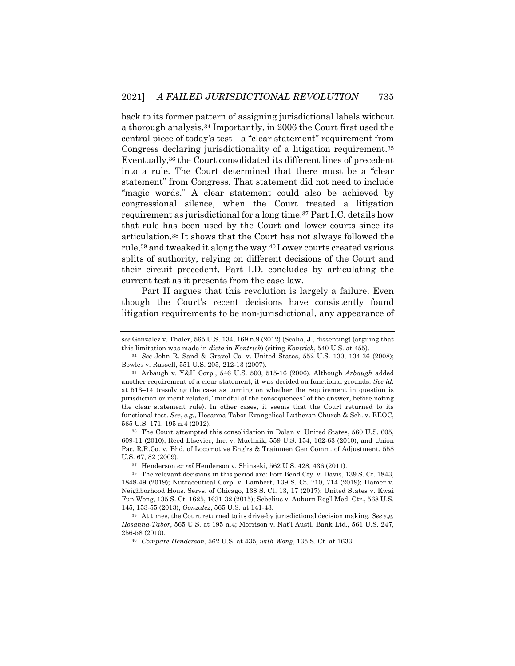back to its former pattern of assigning jurisdictional labels without a thorough analysis.34 Importantly, in 2006 the Court first used the central piece of today's test—a "clear statement" requirement from Congress declaring jurisdictionality of a litigation requirement.35 Eventually,36 the Court consolidated its different lines of precedent into a rule. The Court determined that there must be a "clear statement" from Congress. That statement did not need to include "magic words." A clear statement could also be achieved by congressional silence, when the Court treated a litigation requirement as jurisdictional for a long time.37 Part I.C. details how that rule has been used by the Court and lower courts since its articulation.38 It shows that the Court has not always followed the rule,39 and tweaked it along the way.40Lower courts created various splits of authority, relying on different decisions of the Court and their circuit precedent. Part I.D. concludes by articulating the current test as it presents from the case law.

Part II argues that this revolution is largely a failure. Even though the Court's recent decisions have consistently found litigation requirements to be non-jurisdictional, any appearance of

<sup>36</sup> The Court attempted this consolidation in Dolan v. United States, 560 U.S. 605, 609-11 (2010); Reed Elsevier, Inc. v. Muchnik, 559 U.S. 154, 162-63 (2010); and Union Pac. R.R.Co. v. Bhd. of Locomotive Eng'rs & Trainmen Gen Comm. of Adjustment, 558 U.S. 67, 82 (2009).

<sup>37</sup> Henderson *ex rel* Henderson v. Shinseki, 562 U.S. 428, 436 (2011).

<sup>40</sup> *Compare Henderson*, 562 U.S. at 435, *with Wong*, 135 S. Ct. at 1633.

*see* Gonzalez v. Thaler, 565 U.S. 134, 169 n.9 (2012) (Scalia, J., dissenting) (arguing that this limitation was made in *dicta* in *Kontrick*) (citing *Kontrick*, 540 U.S. at 455).

<sup>34</sup> *See* John R. Sand & Gravel Co. v. United States, 552 U.S. 130, 134-36 (2008); Bowles v. Russell, 551 U.S. 205, 212-13 (2007).

<sup>35</sup> Arbaugh v. Y&H Corp*.*, 546 U.S. 500, 515-16 (2006). Although *Arbaugh* added another requirement of a clear statement, it was decided on functional grounds. *See id.* at 513–14 (resolving the case as turning on whether the requirement in question is jurisdiction or merit related, "mindful of the consequences" of the answer, before noting the clear statement rule). In other cases, it seems that the Court returned to its functional test. *See*, *e.g.*, Hosanna-Tabor Evangelical Lutheran Church & Sch. v. EEOC, 565 U.S. 171, 195 n.4 (2012).

<sup>38</sup> The relevant decisions in this period are: Fort Bend Cty. v. Davis, 139 S. Ct. 1843, 1848-49 (2019); Nutraceutical Corp. v. Lambert, 139 S. Ct. 710, 714 (2019); Hamer v. Neighborhood Hous. Servs. of Chicago, 138 S. Ct. 13, 17 (2017); United States v. Kwai Fun Wong, 135 S. Ct. 1625, 1631-32 (2015); Sebelius v. Auburn Reg'l Med. Ctr., 568 U.S. 145, 153-55 (2013); *Gonzalez*, 565 U.S. at 141-43.

<sup>39</sup> At times, the Court returned to its drive-by jurisdictional decision making. *See e.g. Hosanna-Tabor*, 565 U.S. at 195 n.4; Morrison v. Nat'l Austl. Bank Ltd., 561 U.S. 247, 256-58 (2010).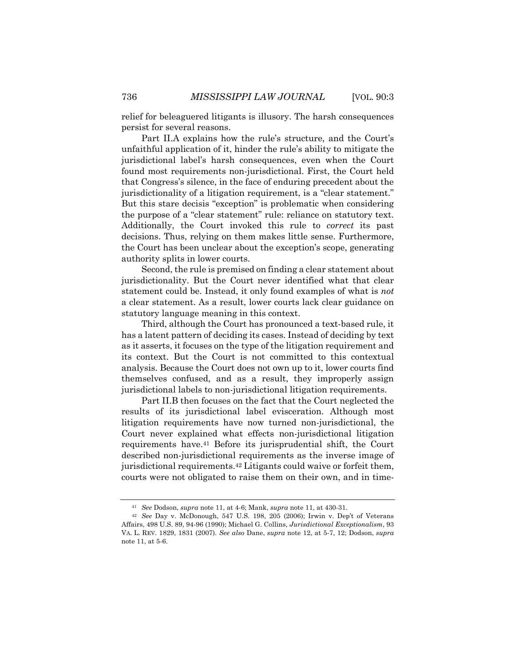relief for beleaguered litigants is illusory. The harsh consequences persist for several reasons.

Part II.A explains how the rule's structure, and the Court's unfaithful application of it, hinder the rule's ability to mitigate the jurisdictional label's harsh consequences, even when the Court found most requirements non-jurisdictional. First, the Court held that Congress's silence, in the face of enduring precedent about the jurisdictionality of a litigation requirement, is a "clear statement." But this stare decisis "exception" is problematic when considering the purpose of a "clear statement" rule: reliance on statutory text. Additionally, the Court invoked this rule to *correct* its past decisions. Thus, relying on them makes little sense. Furthermore, the Court has been unclear about the exception's scope, generating authority splits in lower courts.

Second, the rule is premised on finding a clear statement about jurisdictionality. But the Court never identified what that clear statement could be. Instead, it only found examples of what is *not* a clear statement. As a result, lower courts lack clear guidance on statutory language meaning in this context.

Third, although the Court has pronounced a text-based rule, it has a latent pattern of deciding its cases. Instead of deciding by text as it asserts, it focuses on the type of the litigation requirement and its context. But the Court is not committed to this contextual analysis. Because the Court does not own up to it, lower courts find themselves confused, and as a result, they improperly assign jurisdictional labels to non-jurisdictional litigation requirements.

Part II.B then focuses on the fact that the Court neglected the results of its jurisdictional label evisceration. Although most litigation requirements have now turned non-jurisdictional, the Court never explained what effects non-jurisdictional litigation requirements have.41 Before its jurisprudential shift, the Court described non-jurisdictional requirements as the inverse image of jurisdictional requirements.42 Litigants could waive or forfeit them, courts were not obligated to raise them on their own, and in time-

<sup>41</sup> *See* Dodson, *supra* note 11, at 4-6; Mank, *supra* note 11, at 430-31.

<sup>42</sup> *See* Day v. McDonough, 547 U.S. 198, 205 (2006); Irwin v. Dep't of Veterans Affairs, 498 U.S. 89, 94-96 (1990); Michael G. Collins, *Jurisdictional Exceptionalism*, 93 VA. L. REV. 1829, 1831 (2007). *See also* Dane, *supra* note 12, at 5-7, 12; Dodson, *supra* note 11, at 5-6.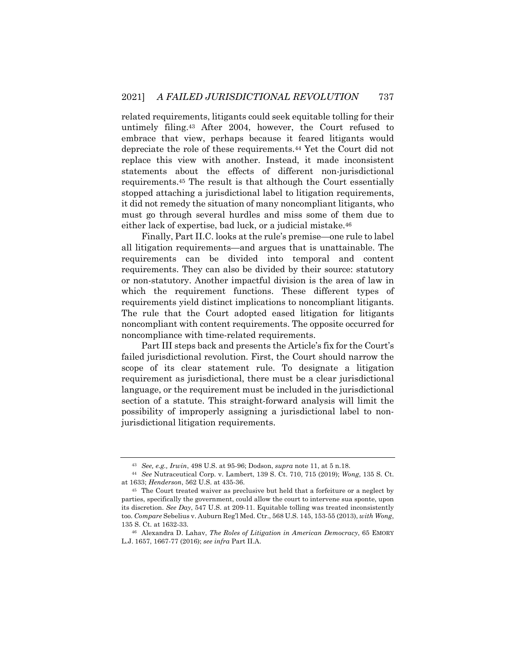related requirements, litigants could seek equitable tolling for their untimely filing.43 After 2004, however, the Court refused to embrace that view, perhaps because it feared litigants would depreciate the role of these requirements.44 Yet the Court did not replace this view with another. Instead, it made inconsistent statements about the effects of different non-jurisdictional requirements.45 The result is that although the Court essentially stopped attaching a jurisdictional label to litigation requirements, it did not remedy the situation of many noncompliant litigants, who must go through several hurdles and miss some of them due to either lack of expertise, bad luck, or a judicial mistake.46

Finally, Part II.C. looks at the rule's premise—one rule to label all litigation requirements—and argues that is unattainable. The requirements can be divided into temporal and content requirements. They can also be divided by their source: statutory or non-statutory. Another impactful division is the area of law in which the requirement functions. These different types of requirements yield distinct implications to noncompliant litigants. The rule that the Court adopted eased litigation for litigants noncompliant with content requirements. The opposite occurred for noncompliance with time-related requirements.

Part III steps back and presents the Article's fix for the Court's failed jurisdictional revolution. First, the Court should narrow the scope of its clear statement rule. To designate a litigation requirement as jurisdictional, there must be a clear jurisdictional language, or the requirement must be included in the jurisdictional section of a statute. This straight-forward analysis will limit the possibility of improperly assigning a jurisdictional label to nonjurisdictional litigation requirements.

<sup>43</sup> *See, e.g., Irwin*, 498 U.S. at 95-96; Dodson, *supra* note 11, at 5 n.18.

<sup>44</sup> *See* Nutraceutical Corp. v. Lambert, 139 S. Ct. 710, 715 (2019); *Wong*, 135 S. Ct. at 1633; *Henderson*, 562 U.S. at 435-36.

<sup>45</sup> The Court treated waiver as preclusive but held that a forfeiture or a neglect by parties, specifically the government, could allow the court to intervene sua sponte, upon its discretion. *See Day*, 547 U.S. at 209-11. Equitable tolling was treated inconsistently too. *Compare* Sebelius v. Auburn Reg'l Med. Ctr., 568 U.S. 145, 153-55 (2013), *with Wong*, 135 S. Ct. at 1632-33.

<sup>46</sup> Alexandra D. Lahav, *The Roles of Litigation in American Democracy*, 65 EMORY L.J. 1657, 1667-77 (2016); *see infra* Part II.A.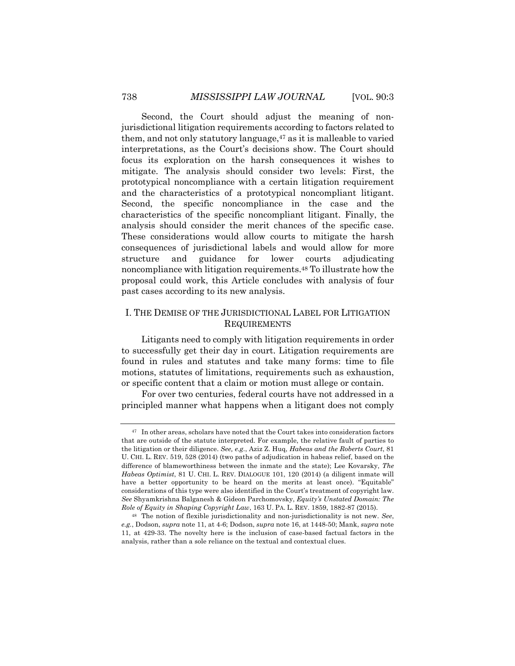Second, the Court should adjust the meaning of nonjurisdictional litigation requirements according to factors related to them, and not only statutory language, $47$  as it is malleable to varied interpretations, as the Court's decisions show. The Court should focus its exploration on the harsh consequences it wishes to mitigate. The analysis should consider two levels: First, the prototypical noncompliance with a certain litigation requirement and the characteristics of a prototypical noncompliant litigant. Second, the specific noncompliance in the case and the characteristics of the specific noncompliant litigant. Finally, the analysis should consider the merit chances of the specific case. These considerations would allow courts to mitigate the harsh consequences of jurisdictional labels and would allow for more structure and guidance for lower courts adjudicating noncompliance with litigation requirements.48 To illustrate how the proposal could work, this Article concludes with analysis of four past cases according to its new analysis.

## I. THE DEMISE OF THE JURISDICTIONAL LABEL FOR LITIGATION REQUIREMENTS

Litigants need to comply with litigation requirements in order to successfully get their day in court. Litigation requirements are found in rules and statutes and take many forms: time to file motions, statutes of limitations, requirements such as exhaustion, or specific content that a claim or motion must allege or contain.

For over two centuries, federal courts have not addressed in a principled manner what happens when a litigant does not comply

<sup>&</sup>lt;sup>47</sup> In other areas, scholars have noted that the Court takes into consideration factors that are outside of the statute interpreted. For example, the relative fault of parties to the litigation or their diligence. *See, e.g.*, Aziz Z. Huq, *Habeas and the Roberts Court*, 81 U. CHI. L. REV. 519, 528 (2014) (two paths of adjudication in habeas relief, based on the difference of blameworthiness between the inmate and the state); Lee Kovarsky, *The Habeas Optimist*, 81 U. CHI. L. REV. DIALOGUE 101, 120 (2014) (a diligent inmate will have a better opportunity to be heard on the merits at least once). "Equitable" considerations of this type were also identified in the Court's treatment of copyright law. *See* Shyamkrishna Balganesh & Gideon Parchomovsky, *Equity's Unstated Domain: The Role of Equity in Shaping Copyright Law*, 163 U. PA. L. REV. 1859, 1882-87 (2015).

<sup>48</sup> The notion of flexible jurisdictionality and non-jurisdictionality is not new. *See*, *e.g.*, Dodson, *supra* note 11, at 4-6; Dodson, *supra* note 16, at 1448-50; Mank, *supra* note 11, at 429-33. The novelty here is the inclusion of case-based factual factors in the analysis, rather than a sole reliance on the textual and contextual clues.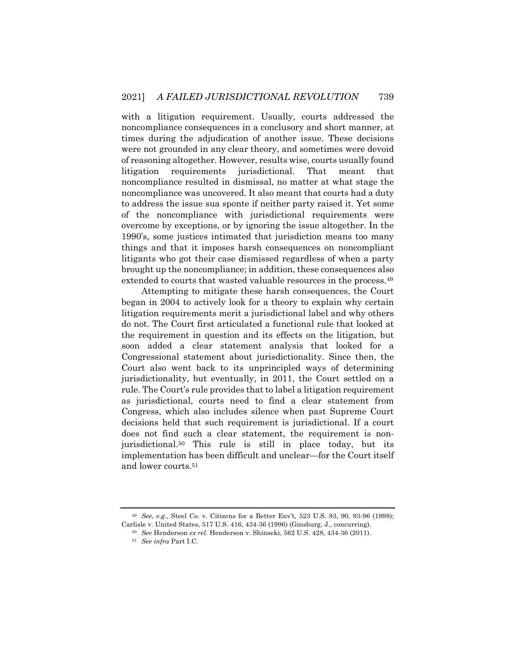with a litigation requirement. Usually, courts addressed the noncompliance consequences in a conclusory and short manner, at times during the adjudication of another issue. These decisions were not grounded in any clear theory, and sometimes were devoid of reasoning altogether. However, results wise, courts usually found litigation requirements jurisdictional. That meant that noncompliance resulted in dismissal, no matter at what stage the noncompliance was uncovered. It also meant that courts had a duty to address the issue sua sponte if neither party raised it. Yet some of the noncompliance with jurisdictional requirements were overcome by exceptions, or by ignoring the issue altogether. In the 1990's, some justices intimated that jurisdiction means too many things and that it imposes harsh consequences on noncompliant litigants who got their case dismissed regardless of when a party brought up the noncompliance; in addition, these consequences also extended to courts that wasted valuable resources in the process.<sup>49</sup>

Attempting to mitigate these harsh consequences, the Court began in 2004 to actively look for a theory to explain why certain litigation requirements merit a jurisdictional label and why others do not. The Court first articulated a functional rule that looked at the requirement in question and its effects on the litigation, but soon added a clear statement analysis that looked for a Congressional statement about jurisdictionality. Since then, the Court also went back to its unprincipled ways of determining jurisdictionality, but eventually, in 2011, the Court settled on a rule. The Court's rule provides that to label a litigation requirement as jurisdictional, courts need to find a clear statement from Congress, which also includes silence when past Supreme Court decisions held that such requirement is jurisdictional. If a court does not find such a clear statement, the requirement is nonjurisdictional.50 This rule is still in place today, but its implementation has been difficult and unclear—for the Court itself and lower courts.51

<sup>49</sup> *See*, *e.g.*, Steel Co. v. Citizens for a Better Env't, 523 U.S. 83, 90, 93-96 (1998); Carlisle v. United States, 517 U.S. 416, 434-36 (1996) (Ginsburg, J., concurring).

<sup>50</sup> *See* Henderson *ex rel.* Henderson v. Shinseki, 562 U.S. 428, 434-36 (2011).

<sup>51</sup> *See infra* Part I.C.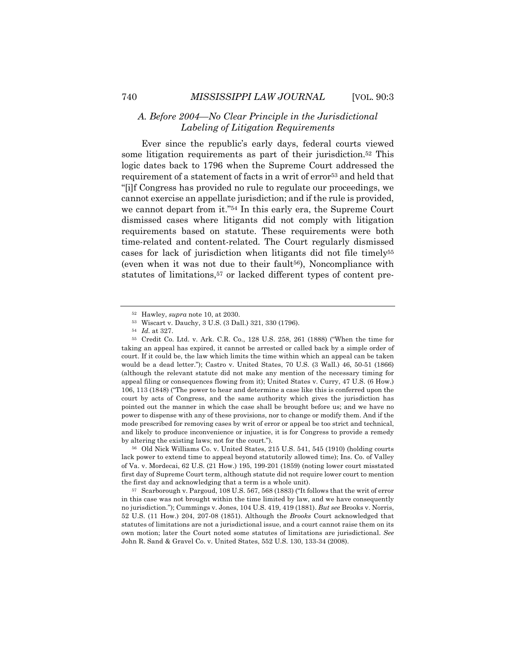# *A. Before 2004—No Clear Principle in the Jurisdictional Labeling of Litigation Requirements*

Ever since the republic's early days, federal courts viewed some litigation requirements as part of their jurisdiction.<sup>52</sup> This logic dates back to 1796 when the Supreme Court addressed the requirement of a statement of facts in a writ of error53 and held that "[i]f Congress has provided no rule to regulate our proceedings, we cannot exercise an appellate jurisdiction; and if the rule is provided, we cannot depart from it."54 In this early era, the Supreme Court dismissed cases where litigants did not comply with litigation requirements based on statute. These requirements were both time-related and content-related. The Court regularly dismissed cases for lack of jurisdiction when litigants did not file timely55 (even when it was not due to their fault<sup>56</sup>), Noncompliance with statutes of limitations,57 or lacked different types of content pre-

<sup>56</sup> Old Nick Williams Co. v. United States, 215 U.S. 541, 545 (1910) (holding courts lack power to extend time to appeal beyond statutorily allowed time); Ins. Co. of Valley of Va. v. Mordecai, 62 U.S. (21 How.) 195, 199-201 (1859) (noting lower court misstated first day of Supreme Court term, although statute did not require lower court to mention the first day and acknowledging that a term is a whole unit).

<sup>57</sup> Scarborough v. Pargoud, 108 U.S. 567, 568 (1883) ("It follows that the writ of error in this case was not brought within the time limited by law, and we have consequently no jurisdiction."); Cummings v. Jones, 104 U.S. 419, 419 (1881). *But see* Brooks v. Norris, 52 U.S. (11 How.) 204, 207-08 (1851). Although the *Brooks* Court acknowledged that statutes of limitations are not a jurisdictional issue, and a court cannot raise them on its own motion; later the Court noted some statutes of limitations are jurisdictional. *See*  John R. Sand & Gravel Co. v. United States, 552 U.S. 130, 133-34 (2008).

<sup>52</sup> Hawley, *supra* note 10, at 2030.

<sup>53</sup> Wiscart v. Dauchy, 3 U.S. (3 Dall.) 321, 330 (1796).

<sup>54</sup> *Id.* at 327.

<sup>55</sup> Credit Co. Ltd. v. Ark. C.R. Co., 128 U.S. 258, 261 (1888) ("When the time for taking an appeal has expired, it cannot be arrested or called back by a simple order of court. If it could be, the law which limits the time within which an appeal can be taken would be a dead letter."); Castro v. United States, 70 U.S. (3 Wall.) 46, 50-51 (1866) (although the relevant statute did not make any mention of the necessary timing for appeal filing or consequences flowing from it); United States v. Curry, 47 U.S. (6 How.) 106, 113 (1848) ("The power to hear and determine a case like this is conferred upon the court by acts of Congress, and the same authority which gives the jurisdiction has pointed out the manner in which the case shall be brought before us; and we have no power to dispense with any of these provisions, nor to change or modify them. And if the mode prescribed for removing cases by writ of error or appeal be too strict and technical, and likely to produce inconvenience or injustice, it is for Congress to provide a remedy by altering the existing laws; not for the court.").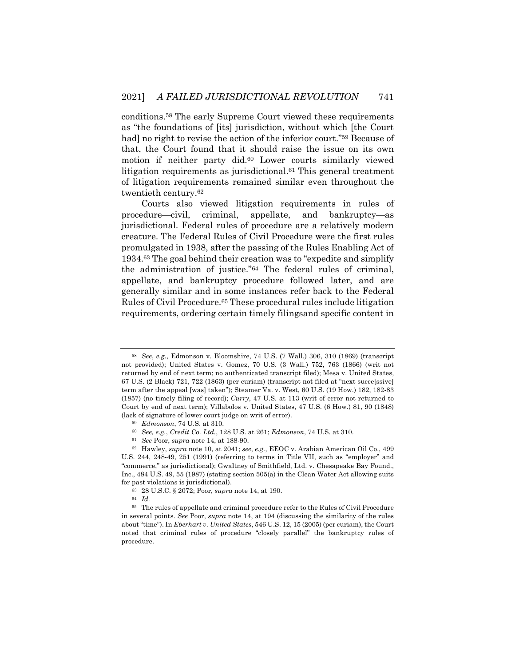conditions.58 The early Supreme Court viewed these requirements as "the foundations of [its] jurisdiction, without which [the Court had] no right to revise the action of the inferior court."<sup>59</sup> Because of that, the Court found that it should raise the issue on its own motion if neither party did.60 Lower courts similarly viewed litigation requirements as jurisdictional.61 This general treatment of litigation requirements remained similar even throughout the twentieth century.62

Courts also viewed litigation requirements in rules of procedure—civil, criminal, appellate, and bankruptcy—as jurisdictional. Federal rules of procedure are a relatively modern creature. The Federal Rules of Civil Procedure were the first rules promulgated in 1938, after the passing of the Rules Enabling Act of 1934.63 The goal behind their creation was to "expedite and simplify the administration of justice."64 The federal rules of criminal, appellate, and bankruptcy procedure followed later, and are generally similar and in some instances refer back to the Federal Rules of Civil Procedure.65 These procedural rules include litigation requirements, ordering certain timely filingsand specific content in

<sup>58</sup> *See*, *e.g.*, Edmonson v. Bloomshire, 74 U.S. (7 Wall.) 306, 310 (1869) (transcript not provided); United States v. Gomez, 70 U.S. (3 Wall.) 752, 763 (1866) (writ not returned by end of next term; no authenticated transcript filed); Mesa v. United States, 67 U.S. (2 Black) 721, 722 (1863) (per curiam) (transcript not filed at "next succe[ssive] term after the appeal [was] taken"); Steamer Va. v. West, 60 U.S. (19 How.) 182, 182-83 (1857) (no timely filing of record); *Curry*, 47 U.S. at 113 (writ of error not returned to Court by end of next term); Villabolos v. United States, 47 U.S. (6 How.) 81, 90 (1848) (lack of signature of lower court judge on writ of error).

<sup>59</sup> *Edmonson*, 74 U.S. at 310.

<sup>60</sup> *See, e.g.*, *Credit Co. Ltd.*, 128 U.S. at 261; *Edmonson*, 74 U.S. at 310.

<sup>61</sup> *See* Poor, *supra* note 14, at 188-90.

<sup>62</sup> Hawley, *supra* note 10, at 2041; *see*, *e.g.*, EEOC v. Arabian American Oil Co., 499 U.S. 244, 248-49, 251 (1991) (referring to terms in Title VII, such as "employer" and "commerce," as jurisdictional); Gwaltney of Smithfield, Ltd. v. Chesapeake Bay Found., Inc., 484 U.S. 49, 55 (1987) (stating section 505(a) in the Clean Water Act allowing suits for past violations is jurisdictional).

<sup>63</sup> 28 U.S.C. § 2072; Poor, *supra* note 14, at 190.

<sup>64</sup> *Id.*

 $\,^{65} \,$  The rules of appellate and criminal procedure refer to the Rules of Civil Procedure in several points. *See* Poor, *supra* note 14, at 194 (discussing the similarity of the rules about "time"). In *Eberhart v. United States*, 546 U.S. 12, 15 (2005) (per curiam), the Court noted that criminal rules of procedure "closely parallel" the bankruptcy rules of procedure.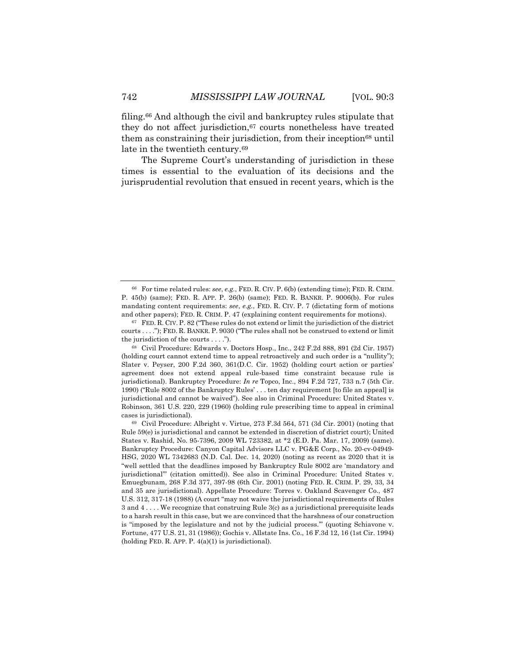filing.66 And although the civil and bankruptcy rules stipulate that they do not affect jurisdiction,67 courts nonetheless have treated them as constraining their jurisdiction, from their inception<sup>68</sup> until late in the twentieth century.<sup>69</sup>

The Supreme Court's understanding of jurisdiction in these times is essential to the evaluation of its decisions and the jurisprudential revolution that ensued in recent years, which is the

<sup>66</sup> For time related rules: *see*, *e.g.*, FED. R. CIV. P. 6(b) (extending time); FED. R. CRIM. P. 45(b) (same); FED. R. APP. P. 26(b) (same); FED. R. BANKR. P. 9006(b). For rules mandating content requirements: *see*, *e.g.*, FED. R. CIV. P. 7 (dictating form of motions and other papers); FED. R. CRIM. P. 47 (explaining content requirements for motions).

<sup>67</sup> FED. R. CIV. P. 82 ("These rules do not extend or limit the jurisdiction of the district courts . . . ."); FED. R. BANKR. P. 9030 ("The rules shall not be construed to extend or limit the jurisdiction of the courts . . . .").

<sup>68</sup> Civil Procedure: Edwards v. Doctors Hosp., Inc., 242 F.2d 888, 891 (2d Cir. 1957) (holding court cannot extend time to appeal retroactively and such order is a "nullity"); Slater v. Peyser, 200 F.2d 360, 361(D.C. Cir. 1952) (holding court action or parties' agreement does not extend appeal rule-based time constraint because rule is jurisdictional). Bankruptcy Procedure: *In re* Topco, Inc., 894 F.2d 727, 733 n.7 (5th Cir. 1990) ("Rule 8002 of the Bankruptcy Rules' . . . ten day requirement [to file an appeal] is jurisdictional and cannot be waived"). See also in Criminal Procedure: United States v. Robinson, 361 U.S. 220, 229 (1960) (holding rule prescribing time to appeal in criminal cases is jurisdictional).

 $69$  Civil Procedure: Albright v. Virtue, 273 F.3d 564, 571 (3d Cir. 2001) (noting that Rule 59(e) is jurisdictional and cannot be extended in discretion of district court); United States v. Rashid, No. 95-7396, 2009 WL 723382, at \*2 (E.D. Pa. Mar. 17, 2009) (same). Bankruptcy Procedure: Canyon Capital Advisors LLC v. PG&E Corp., No. 20-cv-04949- HSG, 2020 WL 7342683 (N.D. Cal. Dec. 14, 2020) (noting as recent as 2020 that it is "well settled that the deadlines imposed by Bankruptcy Rule 8002 are 'mandatory and jurisdictional'" (citation omitted)). See also in Criminal Procedure: United States v. Emuegbunam, 268 F.3d 377, 397-98 (6th Cir. 2001) (noting FED. R. CRIM. P. 29, 33, 34 and 35 are jurisdictional). Appellate Procedure: Torres v. Oakland Scavenger Co., 487 U.S. 312, 317-18 (1988) (A court "may not waive the jurisdictional requirements of Rules 3 and 4 . . . . We recognize that construing Rule 3(c) as a jurisdictional prerequisite leads to a harsh result in this case, but we are convinced that the harshness of our construction is "imposed by the legislature and not by the judicial process.'" (quoting Schiavone v. Fortune, 477 U.S. 21, 31 (1986)); Gochis v. Allstate Ins. Co., 16 F.3d 12, 16 (1st Cir. 1994) (holding FED. R. APP. P. 4(a)(1) is jurisdictional).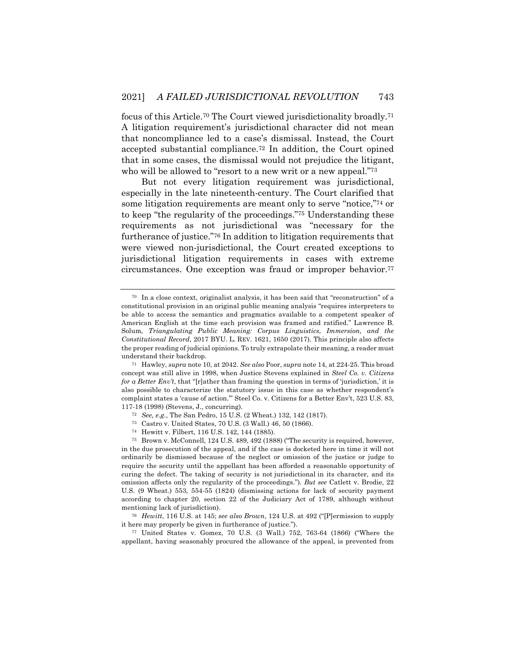focus of this Article.70 The Court viewed jurisdictionality broadly.71 A litigation requirement's jurisdictional character did not mean that noncompliance led to a case's dismissal. Instead, the Court accepted substantial compliance.72 In addition, the Court opined that in some cases, the dismissal would not prejudice the litigant, who will be allowed to "resort to a new writ or a new appeal."<sup>73</sup>

But not every litigation requirement was jurisdictional, especially in the late nineteenth-century. The Court clarified that some litigation requirements are meant only to serve "notice,"74 or to keep "the regularity of the proceedings."75 Understanding these requirements as not jurisdictional was "necessary for the furtherance of justice."76 In addition to litigation requirements that were viewed non-jurisdictional, the Court created exceptions to jurisdictional litigation requirements in cases with extreme circumstances. One exception was fraud or improper behavior.77

<sup>73</sup> Castro v. United States, 70 U.S. (3 Wall.) 46, 50 (1866).

<sup>77</sup> United States v. Gomez, 70 U.S. (3 Wall.) 752, 763-64 (1866) ("Where the appellant, having seasonably procured the allowance of the appeal, is prevented from

<sup>70</sup> In a close context, originalist analysis, it has been said that "reconstruction" of a constitutional provision in an original public meaning analysis "requires interpreters to be able to access the semantics and pragmatics available to a competent speaker of American English at the time each provision was framed and ratified." Lawrence B. Solum, *Triangulating Public Meaning: Corpus Linguistics, Immersion, and the Constitutional Record*, 2017 BYU. L. REV. 1621, 1650 (2017). This principle also affects the proper reading of judicial opinions. To truly extrapolate their meaning, a reader must understand their backdrop.

<sup>71</sup> Hawley, *supra* note 10, at 2042. *See also* Poor, *supra* note 14, at 224-25. This broad concept was still alive in 1998, when Justice Stevens explained in *Steel Co. v. Citizens for a Better Env't*, that "[r]ather than framing the question in terms of 'jurisdiction,' it is also possible to characterize the statutory issue in this case as whether respondent's complaint states a 'cause of action.'" Steel Co. v. Citizens for a Better Env't, 523 U.S. 83, 117-18 (1998) (Stevens, J., concurring).

<sup>72</sup> *See, e.g.*, The San Pedro, 15 U.S. (2 Wheat.) 132, 142 (1817).

<sup>74</sup> Hewitt v. Filbert, 116 U.S. 142, 144 (1885).

<sup>75</sup> Brown v. McConnell, 124 U.S. 489, 492 (1888) ("The security is required, however, in the due prosecution of the appeal, and if the case is docketed here in time it will not ordinarily be dismissed because of the neglect or omission of the justice or judge to require the security until the appellant has been afforded a reasonable opportunity of curing the defect. The taking of security is not jurisdictional in its character, and its omission affects only the regularity of the proceedings.")*. But see* Catlett v. Brodie, 22 U.S. (9 Wheat.) 553, 554-55 (1824) (dismissing actions for lack of security payment according to chapter 20, section 22 of the Judiciary Act of 1789, although without mentioning lack of jurisdiction).

<sup>76</sup> *Hewitt*, 116 U.S. at 145; *see also Brown*, 124 U.S. at 492 ("[P]ermission to supply it here may properly be given in furtherance of justice.").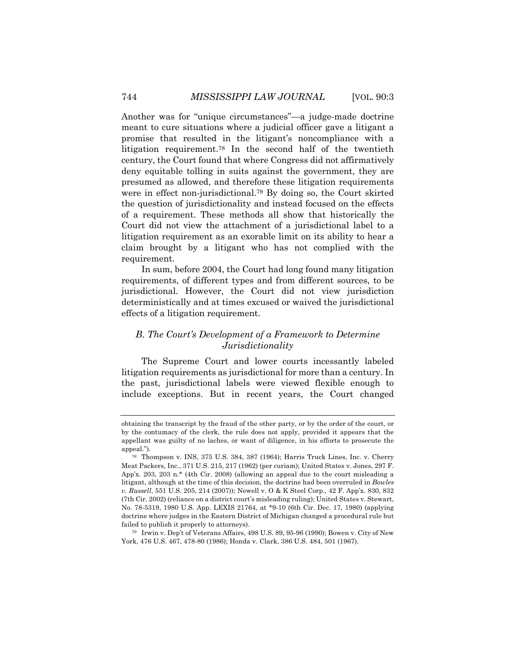Another was for "unique circumstances"—a judge-made doctrine meant to cure situations where a judicial officer gave a litigant a promise that resulted in the litigant's noncompliance with a litigation requirement.78 In the second half of the twentieth century, the Court found that where Congress did not affirmatively deny equitable tolling in suits against the government, they are presumed as allowed, and therefore these litigation requirements were in effect non-jurisdictional.79 By doing so, the Court skirted the question of jurisdictionality and instead focused on the effects of a requirement. These methods all show that historically the Court did not view the attachment of a jurisdictional label to a litigation requirement as an exorable limit on its ability to hear a claim brought by a litigant who has not complied with the requirement.

In sum, before 2004, the Court had long found many litigation requirements, of different types and from different sources, to be jurisdictional. However, the Court did not view jurisdiction deterministically and at times excused or waived the jurisdictional effects of a litigation requirement.

# *B. The Court's Development of a Framework to Determine Jurisdictionality*

The Supreme Court and lower courts incessantly labeled litigation requirements as jurisdictional for more than a century. In the past, jurisdictional labels were viewed flexible enough to include exceptions. But in recent years, the Court changed

obtaining the transcript by the fraud of the other party, or by the order of the court, or by the contumacy of the clerk, the rule does not apply, provided it appears that the appellant was guilty of no laches, or want of diligence, in his efforts to prosecute the appeal.").

<sup>78</sup> Thompson v. INS, 375 U.S. 384, 387 (1964); Harris Truck Lines, Inc. v. Cherry Meat Packers, Inc., 371 U.S. 215, 217 (1962) (per curiam); United States v. Jones, 297 F. App'x. 203, 203 n.\* (4th Cir. 2008) (allowing an appeal due to the court misleading a litigant, although at the time of this decision, the doctrine had been overruled in *Bowles v. Russell*, 551 U.S. 205, 214 (2007)); Newell v. O & K Steel Corp., 42 F. App'x. 830, 832 (7th Cir. 2002) (reliance on a district court's misleading ruling); United States v. Stewart, No. 78-5319, 1980 U.S. App. LEXIS 21764, at \*9-10 (6th Cir. Dec. 17, 1980) (applying doctrine where judges in the Eastern District of Michigan changed a procedural rule but failed to publish it properly to attorneys).

<sup>79</sup> Irwin v. Dep't of Veterans Affairs, 498 U.S. 89, 95-96 (1990); Bowen v. City of New York, 476 U.S. 467, 478-80 (1986); Honda v. Clark, 386 U.S. 484, 501 (1967).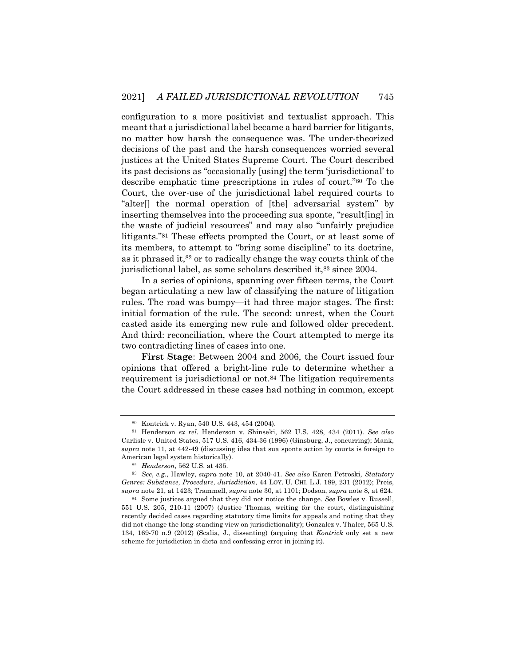configuration to a more positivist and textualist approach. This meant that a jurisdictional label became a hard barrier for litigants, no matter how harsh the consequence was. The under-theorized decisions of the past and the harsh consequences worried several justices at the United States Supreme Court. The Court described its past decisions as "occasionally [using] the term 'jurisdictional' to describe emphatic time prescriptions in rules of court."80 To the Court, the over-use of the jurisdictional label required courts to "alter[] the normal operation of [the] adversarial system" by inserting themselves into the proceeding sua sponte, "result[ing] in the waste of judicial resources" and may also "unfairly prejudice litigants."81 These effects prompted the Court, or at least some of its members, to attempt to "bring some discipline" to its doctrine, as it phrased it,82 or to radically change the way courts think of the jurisdictional label, as some scholars described it,83 since 2004.

In a series of opinions, spanning over fifteen terms, the Court began articulating a new law of classifying the nature of litigation rules. The road was bumpy—it had three major stages. The first: initial formation of the rule. The second: unrest, when the Court casted aside its emerging new rule and followed older precedent. And third: reconciliation, where the Court attempted to merge its two contradicting lines of cases into one.

**First Stage**: Between 2004 and 2006, the Court issued four opinions that offered a bright-line rule to determine whether a requirement is jurisdictional or not.84 The litigation requirements the Court addressed in these cases had nothing in common, except

<sup>80</sup> Kontrick v. Ryan, 540 U.S. 443, 454 (2004).

<sup>81</sup> Henderson *ex rel.* Henderson v. Shinseki, 562 U.S. 428, 434 (2011). *See also*  Carlisle v. United States, 517 U.S. 416, 434-36 (1996) (Ginsburg, J., concurring); Mank, *supra* note 11, at 442-49 (discussing idea that sua sponte action by courts is foreign to American legal system historically).

<sup>82</sup> *Henderson*, 562 U.S. at 435.

<sup>83</sup> *See*, *e.g.*, Hawley, *supra* note 10, at 2040-41. *See also* Karen Petroski, *Statutory Genres: Substance, Procedure, Jurisdiction*, 44 LOY. U. CHI. L.J. 189, 231 (2012); Preis, *supra* note 21, at 1423; Trammell, *supra* note 30, at 1101; Dodson, *supra* note 8, at 624.

<sup>84</sup> Some justices argued that they did not notice the change. *See* Bowles v. Russell, 551 U.S. 205, 210-11 (2007) (Justice Thomas, writing for the court, distinguishing recently decided cases regarding statutory time limits for appeals and noting that they did not change the long-standing view on jurisdictionality); Gonzalez v. Thaler, 565 U.S. 134, 169-70 n.9 (2012) (Scalia, J., dissenting) (arguing that *Kontrick* only set a new scheme for jurisdiction in dicta and confessing error in joining it).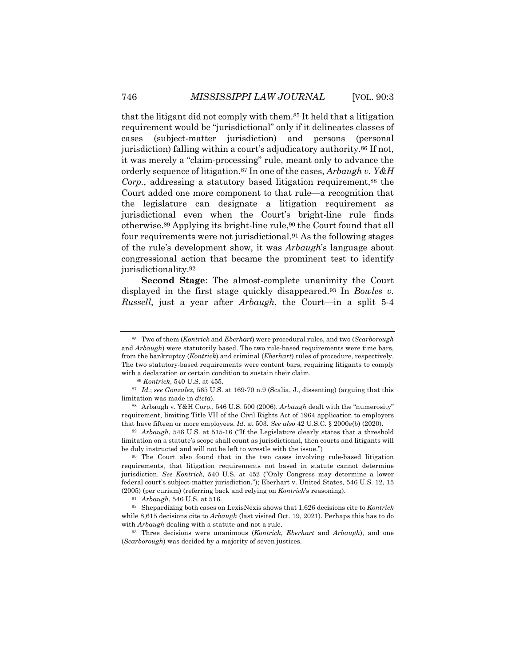that the litigant did not comply with them.85 It held that a litigation requirement would be "jurisdictional" only if it delineates classes of cases (subject-matter jurisdiction) and persons (personal jurisdiction) falling within a court's adjudicatory authority.86 If not, it was merely a "claim-processing" rule, meant only to advance the orderly sequence of litigation.87 In one of the cases, *Arbaugh v. Y&H Corp.*, addressing a statutory based litigation requirement,<sup>88</sup> the Court added one more component to that rule—a recognition that the legislature can designate a litigation requirement as jurisdictional even when the Court's bright-line rule finds otherwise.89 Applying its bright-line rule,90 the Court found that all four requirements were not jurisdictional.91 As the following stages of the rule's development show, it was *Arbaugh*'s language about congressional action that became the prominent test to identify jurisdictionality.92

**Second Stage**: The almost-complete unanimity the Court displayed in the first stage quickly disappeared.93 In *Bowles v. Russell*, just a year after *Arbaugh*, the Court—in a split 5-4

<sup>85</sup> Two of them (*Kontrick* and *Eberhart*) were procedural rules, and two (*Scarborough* and *Arbaugh*) were statutorily based. The two rule-based requirements were time bars, from the bankruptcy (*Kontrick*) and criminal (*Eberhart*) rules of procedure, respectively. The two statutory-based requirements were content bars, requiring litigants to comply with a declaration or certain condition to sustain their claim.

<sup>86</sup> *Kontrick*, 540 U.S. at 455.

<sup>87</sup> *Id.*; *see Gonzalez,* 565 U.S. at 169-70 n.9 (Scalia, J., dissenting) (arguing that this limitation was made in *dicta*).

<sup>88</sup> Arbaugh v. Y&H Corp., 546 U.S. 500 (2006). *Arbaugh* dealt with the "numerosity" requirement, limiting Title VII of the Civil Rights Act of 1964 application to employers that have fifteen or more employees. *Id.* at 503. *See also* 42 U.S.C. § 2000e(b) (2020).

<sup>89</sup> *Arbaugh*, 546 U.S. at 515-16 ("If the Legislature clearly states that a threshold limitation on a statute's scope shall count as jurisdictional, then courts and litigants will be duly instructed and will not be left to wrestle with the issue.")

<sup>90</sup> The Court also found that in the two cases involving rule-based litigation requirements, that litigation requirements not based in statute cannot determine jurisdiction. *See Kontrick*, 540 U.S. at 452 ("Only Congress may determine a lower federal court's subject-matter jurisdiction."); Eberhart v. United States, 546 U.S. 12, 15 (2005) (per curiam) (referring back and relying on *Kontrick*'s reasoning).

<sup>91</sup> *Arbaugh*, 546 U.S. at 516.

<sup>92</sup> Shepardizing both cases on LexisNexis shows that 1,626 decisions cite to *Kontrick* while 8,615 decisions cite to *Arbaugh* (last visited Oct. 19, 2021). Perhaps this has to do with *Arbaugh* dealing with a statute and not a rule.

<sup>93</sup> Three decisions were unanimous (*Kontrick*, *Eberhart* and *Arbaugh*), and one (*Scarborough*) was decided by a majority of seven justices.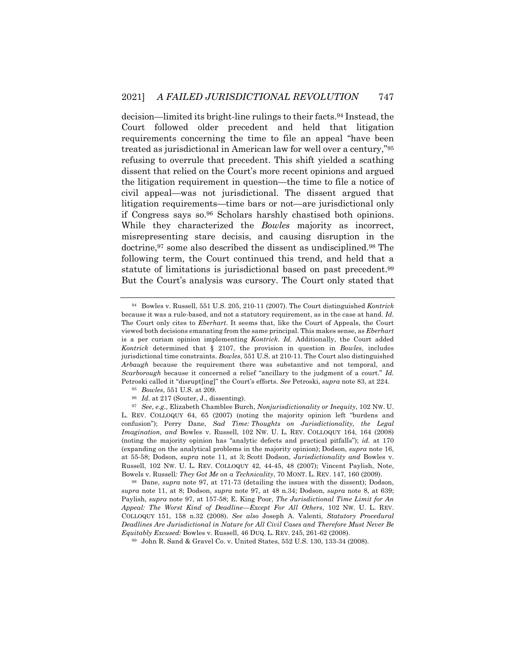decision—limited its bright-line rulings to their facts.94 Instead, the Court followed older precedent and held that litigation requirements concerning the time to file an appeal "have been treated as jurisdictional in American law for well over a century,"95 refusing to overrule that precedent. This shift yielded a scathing dissent that relied on the Court's more recent opinions and argued the litigation requirement in question—the time to file a notice of civil appeal—was not jurisdictional. The dissent argued that litigation requirements—time bars or not—are jurisdictional only if Congress says so.96 Scholars harshly chastised both opinions. While they characterized the *Bowles* majority as incorrect, misrepresenting stare decisis, and causing disruption in the doctrine,<sup>97</sup> some also described the dissent as undisciplined.<sup>98</sup> The following term, the Court continued this trend, and held that a statute of limitations is jurisdictional based on past precedent.99 But the Court's analysis was cursory. The Court only stated that

<sup>94</sup> Bowles v. Russell, 551 U.S. 205, 210-11 (2007). The Court distinguished *Kontrick* because it was a rule-based, and not a statutory requirement, as in the case at hand. *Id.* The Court only cites to *Eberhart*. It seems that, like the Court of Appeals, the Court viewed both decisions emanating from the same principal. This makes sense, as *Eberhart* is a per curiam opinion implementing *Kontrick*. *Id.* Additionally, the Court added *Kontrick* determined that § 2107, the provision in question in *Bowles*, includes jurisdictional time constraints. *Bowles*, 551 U.S. at 210-11. The Court also distinguished *Arbaugh* because the requirement there was substantive and not temporal, and *Scarborough* because it concerned a relief "ancillary to the judgment of a court." *Id.*  Petroski called it "disrupt[ing]" the Court's efforts. *See* Petroski, *supra* note 83, at 224.

<sup>95</sup> *Bowles*, 551 U.S. at 209.

<sup>&</sup>lt;sup>96</sup> *Id.* at 217 (Souter, J., dissenting).

<sup>97</sup> *See*, *e.g.*, Elizabeth Chamblee Burch, *Nonjurisdictionality or Inequity*, 102 NW. U. L. REV. COLLOQUY 64, 65 (2007) (noting the majority opinion left "burdens and confusion"); Perry Dane, *Sad Time: Thoughts on Jurisdictionality, the Legal Imagination, and* Bowles v. Russell, 102 NW. U. L. REV. COLLOQUY 164, 164 (2008) (noting the majority opinion has "analytic defects and practical pitfalls"); *id.* at 170 (expanding on the analytical problems in the majority opinion); Dodson, *supra* note 16, at 55-58; Dodson, *supra* note 11, at 3; Scott Dodson, *Jurisdictionality and* Bowles v. Russell, 102 NW. U. L. REV. COLLOQUY 42, 44-45, 48 (2007); Vincent Paylish, Note, Bowels v. Russell*: They Got Me on a Technicality*, 70 MONT. L. REV. 147, 160 (2009).

<sup>98</sup> Dane, *supra* note 97, at 171-73 (detailing the issues with the dissent); Dodson, *supra* note 11, at 8; Dodson, *supra* note 97, at 48 n.34; Dodson, *supra* note 8, at 639; Paylish, *supra* note 97, at 157-58; E. King Poor, *The Jurisdictional Time Limit for An Appeal: The Worst Kind of Deadline—Except For All Others*, 102 NW. U. L. REV. COLLOQUY 151, 158 n.32 (2008). *See also* Joseph A. Valenti, *Statutory Procedural Deadlines Are Jurisdictional in Nature for All Civil Cases and Therefore Must Never Be Equitably Excused:* Bowles v. Russell, 46 DUQ. L. REV. 245, 261-62 (2008).

<sup>99</sup> John R. Sand & Gravel Co. v. United States, 552 U.S. 130, 133-34 (2008).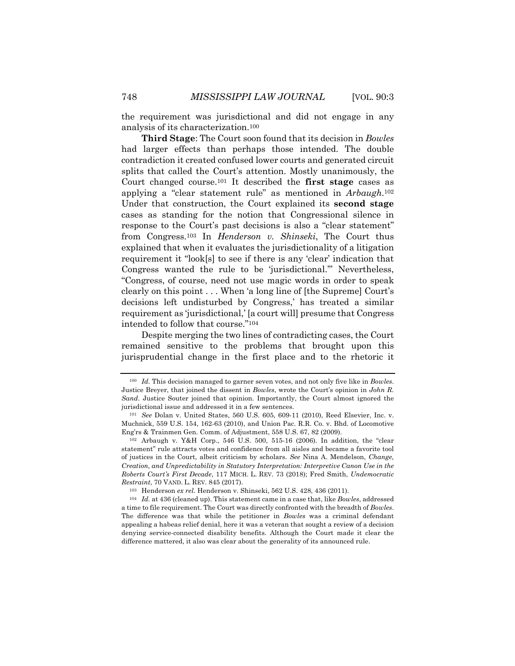the requirement was jurisdictional and did not engage in any analysis of its characterization.100

**Third Stage**: The Court soon found that its decision in *Bowles* had larger effects than perhaps those intended. The double contradiction it created confused lower courts and generated circuit splits that called the Court's attention. Mostly unanimously, the Court changed course.101 It described the **first stage** cases as applying a "clear statement rule" as mentioned in *Arbaugh*.102 Under that construction, the Court explained its **second stage**  cases as standing for the notion that Congressional silence in response to the Court's past decisions is also a "clear statement" from Congress.103 In *Henderson v. Shinseki*, The Court thus explained that when it evaluates the jurisdictionality of a litigation requirement it "look[s] to see if there is any 'clear' indication that Congress wanted the rule to be 'jurisdictional.'" Nevertheless, "Congress, of course, need not use magic words in order to speak clearly on this point . . . When 'a long line of [the Supreme] Court's decisions left undisturbed by Congress,' has treated a similar requirement as 'jurisdictional,' [a court will] presume that Congress intended to follow that course."104

Despite merging the two lines of contradicting cases, the Court remained sensitive to the problems that brought upon this jurisprudential change in the first place and to the rhetoric it

<sup>100</sup> *Id.* This decision managed to garner seven votes, and not only five like in *Bowles*. Justice Breyer, that joined the dissent in *Bowles*, wrote the Court's opinion in *John R. Sand*. Justice Souter joined that opinion. Importantly, the Court almost ignored the jurisdictional issue and addressed it in a few sentences.

<sup>101</sup> *See* Dolan v. United States, 560 U.S. 605, 609-11 (2010), Reed Elsevier, Inc. v. Muchnick, 559 U.S. 154, 162-63 (2010), and Union Pac. R.R. Co. v. Bhd. of Locomotive Eng'rs & Trainmen Gen. Comm. of Adjustment, 558 U.S. 67, 82 (2009).

<sup>102</sup> Arbaugh v. Y&H Corp., 546 U.S. 500, 515-16 (2006). In addition, the "clear statement" rule attracts votes and confidence from all aisles and became a favorite tool of justices in the Court, albeit criticism by scholars. *See* Nina A. Mendelson, *Change, Creation, and Unpredictability in Statutory Interpretation: Interpretive Canon Use in the Roberts Court's First Decade*, 117 MICH. L. REV. 73 (2018); Fred Smith, *Undemocratic Restraint*, 70 VAND. L. REV. 845 (2017).

<sup>103</sup> Henderson *ex rel.* Henderson v. Shinseki, 562 U.S. 428, 436 (2011).

<sup>104</sup> *Id.* at 436 (cleaned up). This statement came in a case that, like *Bowles*, addressed a time to file requirement. The Court was directly confronted with the breadth of *Bowles*. The difference was that while the petitioner in *Bowles* was a criminal defendant appealing a habeas relief denial, here it was a veteran that sought a review of a decision denying service-connected disability benefits. Although the Court made it clear the difference mattered, it also was clear about the generality of its announced rule.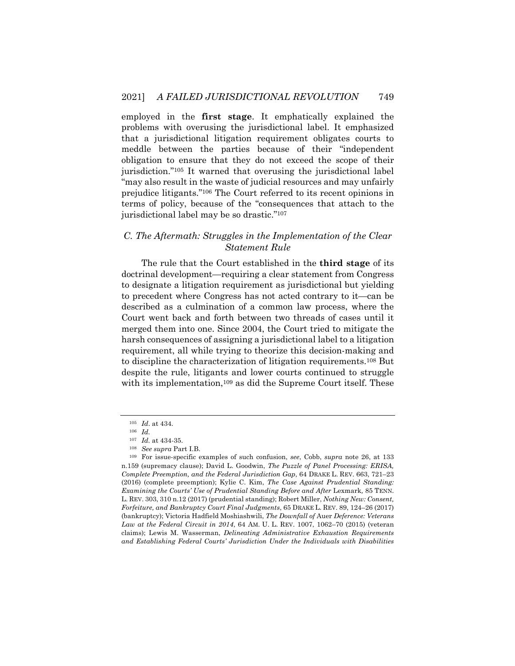employed in the **first stage**. It emphatically explained the problems with overusing the jurisdictional label. It emphasized that a jurisdictional litigation requirement obligates courts to meddle between the parties because of their "independent obligation to ensure that they do not exceed the scope of their jurisdiction."105 It warned that overusing the jurisdictional label "may also result in the waste of judicial resources and may unfairly prejudice litigants."106 The Court referred to its recent opinions in terms of policy, because of the "consequences that attach to the jurisdictional label may be so drastic."107

# *C. The Aftermath: Struggles in the Implementation of the Clear Statement Rule*

The rule that the Court established in the **third stage** of its doctrinal development—requiring a clear statement from Congress to designate a litigation requirement as jurisdictional but yielding to precedent where Congress has not acted contrary to it—can be described as a culmination of a common law process, where the Court went back and forth between two threads of cases until it merged them into one. Since 2004, the Court tried to mitigate the harsh consequences of assigning a jurisdictional label to a litigation requirement, all while trying to theorize this decision-making and to discipline the characterization of litigation requirements.108 But despite the rule, litigants and lower courts continued to struggle with its implementation,<sup>109</sup> as did the Supreme Court itself. These

<sup>105</sup> *Id*. at 434.

<sup>106</sup> *Id.*

<sup>107</sup> *Id.* at 434-35.

<sup>108</sup> *See supra* Part I.B.

<sup>109</sup> For issue-specific examples of such confusion, *see*, Cobb, *supra* note 26, at 133 n.159 (supremacy clause); David L. Goodwin, *The Puzzle of Panel Processing: ERISA, Complete Preemption, and the Federal Jurisdiction Gap*, 64 DRAKE L. REV. 663, 721–23 (2016) (complete preemption); Kylie C. Kim, *The Case Against Prudential Standing: Examining the Courts' Use of Prudential Standing Before and After Lexmark, 85 TENN.* L. REV. 303, 310 n.12 (2017) (prudential standing); Robert Miller, *Nothing New: Consent, Forfeiture, and Bankruptcy Court Final Judgments*, 65 DRAKE L. REV. 89, 124–26 (2017) (bankruptcy); Victoria Hadfield Moshiashwili, *The Downfall of* Auer *Deference: Veterans Law at the Federal Circuit in 2014*, 64 AM. U. L. REV. 1007, 1062–70 (2015) (veteran claims); Lewis M. Wasserman, *Delineating Administrative Exhaustion Requirements and Establishing Federal Courts' Jurisdiction Under the Individuals with Disabilities*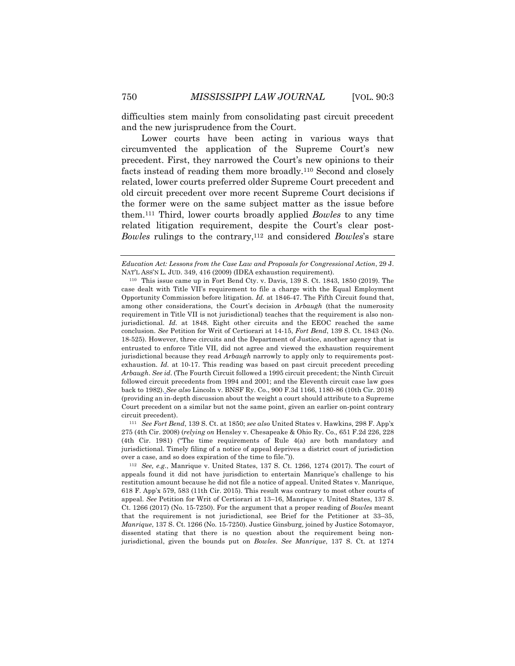difficulties stem mainly from consolidating past circuit precedent and the new jurisprudence from the Court.

Lower courts have been acting in various ways that circumvented the application of the Supreme Court's new precedent. First, they narrowed the Court's new opinions to their facts instead of reading them more broadly.110 Second and closely related, lower courts preferred older Supreme Court precedent and old circuit precedent over more recent Supreme Court decisions if the former were on the same subject matter as the issue before them.111 Third, lower courts broadly applied *Bowles* to any time related litigation requirement, despite the Court's clear post-*Bowles* rulings to the contrary,112 and considered *Bowles*'s stare

<sup>111</sup> *See Fort Bend*, 139 S. Ct. at 1850; *see also* United States v. Hawkins, 298 F. App'x 275 (4th Cir. 2008) (*relying on* Hensley v. Chesapeake & Ohio Ry. Co.*,* 651 F.2d 226, 228 (4th Cir. 1981) ("The time requirements of Rule 4(a) are both mandatory and jurisdictional. Timely filing of a notice of appeal deprives a district court of jurisdiction over a case, and so does expiration of the time to file.")).

<sup>112</sup> *See, e.g.*, Manrique v. United States, 137 S. Ct. 1266, 1274 (2017). The court of appeals found it did not have jurisdiction to entertain Manrique's challenge to his restitution amount because he did not file a notice of appeal. United States v. Manrique, 618 F. App'x 579, 583 (11th Cir. 2015). This result was contrary to most other courts of appeal. *See* Petition for Writ of Certiorari at 13–16, Manrique v. United States, 137 S. Ct. 1266 (2017) (No. 15-7250). For the argument that a proper reading of *Bowles* meant that the requirement is not jurisdictional, see Brief for the Petitioner at 33–35, *Manrique*, 137 S. Ct. 1266 (No. 15-7250). Justice Ginsburg, joined by Justice Sotomayor, dissented stating that there is no question about the requirement being nonjurisdictional, given the bounds put on *Bowles*. *See Manrique*, 137 S. Ct. at 1274

*Education Act: Lessons from the Case Law and Proposals for Congressional Action*, 29 J. NAT'L ASS'N L. JUD. 349, 416 (2009) (IDEA exhaustion requirement).

<sup>110</sup> This issue came up in Fort Bend Cty. v. Davis, 139 S. Ct. 1843, 1850 (2019). The case dealt with Title VII's requirement to file a charge with the Equal Employment Opportunity Commission before litigation. *Id.* at 1846-47. The Fifth Circuit found that, among other considerations, the Court's decision in *Arbaugh* (that the numerosity requirement in Title VII is not jurisdictional) teaches that the requirement is also nonjurisdictional. *Id.* at 1848. Eight other circuits and the EEOC reached the same conclusion. *See* Petition for Writ of Certiorari at 14-15, *Fort Bend*, 139 S. Ct. 1843 (No. 18-525). However, three circuits and the Department of Justice, another agency that is entrusted to enforce Title VII, did not agree and viewed the exhaustion requirement jurisdictional because they read *Arbaugh* narrowly to apply only to requirements postexhaustion. *Id.* at 10-17. This reading was based on past circuit precedent preceding *Arbaugh*. *See id*. (The Fourth Circuit followed a 1995 circuit precedent; the Ninth Circuit followed circuit precedents from 1994 and 2001; and the Eleventh circuit case law goes back to 1982). *See also* Lincoln v. BNSF Ry. Co., 900 F.3d 1166, 1180-86 (10th Cir. 2018) (providing an in-depth discussion about the weight a court should attribute to a Supreme Court precedent on a similar but not the same point, given an earlier on-point contrary circuit precedent).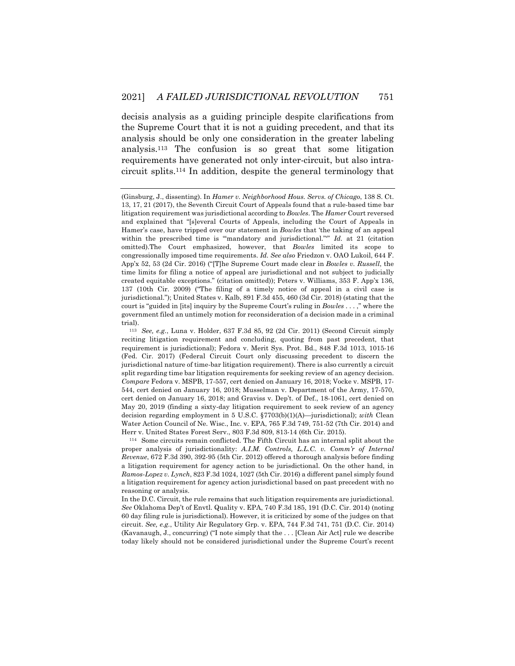decisis analysis as a guiding principle despite clarifications from the Supreme Court that it is not a guiding precedent, and that its analysis should be only one consideration in the greater labeling analysis.113 The confusion is so great that some litigation requirements have generated not only inter-circuit, but also intracircuit splits.114 In addition, despite the general terminology that

<sup>114</sup> Some circuits remain conflicted. The Fifth Circuit has an internal split about the proper analysis of jurisdictionality: *A.I.M. Controls, L.L.C. v. Comm'r of Internal Revenue*, 672 F.3d 390, 392-95 (5th Cir. 2012) offered a thorough analysis before finding a litigation requirement for agency action to be jurisdictional. On the other hand, in *Ramos-Lopez v. Lynch*, 823 F.3d 1024, 1027 (5th Cir. 2016) a different panel simply found a litigation requirement for agency action jurisdictional based on past precedent with no reasoning or analysis.

In the D.C. Circuit, the rule remains that such litigation requirements are jurisdictional. *See* Oklahoma Dep't of Envtl. Quality v. EPA, 740 F.3d 185, 191 (D.C. Cir. 2014) (noting 60 day filing rule is jurisdictional). However, it is criticized by some of the judges on that circuit. *See, e.g.*, Utility Air Regulatory Grp. v. EPA, 744 F.3d 741, 751 (D.C. Cir. 2014) (Kavanaugh, J., concurring) ("I note simply that the . . . [Clean Air Act] rule we describe today likely should not be considered jurisdictional under the Supreme Court's recent

<sup>(</sup>Ginsburg, J., dissenting). In *Hamer v. Neighborhood Hous. Servs. of Chicago*, 138 S. Ct. 13, 17, 21 (2017), the Seventh Circuit Court of Appeals found that a rule-based time bar litigation requirement was jurisdictional according to *Bowles*. The *Hamer* Court reversed and explained that "[s]everal Courts of Appeals, including the Court of Appeals in Hamer's case, have tripped over our statement in *Bowles* that 'the taking of an appeal within the prescribed time is ""mandatory and jurisdictional."<sup>"</sup> *Id.* at 21 (citation omitted).The Court emphasized, however, that *Bowles* limited its scope to congressionally imposed time requirements. *Id. See also* Friedzon v. OAO Lukoil, 644 F. App'x 52, 53 (2d Cir. 2016) ("[T]he Supreme Court made clear in *Bowles v. Russell*, the time limits for filing a notice of appeal are jurisdictional and not subject to judicially created equitable exceptions." (citation omitted)); Peters v. Williams, 353 F. App'x 136, 137 (10th Cir. 2009) ("The filing of a timely notice of appeal in a civil case is jurisdictional."); United States v. Kalb, 891 F.3d 455, 460 (3d Cir. 2018) (stating that the court is "guided in [its] inquiry by the Supreme Court's ruling in *Bowles* . . . ," where the government filed an untimely motion for reconsideration of a decision made in a criminal trial).

<sup>113</sup> *See, e.g.*, Luna v. Holder, 637 F.3d 85, 92 (2d Cir. 2011) (Second Circuit simply reciting litigation requirement and concluding, quoting from past precedent, that requirement is jurisdictional); Fedora v. Merit Sys. Prot. Bd., 848 F.3d 1013, 1015-16 (Fed. Cir. 2017) (Federal Circuit Court only discussing precedent to discern the jurisdictional nature of time-bar litigation requirement). There is also currently a circuit split regarding time bar litigation requirements for seeking review of an agency decision. *Compare* Fedora v. MSPB, 17-557, cert denied on January 16, 2018; Vocke v. MSPB, 17- 544, cert denied on January 16, 2018; Musselman v. Department of the Army, 17-570, cert denied on January 16, 2018; and Graviss v. Dep't. of Def., 18-1061, cert denied on May 20, 2019 (finding a sixty-day litigation requirement to seek review of an agency decision regarding employment in 5 U.S.C. §7703(b)(1)(A)—jurisdictional); *with* Clean Water Action Council of Ne. Wisc., Inc. v. EPA, 765 F.3d 749, 751-52 (7th Cir. 2014) and Herr v. United States Forest Serv., 803 F.3d 809, 813-14 (6th Cir. 2015).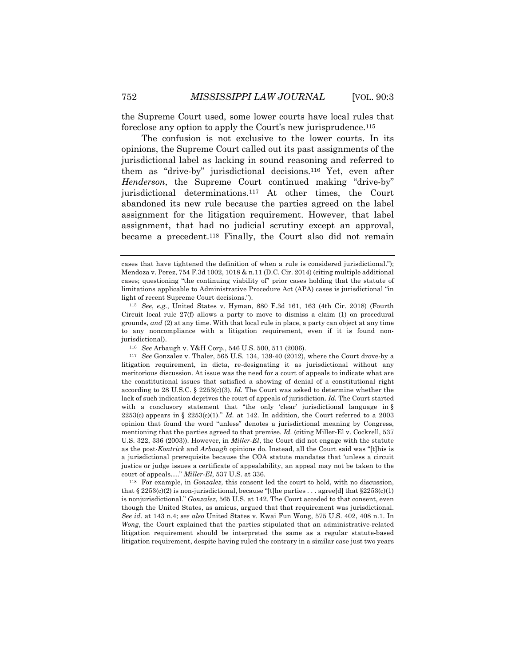the Supreme Court used, some lower courts have local rules that foreclose any option to apply the Court's new jurisprudence.115

The confusion is not exclusive to the lower courts. In its opinions, the Supreme Court called out its past assignments of the jurisdictional label as lacking in sound reasoning and referred to them as "drive-by" jurisdictional decisions.116 Yet, even after *Henderson*, the Supreme Court continued making "drive-by" jurisdictional determinations.117 At other times, the Court abandoned its new rule because the parties agreed on the label assignment for the litigation requirement. However, that label assignment, that had no judicial scrutiny except an approval, became a precedent.118 Finally, the Court also did not remain

<sup>116</sup> *See* Arbaugh v. Y&H Corp., 546 U.S. 500, 511 (2006).

<sup>118</sup> For example, in *Gonzalez*, this consent led the court to hold, with no discussion, that  $\S 2253(c)(2)$  is non-jurisdictional, because "[t]he parties . . . agree[d] that  $\S 2253(c)(1)$ is nonjurisdictional." *Gonzalez*, 565 U.S. at 142. The Court acceded to that consent, even though the United States, as amicus, argued that that requirement was jurisdictional. *See id.* at 143 n.4; *see also* United States v. Kwai Fun Wong, 575 U.S. 402, 408 n.1. In *Wong*, the Court explained that the parties stipulated that an administrative-related litigation requirement should be interpreted the same as a regular statute-based litigation requirement, despite having ruled the contrary in a similar case just two years

cases that have tightened the definition of when a rule is considered jurisdictional."); Mendoza v. Perez, 754 F.3d 1002, 1018 & n.11 (D.C. Cir. 2014) (citing multiple additional cases; questioning "the continuing viability of" prior cases holding that the statute of limitations applicable to Administrative Procedure Act (APA) cases is jurisdictional "in light of recent Supreme Court decisions.").

<sup>115</sup> *See*, *e.g.*, United States v. Hyman, 880 F.3d 161, 163 (4th Cir. 2018) (Fourth Circuit local rule 27(f) allows a party to move to dismiss a claim (1) on procedural grounds, *and* (2) at any time. With that local rule in place, a party can object at any time to any noncompliance with a litigation requirement, even if it is found nonjurisdictional).

<sup>117</sup> *See* Gonzalez v. Thaler, 565 U.S. 134, 139-40 (2012), where the Court drove-by a litigation requirement, in dicta, re-designating it as jurisdictional without any meritorious discussion. At issue was the need for a court of appeals to indicate what are the constitutional issues that satisfied a showing of denial of a constitutional right according to 28 U.S.C. § 2253(c)(3). *Id.* The Court was asked to determine whether the lack of such indication deprives the court of appeals of jurisdiction. *Id.* The Court started with a conclusory statement that "the only 'clear' jurisdictional language in §  $2253(c)$  appears in §  $2253(c)(1)$ ." *Id.* at 142. In addition, the Court referred to a 2003 opinion that found the word "unless" denotes a jurisdictional meaning by Congress, mentioning that the parties agreed to that premise. *Id.* (citing Miller-El v. Cockrell, 537 U.S. 322, 336 (2003)). However, in *Miller-El*, the Court did not engage with the statute as the post-*Kontrick* and *Arbaugh* opinions do. Instead, all the Court said was "[t]his is a jurisdictional prerequisite because the COA statute mandates that 'unless a circuit justice or judge issues a certificate of appealability, an appeal may not be taken to the court of appeals…." *Miller-El*, 537 U.S. at 336.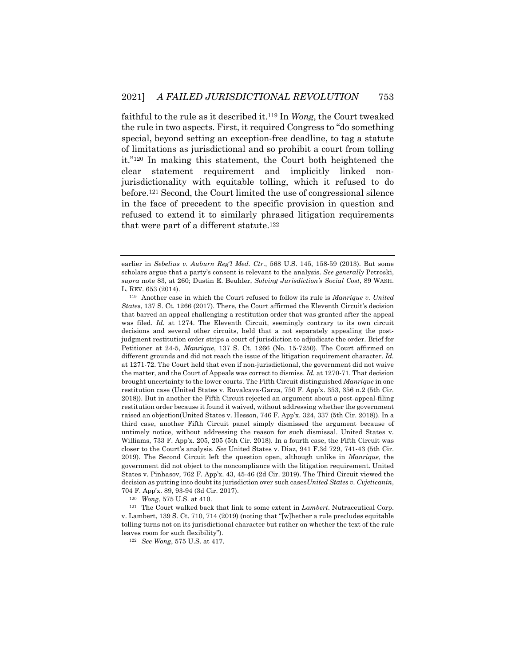faithful to the rule as it described it.119 In *Wong*, the Court tweaked the rule in two aspects. First, it required Congress to "do something special, beyond setting an exception-free deadline, to tag a statute of limitations as jurisdictional and so prohibit a court from tolling it."120 In making this statement, the Court both heightened the clear statement requirement and implicitly linked nonjurisdictionality with equitable tolling, which it refused to do before.121 Second, the Court limited the use of congressional silence in the face of precedent to the specific provision in question and refused to extend it to similarly phrased litigation requirements that were part of a different statute.122

<sup>120</sup> *Wong*, 575 U.S. at 410.

<sup>121</sup> The Court walked back that link to some extent in *Lambert*. Nutraceutical Corp. v. Lambert, 139 S. Ct. 710, 714 (2019) (noting that "[w]hether a rule precludes equitable tolling turns not on its jurisdictional character but rather on whether the text of the rule leaves room for such flexibility").

<sup>122</sup> *See Wong*, 575 U.S. at 417.

earlier in *Sebelius v. Auburn Reg'l Med. Ctr.*, 568 U.S. 145, 158-59 (2013). But some scholars argue that a party's consent is relevant to the analysis. *See generally* Petroski, *supra* note 83, at 260; Dustin E. Beuhler, *Solving Jurisdiction's Social Cost*, 89 WASH. L. REV. 653 (2014).

<sup>119</sup> Another case in which the Court refused to follow its rule is *Manrique v. United States*, 137 S. Ct. 1266 (2017). There, the Court affirmed the Eleventh Circuit's decision that barred an appeal challenging a restitution order that was granted after the appeal was filed. *Id.* at 1274. The Eleventh Circuit, seemingly contrary to its own circuit decisions and several other circuits, held that a not separately appealing the postjudgment restitution order strips a court of jurisdiction to adjudicate the order. Brief for Petitioner at 24-5, *Manrique*, 137 S. Ct. 1266 (No. 15-7250). The Court affirmed on different grounds and did not reach the issue of the litigation requirement character. *Id.*  at 1271-72. The Court held that even if non-jurisdictional, the government did not waive the matter, and the Court of Appeals was correct to dismiss. *Id.* at 1270-71. That decision brought uncertainty to the lower courts. The Fifth Circuit distinguished *Manrique* in one restitution case (United States v. Ruvalcava-Garza, 750 F. App'x. 353, 356 n.2 (5th Cir. 2018)). But in another the Fifth Circuit rejected an argument about a post-appeal-filing restitution order because it found it waived, without addressing whether the government raised an objection(United States v. Hesson, 746 F. App'x. 324, 337 (5th Cir. 2018)). In a third case, another Fifth Circuit panel simply dismissed the argument because of untimely notice, without addressing the reason for such dismissal. United States v. Williams, 733 F. App'x. 205, 205 (5th Cir. 2018). In a fourth case, the Fifth Circuit was closer to the Court's analysis. *See* United States v. Diaz, 941 F.3d 729, 741-43 (5th Cir. 2019). The Second Circuit left the question open, although unlike in *Manrique*, the government did not object to the noncompliance with the litigation requirement. United States v. Pinhasov, 762 F. App'x. 43, 45-46 (2d Cir. 2019). The Third Circuit viewed the decision as putting into doubt its jurisdiction over such cases*United States v. Cvjeticanin*, 704 F. App'x. 89, 93-94 (3d Cir. 2017).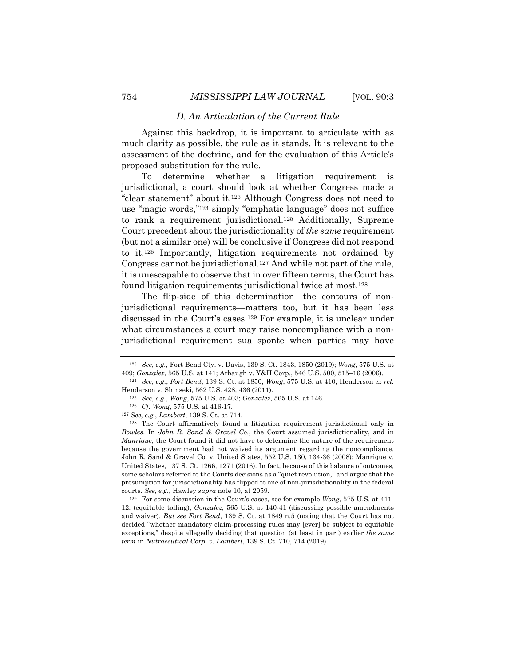### *D. An Articulation of the Current Rule*

Against this backdrop, it is important to articulate with as much clarity as possible, the rule as it stands. It is relevant to the assessment of the doctrine, and for the evaluation of this Article's proposed substitution for the rule.

To determine whether a litigation requirement is jurisdictional, a court should look at whether Congress made a "clear statement" about it.123 Although Congress does not need to use "magic words,"124 simply "emphatic language" does not suffice to rank a requirement jurisdictional.125 Additionally, Supreme Court precedent about the jurisdictionality of *the same* requirement (but not a similar one) will be conclusive if Congress did not respond to it.126 Importantly, litigation requirements not ordained by Congress cannot be jurisdictional.127 And while not part of the rule, it is unescapable to observe that in over fifteen terms, the Court has found litigation requirements jurisdictional twice at most.128

The flip-side of this determination—the contours of nonjurisdictional requirements—matters too, but it has been less discussed in the Court's cases.129 For example, it is unclear under what circumstances a court may raise noncompliance with a nonjurisdictional requirement sua sponte when parties may have

<sup>127</sup> *See*, *e.g.*, *Lambert*, 139 S. Ct. at 714.

<sup>128</sup> The Court affirmatively found a litigation requirement jurisdictional only in *Bowles*. In *John R. Sand & Gravel Co.*, the Court assumed jurisdictionality, and in *Manrique*, the Court found it did not have to determine the nature of the requirement because the government had not waived its argument regarding the noncompliance. John R. Sand & Gravel Co. v. United States, 552 U.S. 130, 134-36 (2008); Manrique v. United States, 137 S. Ct. 1266, 1271 (2016). In fact, because of this balance of outcomes, some scholars referred to the Courts decisions as a "quiet revolution," and argue that the presumption for jurisdictionality has flipped to one of non-jurisdictionality in the federal courts. *See*, *e.g.*, Hawley *supra* note 10, at 2059.

<sup>129</sup> For some discussion in the Court's cases, see for example *Wong*, 575 U.S. at 411- 12. (equitable tolling); *Gonzalez*, 565 U.S. at 140-41 (discussing possible amendments and waiver). *But see Fort Bend*, 139 S. Ct. at 1849 n.5 (noting that the Court has not decided "whether mandatory claim-processing rules may [ever] be subject to equitable exceptions," despite allegedly deciding that question (at least in part) earlier *the same term* in *Nutraceutical Corp. v. Lambert*, 139 S. Ct. 710, 714 (2019).

<sup>123</sup> *See*, *e.g.*, Fort Bend Cty. v. Davis, 139 S. Ct*.* 1843, 1850 (2019); *Wong*, 575 U.S. at 409; *Gonzalez*, 565 U.S. at 141; Arbaugh v. Y&H Corp., 546 U.S. 500, 515–16 (2006).

<sup>124</sup> *See*, *e.g.*, *Fort Bend*, 139 S. Ct. at 1850; *Wong*, 575 U.S. at 410; Henderson *ex rel.* Henderson v. Shinseki, 562 U.S. 428, 436 (2011).

<sup>125</sup> *See*, *e.g.*, *Wong*, 575 U.S. at 403; *Gonzalez*, 565 U.S. at 146.

<sup>126</sup> *Cf. Wong*, 575 U.S. at 416-17.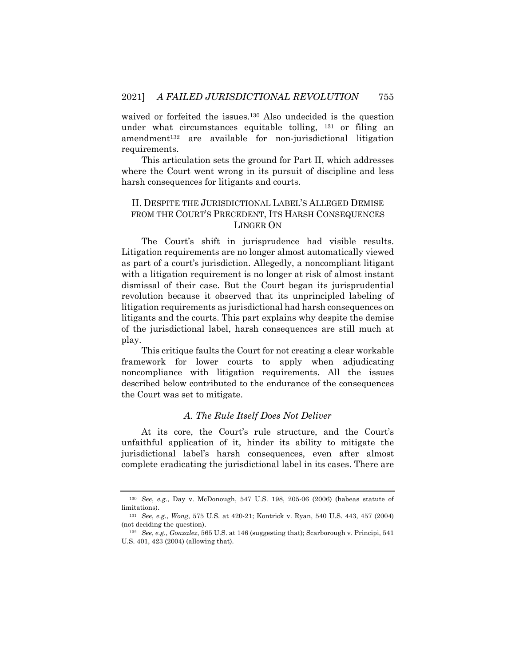waived or forfeited the issues.<sup>130</sup> Also undecided is the question under what circumstances equitable tolling, <sup>131</sup> or filing an amendment132 are available for non-jurisdictional litigation requirements.

This articulation sets the ground for Part II, which addresses where the Court went wrong in its pursuit of discipline and less harsh consequences for litigants and courts.

# II. DESPITE THE JURISDICTIONAL LABEL'S ALLEGED DEMISE FROM THE COURT'S PRECEDENT, ITS HARSH CONSEQUENCES LINGER ON

The Court's shift in jurisprudence had visible results. Litigation requirements are no longer almost automatically viewed as part of a court's jurisdiction. Allegedly, a noncompliant litigant with a litigation requirement is no longer at risk of almost instant dismissal of their case. But the Court began its jurisprudential revolution because it observed that its unprincipled labeling of litigation requirements as jurisdictional had harsh consequences on litigants and the courts. This part explains why despite the demise of the jurisdictional label, harsh consequences are still much at play.

This critique faults the Court for not creating a clear workable framework for lower courts to apply when adjudicating noncompliance with litigation requirements. All the issues described below contributed to the endurance of the consequences the Court was set to mitigate.

## *A. The Rule Itself Does Not Deliver*

At its core, the Court's rule structure, and the Court's unfaithful application of it, hinder its ability to mitigate the jurisdictional label's harsh consequences, even after almost complete eradicating the jurisdictional label in its cases. There are

<sup>130</sup> *See*, *e.g.*, Day v. McDonough, 547 U.S. 198, 205-06 (2006) (habeas statute of limitations).

<sup>131</sup> *See*, *e.g.*, *Wong*, 575 U.S. at 420-21; Kontrick v. Ryan, 540 U.S. 443, 457 (2004) (not deciding the question).

<sup>132</sup> *See*, *e.g.*, *Gonzalez*, 565 U.S. at 146 (suggesting that); Scarborough v. Principi, 541 U.S. 401, 423 (2004) (allowing that).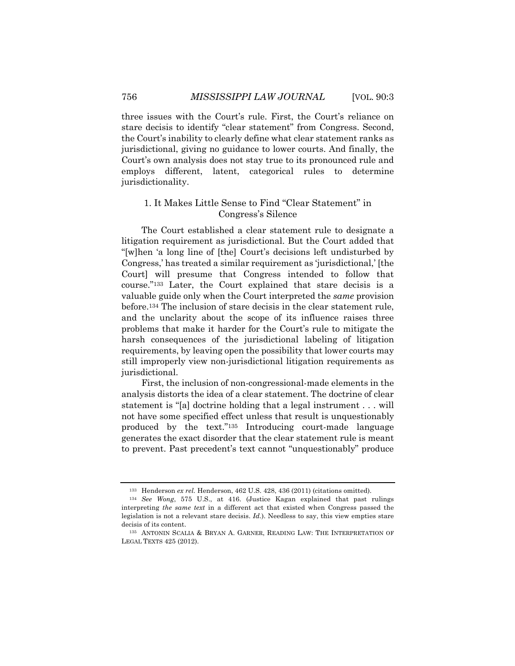three issues with the Court's rule. First, the Court's reliance on stare decisis to identify "clear statement" from Congress. Second, the Court's inability to clearly define what clear statement ranks as jurisdictional, giving no guidance to lower courts. And finally, the Court's own analysis does not stay true to its pronounced rule and employs different, latent, categorical rules to determine jurisdictionality.

## 1. It Makes Little Sense to Find "Clear Statement" in Congress's Silence

The Court established a clear statement rule to designate a litigation requirement as jurisdictional. But the Court added that "[w]hen 'a long line of [the] Court's decisions left undisturbed by Congress,' has treated a similar requirement as 'jurisdictional,' [the Court] will presume that Congress intended to follow that course."133 Later, the Court explained that stare decisis is a valuable guide only when the Court interpreted the *same* provision before.134 The inclusion of stare decisis in the clear statement rule, and the unclarity about the scope of its influence raises three problems that make it harder for the Court's rule to mitigate the harsh consequences of the jurisdictional labeling of litigation requirements, by leaving open the possibility that lower courts may still improperly view non-jurisdictional litigation requirements as jurisdictional.

First, the inclusion of non-congressional-made elements in the analysis distorts the idea of a clear statement. The doctrine of clear statement is "[a] doctrine holding that a legal instrument . . . will not have some specified effect unless that result is unquestionably produced by the text."135 Introducing court-made language generates the exact disorder that the clear statement rule is meant to prevent. Past precedent's text cannot "unquestionably" produce

<sup>&</sup>lt;sup>133</sup> Henderson *ex rel.* Henderson, 462 U.S. 428, 436 (2011) (citations omitted).

<sup>134</sup> *See Wong*, 575 U.S., at 416. (Justice Kagan explained that past rulings interpreting *the same text* in a different act that existed when Congress passed the legislation is not a relevant stare decisis. *Id.*). Needless to say, this view empties stare decisis of its content.

<sup>135</sup> ANTONIN SCALIA & BRYAN A. GARNER, READING LAW: THE INTERPRETATION OF LEGAL TEXTS 425 (2012).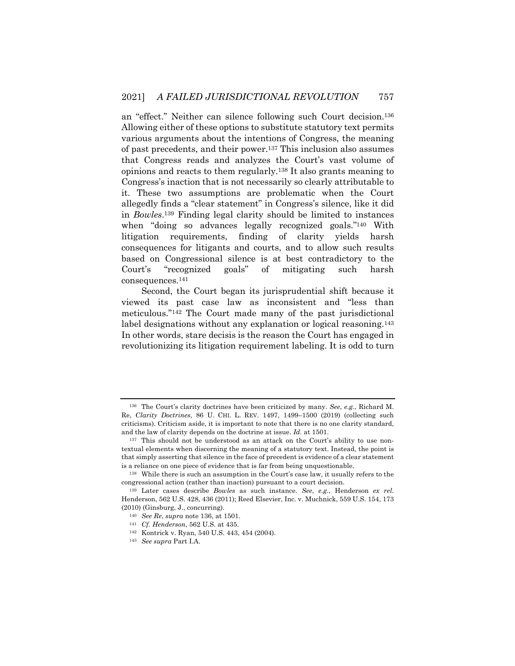an "effect." Neither can silence following such Court decision.136 Allowing either of these options to substitute statutory text permits various arguments about the intentions of Congress, the meaning of past precedents, and their power.137 This inclusion also assumes that Congress reads and analyzes the Court's vast volume of opinions and reacts to them regularly.138 It also grants meaning to Congress's inaction that is not necessarily so clearly attributable to it. These two assumptions are problematic when the Court allegedly finds a "clear statement" in Congress's silence, like it did in *Bowles*.139 Finding legal clarity should be limited to instances when "doing so advances legally recognized goals."<sup>140</sup> With litigation requirements, finding of clarity yields harsh consequences for litigants and courts, and to allow such results based on Congressional silence is at best contradictory to the Court's "recognized goals" of mitigating such harsh consequences.141

Second, the Court began its jurisprudential shift because it viewed its past case law as inconsistent and "less than meticulous."142 The Court made many of the past jurisdictional label designations without any explanation or logical reasoning.<sup>143</sup> In other words, stare decisis is the reason the Court has engaged in revolutionizing its litigation requirement labeling. It is odd to turn

<sup>136</sup> The Court's clarity doctrines have been criticized by many. *See*, *e.g.*, Richard M. Re, *Clarity Doctrines*, 86 U. CHI. L. REV. 1497, 1499–1500 (2019) (collecting such criticisms). Criticism aside, it is important to note that there is no one clarity standard, and the law of clarity depends on the doctrine at issue. *Id.* at 1501.

<sup>137</sup> This should not be understood as an attack on the Court's ability to use nontextual elements when discerning the meaning of a statutory text. Instead, the point is that simply asserting that silence in the face of precedent is evidence of a clear statement is a reliance on one piece of evidence that is far from being unquestionable.

<sup>138</sup> While there is such an assumption in the Court's case law, it usually refers to the congressional action (rather than inaction) pursuant to a court decision.

<sup>139</sup> Later cases describe *Bowles* as such instance. *See*, *e.g.*, Henderson *ex rel.*  Henderson, 562 U.S. 428, 436 (2011); Reed Elsevier, Inc. v. Muchnick, 559 U.S. 154, 173 (2010) (Ginsburg, J., concurring).

<sup>140</sup> *See Re*, *supra* note 136, at 1501.

<sup>141</sup> *Cf. Henderson*, 562 U.S. at 435.

<sup>142</sup> Kontrick v. Ryan, 540 U.S. 443, 454 (2004).

<sup>143</sup> *See supra* Part I.A.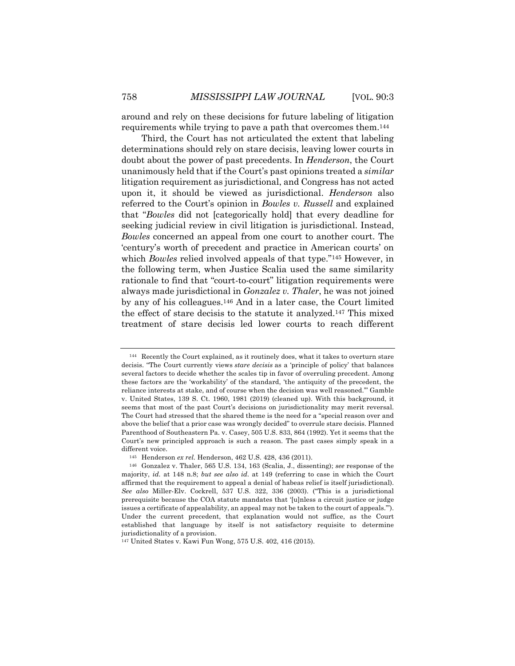around and rely on these decisions for future labeling of litigation requirements while trying to pave a path that overcomes them.144

Third, the Court has not articulated the extent that labeling determinations should rely on stare decisis, leaving lower courts in doubt about the power of past precedents. In *Henderson*, the Court unanimously held that if the Court's past opinions treated a *similar* litigation requirement as jurisdictional, and Congress has not acted upon it, it should be viewed as jurisdictional. *Henderson* also referred to the Court's opinion in *Bowles v. Russell* and explained that "*Bowles* did not [categorically hold] that every deadline for seeking judicial review in civil litigation is jurisdictional. Instead, *Bowles* concerned an appeal from one court to another court. The 'century's worth of precedent and practice in American courts' on which *Bowles* relied involved appeals of that type."145 However, in the following term, when Justice Scalia used the same similarity rationale to find that "court-to-court" litigation requirements were always made jurisdictional in *Gonzalez v. Thaler*, he was not joined by any of his colleagues.146 And in a later case, the Court limited the effect of stare decisis to the statute it analyzed.147 This mixed treatment of stare decisis led lower courts to reach different

<sup>144</sup> Recently the Court explained, as it routinely does, what it takes to overturn stare decisis. "The Court currently views *stare decisis* as a 'principle of policy' that balances several factors to decide whether the scales tip in favor of overruling precedent. Among these factors are the 'workability' of the standard, 'the antiquity of the precedent, the reliance interests at stake, and of course when the decision was well reasoned.'" Gamble v. United States, 139 S. Ct. 1960, 1981 (2019) (cleaned up). With this background, it seems that most of the past Court's decisions on jurisdictionality may merit reversal. The Court had stressed that the shared theme is the need for a "special reason over and above the belief that a prior case was wrongly decided" to overrule stare decisis. Planned Parenthood of Southeastern Pa. v. Casey, 505 U.S. 833, 864 (1992). Yet it seems that the Court's new principled approach is such a reason. The past cases simply speak in a different voice.

<sup>145</sup> Henderson *ex rel.* Henderson, 462 U.S. 428, 436 (2011).

<sup>146</sup> Gonzalez v. Thaler, 565 U.S. 134, 163 (Scalia, J., dissenting); *see* response of the majority, *id.* at 148 n.8; *but see also id.* at 149 (referring to case in which the Court affirmed that the requirement to appeal a denial of habeas relief is itself jurisdictional). *See also* Miller-Elv. Cockrell, 537 U.S. 322, 336 (2003). ("This is a jurisdictional prerequisite because the COA statute mandates that '[u]nless a circuit justice or judge issues a certificate of appealability, an appeal may not be taken to the court of appeals.'"). Under the current precedent, that explanation would not suffice, as the Court established that language by itself is not satisfactory requisite to determine jurisdictionality of a provision.

<sup>147</sup> United States v. Kawi Fun Wong, 575 U.S. 402, 416 (2015).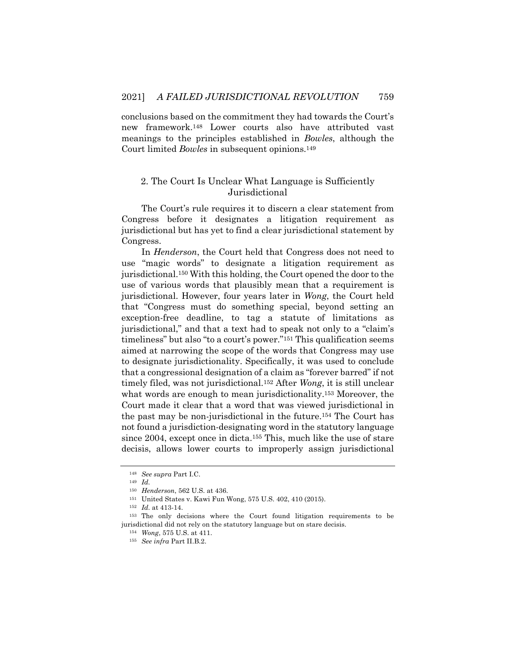conclusions based on the commitment they had towards the Court's new framework.148 Lower courts also have attributed vast meanings to the principles established in *Bowles*, although the Court limited *Bowles* in subsequent opinions.149

## 2. The Court Is Unclear What Language is Sufficiently Jurisdictional

The Court's rule requires it to discern a clear statement from Congress before it designates a litigation requirement as jurisdictional but has yet to find a clear jurisdictional statement by Congress.

In *Henderson*, the Court held that Congress does not need to use "magic words" to designate a litigation requirement as jurisdictional.150 With this holding, the Court opened the door to the use of various words that plausibly mean that a requirement is jurisdictional. However, four years later in *Wong*, the Court held that "Congress must do something special, beyond setting an exception-free deadline, to tag a statute of limitations as jurisdictional," and that a text had to speak not only to a "claim's timeliness" but also "to a court's power."151 This qualification seems aimed at narrowing the scope of the words that Congress may use to designate jurisdictionality. Specifically, it was used to conclude that a congressional designation of a claim as "forever barred" if not timely filed, was not jurisdictional.152 After *Wong*, it is still unclear what words are enough to mean jurisdictionality.<sup>153</sup> Moreover, the Court made it clear that a word that was viewed jurisdictional in the past may be non-jurisdictional in the future.154 The Court has not found a jurisdiction-designating word in the statutory language since 2004, except once in dicta.155 This, much like the use of stare decisis, allows lower courts to improperly assign jurisdictional

<sup>148</sup> *See supra* Part I.C.

<sup>149</sup> *Id.*

<sup>150</sup> *Henderson*, 562 U.S. at 436.

<sup>151</sup> United States v. Kawi Fun Wong, 575 U.S. 402, 410 (2015).

<sup>152</sup> *Id.* at 413-14.

<sup>153</sup> The only decisions where the Court found litigation requirements to be jurisdictional did not rely on the statutory language but on stare decisis.

<sup>154</sup> *Wong*, 575 U.S. at 411.

<sup>155</sup> *See infra* Part II.B.2.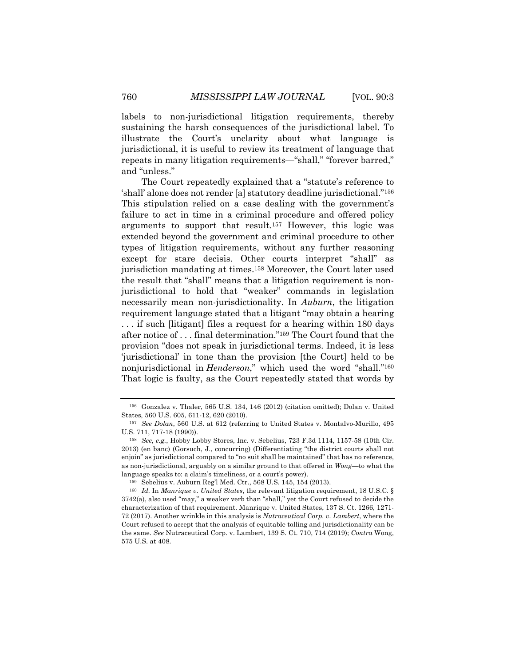labels to non-jurisdictional litigation requirements, thereby sustaining the harsh consequences of the jurisdictional label. To illustrate the Court's unclarity about what language is jurisdictional, it is useful to review its treatment of language that repeats in many litigation requirements—"shall," "forever barred," and "unless."

The Court repeatedly explained that a "statute's reference to 'shall' alone does not render [a] statutory deadline jurisdictional."156 This stipulation relied on a case dealing with the government's failure to act in time in a criminal procedure and offered policy arguments to support that result.157 However, this logic was extended beyond the government and criminal procedure to other types of litigation requirements, without any further reasoning except for stare decisis. Other courts interpret "shall" as jurisdiction mandating at times.158 Moreover, the Court later used the result that "shall" means that a litigation requirement is nonjurisdictional to hold that "weaker" commands in legislation necessarily mean non-jurisdictionality. In *Auburn*, the litigation requirement language stated that a litigant "may obtain a hearing . . . if such [litigant] files a request for a hearing within 180 days after notice of . . . final determination."159 The Court found that the provision "does not speak in jurisdictional terms. Indeed, it is less 'jurisdictional' in tone than the provision [the Court] held to be nonjurisdictional in *Henderson*," which used the word "shall."160 That logic is faulty, as the Court repeatedly stated that words by

<sup>156</sup> Gonzalez v. Thaler, 565 U.S. 134, 146 (2012) (citation omitted); Dolan v. United States*,* 560 U.S. 605, 611-12, 620 (2010).

<sup>157</sup> *See Dolan*, 560 U.S. at 612 (referring to United States v. Montalvo-Murillo, 495 U.S. 711, 717-18 (1990)).

<sup>158</sup> *See, e.g.*, Hobby Lobby Stores, Inc. v. Sebelius, 723 F.3d 1114, 1157-58 (10th Cir. 2013) (en banc) (Gorsuch, J., concurring) (Differentiating "the district courts shall not enjoin" as jurisdictional compared to "no suit shall be maintained" that has no reference, as non-jurisdictional, arguably on a similar ground to that offered in *Wong*—to what the language speaks to: a claim's timeliness, or a court's power).

<sup>159</sup> Sebelius v. Auburn Reg'l Med. Ctr., 568 U.S. 145, 154 (2013).

<sup>160</sup> *Id.* In *Manrique v. United States*, the relevant litigation requirement, 18 U.S.C. § 3742(a), also used "may," a weaker verb than "shall," yet the Court refused to decide the characterization of that requirement. Manrique v. United States, 137 S. Ct. 1266, 1271- 72 (2017). Another wrinkle in this analysis is *Nutraceutical Corp. v. Lambert*, where the Court refused to accept that the analysis of equitable tolling and jurisdictionality can be the same. *See* Nutraceutical Corp. v. Lambert, 139 S. Ct. 710, 714 (2019); *Contra* Wong, 575 U.S. at 408.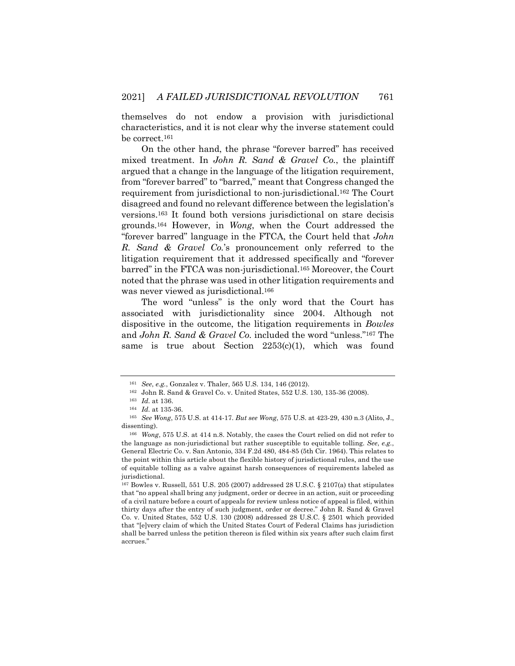themselves do not endow a provision with jurisdictional characteristics, and it is not clear why the inverse statement could be correct.161

On the other hand, the phrase "forever barred" has received mixed treatment. In *John R. Sand & Gravel Co.*, the plaintiff argued that a change in the language of the litigation requirement, from "forever barred" to "barred," meant that Congress changed the requirement from jurisdictional to non-jurisdictional.162 The Court disagreed and found no relevant difference between the legislation's versions.163 It found both versions jurisdictional on stare decisis grounds.164 However, in *Wong*, when the Court addressed the "forever barred" language in the FTCA, the Court held that *John R. Sand & Gravel Co.*'s pronouncement only referred to the litigation requirement that it addressed specifically and "forever barred" in the FTCA was non-jurisdictional.165 Moreover, the Court noted that the phrase was used in other litigation requirements and was never viewed as jurisdictional.166

The word "unless" is the only word that the Court has associated with jurisdictionality since 2004. Although not dispositive in the outcome, the litigation requirements in *Bowles*  and *John R. Sand & Gravel Co.* included the word "unless."167 The same is true about Section 2253(c)(1), which was found

<sup>161</sup> *See*, *e.g.*, Gonzalez v. Thaler, 565 U.S. 134, 146 (2012).

<sup>162</sup> John R. Sand & Gravel Co. v. United States, 552 U.S. 130, 135-36 (2008).

<sup>163</sup> *Id.* at 136.

<sup>164</sup> *Id.* at 135-36.

<sup>165</sup> *See Wong*, 575 U.S. at 414-17. *But see Wong*, 575 U.S. at 423-29, 430 n.3 (Alito, J., dissenting).

<sup>166</sup> *Wong*, 575 U.S. at 414 n.8. Notably, the cases the Court relied on did not refer to the language as non-jurisdictional but rather susceptible to equitable tolling. *See*, *e.g.*, General Electric Co. v. San Antonio, 334 F.2d 480, 484-85 (5th Cir. 1964). This relates to the point within this article about the flexible history of jurisdictional rules, and the use of equitable tolling as a valve against harsh consequences of requirements labeled as jurisdictional.

 $167$  Bowles v. Russell, 551 U.S. 205 (2007) addressed 28 U.S.C. § 2107(a) that stipulates that "no appeal shall bring any judgment, order or decree in an action, suit or proceeding of a civil nature before a court of appeals for review unless notice of appeal is filed, within thirty days after the entry of such judgment, order or decree." John R. Sand & Gravel Co. v. United States, 552 U.S. 130 (2008) addressed 28 U.S.C. § 2501 which provided that "[e]very claim of which the United States Court of Federal Claims has jurisdiction shall be barred unless the petition thereon is filed within six years after such claim first accrues."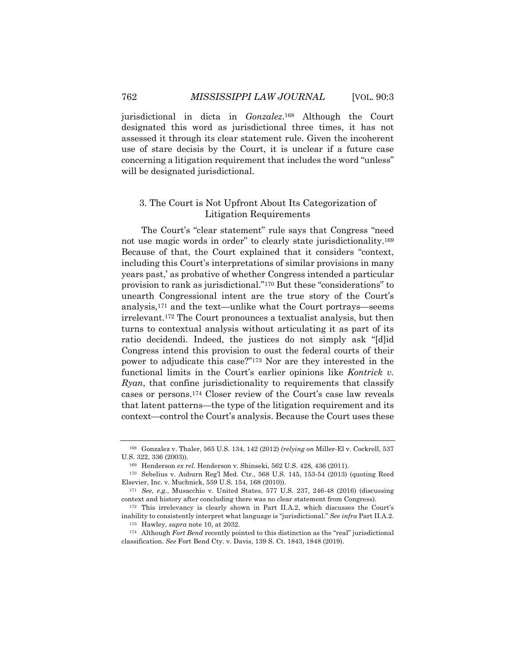jurisdictional in dicta in *Gonzalez*.168 Although the Court designated this word as jurisdictional three times, it has not assessed it through its clear statement rule. Given the incoherent use of stare decisis by the Court, it is unclear if a future case concerning a litigation requirement that includes the word "unless" will be designated jurisdictional.

## 3. The Court is Not Upfront About Its Categorization of Litigation Requirements

The Court's "clear statement" rule says that Congress "need not use magic words in order" to clearly state jurisdictionality.169 Because of that, the Court explained that it considers "context, including this Court's interpretations of similar provisions in many years past,' as probative of whether Congress intended a particular provision to rank as jurisdictional."170 But these "considerations" to unearth Congressional intent are the true story of the Court's analysis,171 and the text—unlike what the Court portrays—seems irrelevant.172 The Court pronounces a textualist analysis, but then turns to contextual analysis without articulating it as part of its ratio decidendi. Indeed, the justices do not simply ask "[d]id Congress intend this provision to oust the federal courts of their power to adjudicate this case?"173 Nor are they interested in the functional limits in the Court's earlier opinions like *Kontrick v. Ryan*, that confine jurisdictionality to requirements that classify cases or persons.174 Closer review of the Court's case law reveals that latent patterns—the type of the litigation requirement and its context—control the Court's analysis. Because the Court uses these

<sup>168</sup> Gonzalez v. Thaler, 565 U.S. 134, 142 (2012) *(relying on* Miller-El v. Cockrell, 537 U.S. 322, 336 (2003)).

<sup>169</sup> Henderson *ex rel.* Henderson v. Shinseki, 562 U.S. 428, 436 (2011).

<sup>170</sup> Sebelius v. Auburn Reg'l Med. Ctr*.*, 568 U.S. 145, 153-54 (2013) (quoting Reed Elsevier, Inc. v. Muchnick, 559 U.S. 154, 168 (2010)).

<sup>171</sup> *See*, *e.g.*, Musacchio v. United States, 577 U.S. 237, 246-48 (2016) (discussing context and history after concluding there was no clear statement from Congress).

<sup>172</sup> This irrelevancy is clearly shown in Part II.A.2, which discusses the Court's inability to consistently interpret what language is "jurisdictional." *See infra* Part II.A.2. <sup>173</sup> Hawley, *supra* note 10, at 2032.

<sup>174</sup> Although *Fort Bend* recently pointed to this distinction as the "real" jurisdictional classification. *See* Fort Bend Cty. v. Davis, 139 S. Ct. 1843, 1848 (2019).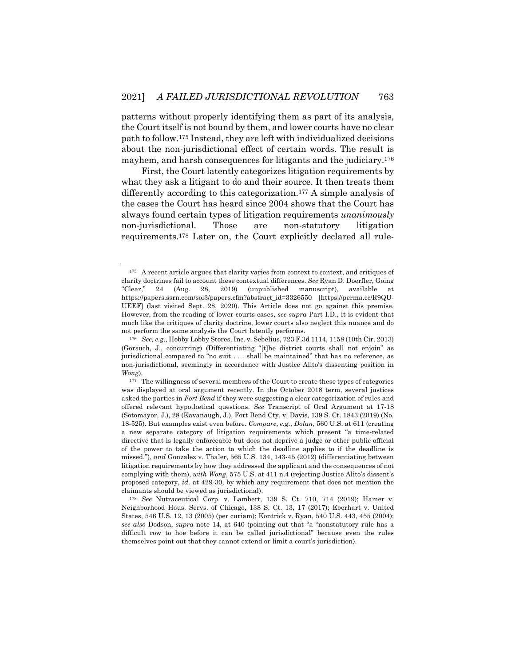patterns without properly identifying them as part of its analysis, the Court itself is not bound by them, and lower courts have no clear path to follow.175 Instead, they are left with individualized decisions about the non-jurisdictional effect of certain words. The result is mayhem, and harsh consequences for litigants and the judiciary.176

First, the Court latently categorizes litigation requirements by what they ask a litigant to do and their source. It then treats them differently according to this categorization.177 A simple analysis of the cases the Court has heard since 2004 shows that the Court has always found certain types of litigation requirements *unanimously* non-jurisdictional. Those are non-statutory litigation requirements.178 Later on, the Court explicitly declared all rule-

<sup>175</sup> A recent article argues that clarity varies from context to context, and critiques of clarity doctrines fail to account these contextual differences. *See* Ryan D. Doerfler, Going "Clear," 24 (Aug. 28, 2019) (unpublished manuscript), available at https://papers.ssrn.com/sol3/papers.cfm?abstract\_id=3326550 [https://perma.cc/R9QU-UEEF] (last visited Sept. 28, 2020). This Article does not go against this premise. However, from the reading of lower courts cases, *see supra* Part I.D., it is evident that much like the critiques of clarity doctrine, lower courts also neglect this nuance and do not perform the same analysis the Court latently performs.

<sup>176</sup> *See, e.g.*, Hobby Lobby Stores, Inc. v. Sebelius, 723 F.3d 1114, 1158 (10th Cir. 2013) (Gorsuch, J., concurring) (Differentiating "[t]he district courts shall not enjoin" as jurisdictional compared to "no suit . . . shall be maintained" that has no reference, as non-jurisdictional, seemingly in accordance with Justice Alito's dissenting position in *Wong*).

<sup>&</sup>lt;sup>177</sup> The willingness of several members of the Court to create these types of categories was displayed at oral argument recently. In the October 2018 term, several justices asked the parties in *Fort Bend* if they were suggesting a clear categorization of rules and offered relevant hypothetical questions. *See* Transcript of Oral Argument at 17-18 (Sotomayor, J.), 28 (Kavanaugh, J.), Fort Bend Cty. v. Davis, 139 S. Ct. 1843 (2019) (No. 18-525). But examples exist even before. *Compare*, *e.g.*, *Dolan*, 560 U.S. at 611 (creating a new separate category of litigation requirements which present "a time-related directive that is legally enforceable but does not deprive a judge or other public official of the power to take the action to which the deadline applies to if the deadline is missed."), *and* Gonzalez v. Thaler, 565 U.S. 134, 143-45 (2012) (differentiating between litigation requirements by how they addressed the applicant and the consequences of not complying with them), *with Wong*, 575 U.S. at 411 n.4 (rejecting Justice Alito's dissent's proposed category, *id.* at 429-30, by which any requirement that does not mention the claimants should be viewed as jurisdictional).

<sup>178</sup> *See* Nutraceutical Corp. v. Lambert, 139 S. Ct. 710, 714 (2019); Hamer v. Neighborhood Hous. Servs. of Chicago, 138 S. Ct. 13, 17 (2017); Eberhart v. United States, 546 U.S. 12, 13 (2005) (per curiam); Kontrick v. Ryan, 540 U.S. 443, 455 (2004); *see also* Dodson, *supra* note 14, at 640 (pointing out that "a "nonstatutory rule has a difficult row to hoe before it can be called jurisdictional" because even the rules themselves point out that they cannot extend or limit a court's jurisdiction).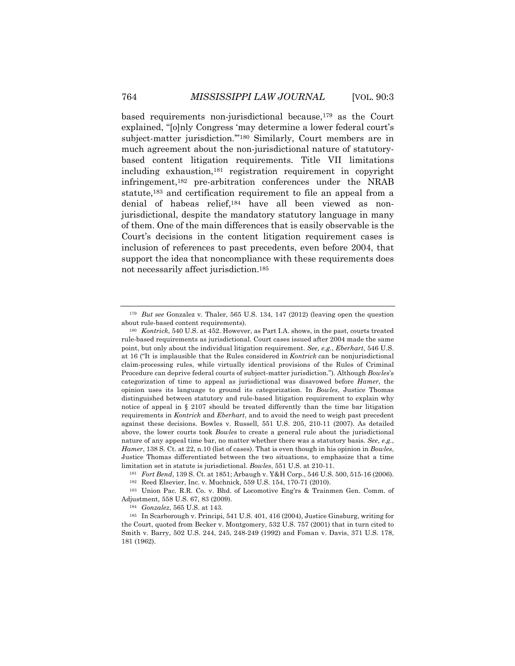based requirements non-jurisdictional because,<sup>179</sup> as the Court explained, "[o]nly Congress 'may determine a lower federal court's subject-matter jurisdiction.'"180 Similarly, Court members are in much agreement about the non-jurisdictional nature of statutorybased content litigation requirements. Title VII limitations including exhaustion,181 registration requirement in copyright infringement,182 pre-arbitration conferences under the NRAB statute,183 and certification requirement to file an appeal from a denial of habeas relief,184 have all been viewed as nonjurisdictional, despite the mandatory statutory language in many of them. One of the main differences that is easily observable is the Court's decisions in the content litigation requirement cases is inclusion of references to past precedents, even before 2004, that support the idea that noncompliance with these requirements does not necessarily affect jurisdiction.185

<sup>179</sup> *But see* Gonzalez v. Thaler, 565 U.S. 134, 147 (2012) (leaving open the question about rule-based content requirements).

<sup>180</sup> *Kontrick*, 540 U.S. at 452. However, as Part I.A. shows, in the past, courts treated rule-based requirements as jurisdictional. Court cases issued after 2004 made the same point, but only about the individual litigation requirement. *See, e.g.*, *Eberhart*, 546 U.S. at 16 ("It is implausible that the Rules considered in *Kontrick* can be nonjurisdictional claim-processing rules, while virtually identical provisions of the Rules of Criminal Procedure can deprive federal courts of subject-matter jurisdiction."). Although *Bowles*'s categorization of time to appeal as jurisdictional was disavowed before *Hamer*, the opinion uses its language to ground its categorization. In *Bowles*, Justice Thomas distinguished between statutory and rule-based litigation requirement to explain why notice of appeal in § 2107 should be treated differently than the time bar litigation requirements in *Kontrick* and *Eberhart*, and to avoid the need to weigh past precedent against these decisions. Bowles v. Russell, 551 U.S. 205, 210-11 (2007). As detailed above, the lower courts took *Bowles* to create a general rule about the jurisdictional nature of any appeal time bar, no matter whether there was a statutory basis. *See*, *e.g.*, *Hamer*, 138 S. Ct. at 22, n.10 (list of cases). That is even though in his opinion in *Bowles*, Justice Thomas differentiated between the two situations, to emphasize that a time limitation set in statute is jurisdictional. *Bowles*, 551 U.S. at 210-11.

<sup>181</sup> *Fort Bend*, 139 S. Ct. at 1851; Arbaugh v. Y&H Corp., 546 U.S. 500, 515-16 (2006).

<sup>182</sup> Reed Elsevier, Inc. v. Muchnick*,* 559 U.S. 154, 170-71 (2010).

<sup>183</sup> Union Pac. R.R. Co. v. Bhd. of Locomotive Eng'rs & Trainmen Gen. Comm. of Adjustment*,* 558 U.S. 67, 83 (2009).

<sup>184</sup> *Gonzalez*, 565 U.S. at 143.

<sup>185</sup> In Scarborough v. Principi, 541 U.S. 401, 416 (2004), Justice Ginsburg, writing for the Court, quoted from Becker v. Montgomery, 532 U.S. 757 (2001) that in turn cited to Smith v. Barry, 502 U.S. 244, 245, 248-249 (1992) and Foman v. Davis, 371 U.S. 178, 181 (1962).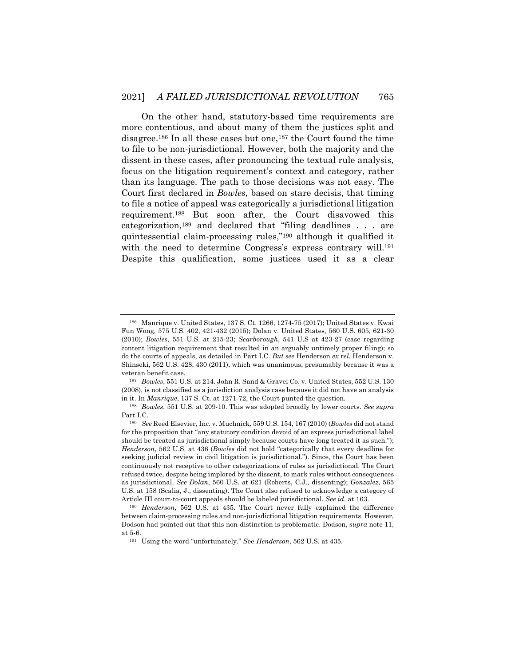On the other hand, statutory-based time requirements are more contentious, and about many of them the justices split and disagree.186 In all these cases but one,187 the Court found the time to file to be non-jurisdictional. However, both the majority and the dissent in these cases, after pronouncing the textual rule analysis, focus on the litigation requirement's context and category, rather than its language. The path to those decisions was not easy. The Court first declared in *Bowles*, based on stare decisis, that timing to file a notice of appeal was categorically a jurisdictional litigation requirement.188 But soon after, the Court disavowed this categorization,189 and declared that "filing deadlines . . . are quintessential claim-processing rules,"190 although it qualified it with the need to determine Congress's express contrary will.<sup>191</sup> Despite this qualification, some justices used it as a clear

<sup>186</sup> Manrique v. United States, 137 S. Ct. 1266, 1274-75 (2017); United States v. Kwai Fun Wong, 575 U.S. 402, 421-432 (2015); Dolan v. United States*,* 560 U.S. 605, 621-30 (2010); *Bowles*, 551 U.S. at 215-23; *Scarborough*, 541 U.S at 423-27 (case regarding content litigation requirement that resulted in an arguably untimely proper filing); so do the courts of appeals, as detailed in Part I.C. *But see* Henderson *ex rel.* Henderson v. Shinseki, 562 U.S. 428, 430 (2011), which was unanimous, presumably because it was a veteran benefit case.

<sup>187</sup> *Bowles*, 551 U.S. at 214. John R. Sand & Gravel Co. v. United States, 552 U.S. 130 (2008), is not classified as a jurisdiction analysis case because it did not have an analysis in it. In *Manrique*, 137 S. Ct. at 1271-72, the Court punted the question.

<sup>188</sup> *Bowles*, 551 U.S. at 209-10. This was adopted broadly by lower courts. *See supra*  Part I.C.

<sup>189</sup> *See* Reed Elsevier, Inc. v. Muchnick*,* 559 U.S. 154, 167 (2010) (*Bowles* did not stand for the proposition that "any statutory condition devoid of an express jurisdictional label should be treated as jurisdictional simply because courts have long treated it as such."); *Henderson*, 562 U.S. at 436 (*Bowles* did not hold "categorically that every deadline for seeking judicial review in civil litigation is jurisdictional."). Since, the Court has been continuously not receptive to other categorizations of rules as jurisdictional. The Court refused twice, despite being implored by the dissent, to mark rules without consequences as jurisdictional. *See Dolan*, 560 U.S. at 621 (Roberts, C.J., dissenting); *Gonzalez*, 565 U.S. at 158 (Scalia, J., dissenting). The Court also refused to acknowledge a category of Article III court-to-court appeals should be labeled jurisdictional. *See id*. at 163.

<sup>190</sup> *Henderson*, 562 U.S. at 435. The Court never fully explained the difference between claim-processing rules and non-jurisdictional litigation requirements. However, Dodson had pointed out that this non-distinction is problematic. Dodson, *supra* note 11, at 5-6.

<sup>191</sup> Using the word "unfortunately." *S*ee *Henderson*, 562 U.S. at 435.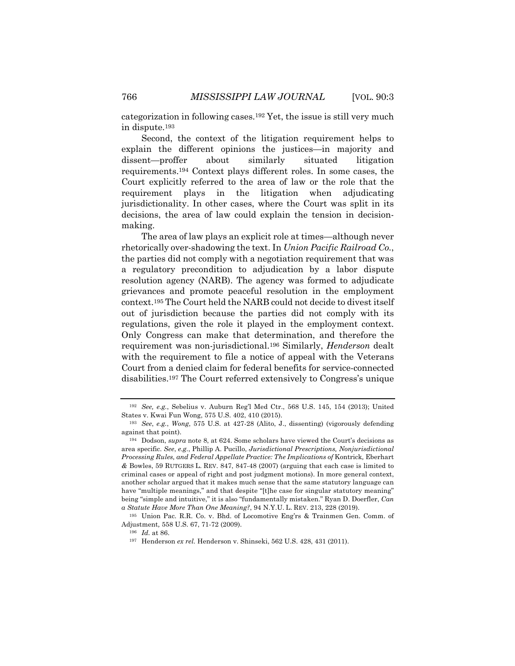categorization in following cases.192 Yet, the issue is still very much in dispute.193

Second, the context of the litigation requirement helps to explain the different opinions the justices—in majority and dissent—proffer about similarly situated litigation requirements.194 Context plays different roles. In some cases, the Court explicitly referred to the area of law or the role that the requirement plays in the litigation when adjudicating jurisdictionality. In other cases, where the Court was split in its decisions, the area of law could explain the tension in decisionmaking.

The area of law plays an explicit role at times—although never rhetorically over-shadowing the text. In *Union Pacific Railroad Co.*, the parties did not comply with a negotiation requirement that was a regulatory precondition to adjudication by a labor dispute resolution agency (NARB). The agency was formed to adjudicate grievances and promote peaceful resolution in the employment context.195 The Court held the NARB could not decide to divest itself out of jurisdiction because the parties did not comply with its regulations, given the role it played in the employment context. Only Congress can make that determination, and therefore the requirement was non-jurisdictional.196 Similarly, *Henderson* dealt with the requirement to file a notice of appeal with the Veterans Court from a denied claim for federal benefits for service-connected disabilities.197 The Court referred extensively to Congress's unique

<sup>192</sup> *See, e.g.*, Sebelius v. Auburn Reg'l Med Ctr., 568 U.S. 145, 154 (2013); United States v. Kwai Fun Wong, 575 U.S. 402, 410 (2015).

<sup>193</sup> *See*, *e.g.*, *Wong*, 575 U.S. at 427-28 (Alito, J., dissenting) (vigorously defending against that point).

<sup>194</sup> Dodson, *supra* note 8, at 624. Some scholars have viewed the Court's decisions as area specific. *See*, *e.g.*, Phillip A. Pucillo, *Jurisdictional Prescriptions, Nonjurisdictional Processing Rules, and Federal Appellate Practice: The Implications of* Kontrick*,* Eberhart *&* Bowles, 59 RUTGERS L. REV. 847, 847-48 (2007) (arguing that each case is limited to criminal cases or appeal of right and post judgment motions). In more general context, another scholar argued that it makes much sense that the same statutory language can have "multiple meanings," and that despite "[t]he case for singular statutory meaning" being "simple and intuitive," it is also "fundamentally mistaken." Ryan D. Doerfler, *Can a Statute Have More Than One Meaning?*, 94 N.Y.U. L. REV. 213, 228 (2019).

<sup>195</sup> Union Pac. R.R. Co. v. Bhd. of Locomotive Eng'rs & Trainmen Gen. Comm. of Adjustment*,* 558 U.S. 67, 71-72 (2009).

<sup>196</sup> *Id.* at 86.

<sup>&</sup>lt;sup>197</sup> Henderson *ex rel.* Henderson v. Shinseki, 562 U.S. 428, 431 (2011).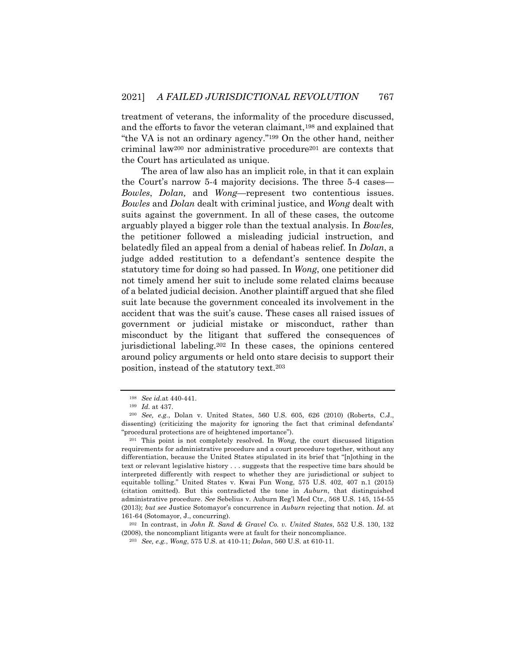treatment of veterans, the informality of the procedure discussed, and the efforts to favor the veteran claimant,198 and explained that "the VA is not an ordinary agency."199 On the other hand, neither criminal law<sup>200</sup> nor administrative procedure<sup>201</sup> are contexts that the Court has articulated as unique.

The area of law also has an implicit role, in that it can explain the Court's narrow 5-4 majority decisions. The three 5-4 cases— *Bowles*, *Dolan,* and *Wong*—represent two contentious issues. *Bowles* and *Dolan* dealt with criminal justice, and *Wong* dealt with suits against the government. In all of these cases, the outcome arguably played a bigger role than the textual analysis. In *Bowles,* the petitioner followed a misleading judicial instruction, and belatedly filed an appeal from a denial of habeas relief. In *Dolan*, a judge added restitution to a defendant's sentence despite the statutory time for doing so had passed. In *Wong*, one petitioner did not timely amend her suit to include some related claims because of a belated judicial decision. Another plaintiff argued that she filed suit late because the government concealed its involvement in the accident that was the suit's cause. These cases all raised issues of government or judicial mistake or misconduct, rather than misconduct by the litigant that suffered the consequences of jurisdictional labeling.202 In these cases, the opinions centered around policy arguments or held onto stare decisis to support their position, instead of the statutory text.203

<sup>198</sup> *See id.*at 440-441.

<sup>199</sup> *Id.* at 437.

<sup>200</sup> *See, e.g.*, Dolan v. United States, 560 U.S. 605, 626 (2010) (Roberts, C.J., dissenting) (criticizing the majority for ignoring the fact that criminal defendants' "procedural protections are of heightened importance").

<sup>201</sup> This point is not completely resolved. In *Wong,* the court discussed litigation requirements for administrative procedure and a court procedure together, without any differentiation, because the United States stipulated in its brief that "[n]othing in the text or relevant legislative history . . . suggests that the respective time bars should be interpreted differently with respect to whether they are jurisdictional or subject to equitable tolling." United States v. Kwai Fun Wong, 575 U.S. 402, 407 n.1 (2015) (citation omitted). But this contradicted the tone in *Auburn*, that distinguished administrative procedure. *See* Sebelius v. Auburn Reg'l Med Ctr., 568 U.S. 145, 154-55 (2013); *but see* Justice Sotomayor's concurrence in *Auburn* rejecting that notion. *Id.* at 161-64 (Sotomayor, J., concurring).

<sup>202</sup> In contrast, in *John R. Sand & Gravel Co. v. United States*, 552 U.S. 130, 132 (2008), the noncompliant litigants were at fault for their noncompliance.

<sup>203</sup> *See, e.g.*, *Wong*, 575 U.S. at 410-11; *Dolan*, 560 U.S. at 610-11.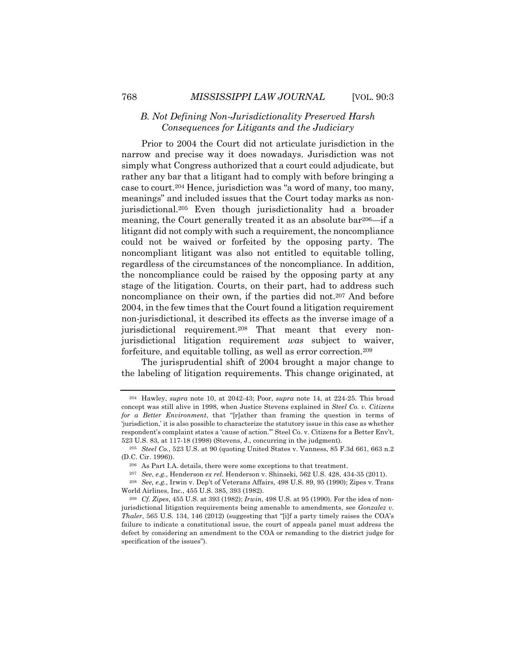## *B. Not Defining Non-Jurisdictionality Preserved Harsh Consequences for Litigants and the Judiciary*

Prior to 2004 the Court did not articulate jurisdiction in the narrow and precise way it does nowadays. Jurisdiction was not simply what Congress authorized that a court could adjudicate, but rather any bar that a litigant had to comply with before bringing a case to court.204 Hence, jurisdiction was "a word of many, too many, meanings" and included issues that the Court today marks as nonjurisdictional.205 Even though jurisdictionality had a broader meaning, the Court generally treated it as an absolute bar206—if a litigant did not comply with such a requirement, the noncompliance could not be waived or forfeited by the opposing party. The noncompliant litigant was also not entitled to equitable tolling, regardless of the circumstances of the noncompliance. In addition, the noncompliance could be raised by the opposing party at any stage of the litigation. Courts, on their part, had to address such noncompliance on their own, if the parties did not.207 And before 2004, in the few times that the Court found a litigation requirement non-jurisdictional, it described its effects as the inverse image of a jurisdictional requirement.<sup>208</sup> That meant that every nonjurisdictional litigation requirement *was* subject to waiver, forfeiture, and equitable tolling, as well as error correction.209

The jurisprudential shift of 2004 brought a major change to the labeling of litigation requirements. This change originated, at

<sup>204</sup> Hawley, *supra* note 10, at 2042-43; Poor, *supra* note 14, at 224-25. This broad concept was still alive in 1998, when Justice Stevens explained in *Steel Co. v. Citizens for a Better Environment*, that "[r]ather than framing the question in terms of 'jurisdiction,' it is also possible to characterize the statutory issue in this case as whether respondent's complaint states a 'cause of action.'" Steel Co. v. Citizens for a Better Env't, 523 U.S. 83, at 117-18 (1998) (Stevens, J., concurring in the judgment).

<sup>205</sup> *Steel Co.*, 523 U.S. at 90 (quoting United States v. Vanness, 85 F.3d 661, 663 n.2 (D.C. Cir. 1996)).

<sup>206</sup> As Part I.A. details, there were some exceptions to that treatment.

<sup>207</sup> *See*, *e.g.*, Henderson *ex rel.* Henderson v. Shinseki, 562 U.S. 428, 434-35 (2011).

<sup>208</sup> *See, e.g.*, Irwin v. Dep't of Veterans Affairs, 498 U.S. 89, 95 (1990); Zipes v. Trans World Airlines, Inc., 455 U.S. 385, 393 (1982).

<sup>209</sup> *Cf. Zipes*, 455 U.S. at 393 (1982); *Irwin*, 498 U.S. at 95 (1990). For the idea of nonjurisdictional litigation requirements being amenable to amendments, see *Gonzalez v. Thaler*, 565 U.S. 134, 146 (2012) (suggesting that "[i]f a party timely raises the COA's failure to indicate a constitutional issue, the court of appeals panel must address the defect by considering an amendment to the COA or remanding to the district judge for specification of the issues").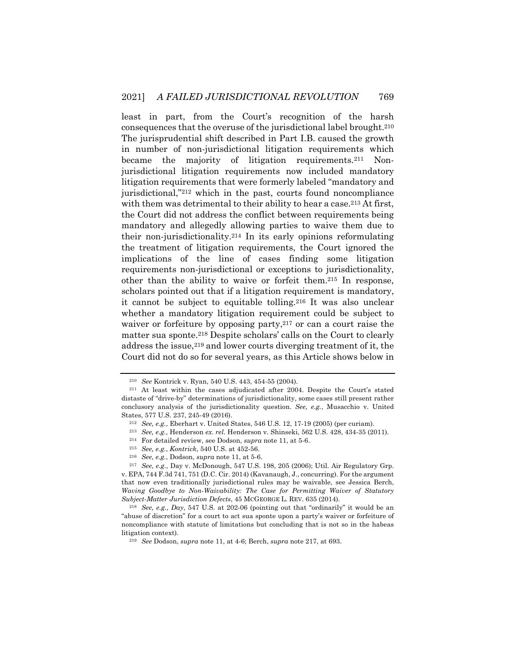least in part, from the Court's recognition of the harsh consequences that the overuse of the jurisdictional label brought.210 The jurisprudential shift described in Part I.B. caused the growth in number of non-jurisdictional litigation requirements which became the majority of litigation requirements.211 Nonjurisdictional litigation requirements now included mandatory litigation requirements that were formerly labeled "mandatory and jurisdictional,"212 which in the past, courts found noncompliance with them was detrimental to their ability to hear a case.<sup>213</sup> At first, the Court did not address the conflict between requirements being mandatory and allegedly allowing parties to waive them due to their non-jurisdictionality.214 In its early opinions reformulating the treatment of litigation requirements, the Court ignored the implications of the line of cases finding some litigation requirements non-jurisdictional or exceptions to jurisdictionality, other than the ability to waive or forfeit them.215 In response, scholars pointed out that if a litigation requirement is mandatory, it cannot be subject to equitable tolling.216 It was also unclear whether a mandatory litigation requirement could be subject to waiver or forfeiture by opposing party,<sup>217</sup> or can a court raise the matter sua sponte.218 Despite scholars' calls on the Court to clearly address the issue,219 and lower courts diverging treatment of it, the Court did not do so for several years, as this Article shows below in

<sup>210</sup> *See* Kontrick v. Ryan, 540 U.S. 443, 454-55 (2004).

<sup>211</sup> At least within the cases adjudicated after 2004. Despite the Court's stated distaste of "drive-by" determinations of jurisdictionality, some cases still present rather conclusory analysis of the jurisdictionality question. *See, e.g.*, Musacchio v. United States, 577 U.S. 237, 245-49 (2016).

<sup>212</sup> *See, e.g.*, Eberhart v. United States, 546 U.S. 12, 17-19 (2005) (per curiam).

<sup>213</sup> *See, e.g.*, Henderson *ex. rel.* Henderson v. Shinseki, 562 U.S. 428, 434-35 (2011).

<sup>214</sup> For detailed review, see Dodson, *supra* note 11, at 5-6.

<sup>215</sup> *See, e.g.*, *Kontrick*, 540 U.S. at 452-56.

<sup>216</sup> *See, e.g.*, Dodson, *supra* note 11, at 5-6.

<sup>217</sup> *See, e.g.*, Day v. McDonough, 547 U.S. 198, 205 (2006); Util. Air Regulatory Grp. v. EPA, 744 F.3d 741, 751 (D.C. Cir. 2014) (Kavanaugh, J., concurring). For the argument that now even traditionally jurisdictional rules may be waivable, see Jessica Berch, *Waving Goodbye to Non-Waivability: The Case for Permitting Waiver of Statutory Subject-Matter Jurisdiction Defects*, 45 MCGEORGE L. REV. 635 (2014).

<sup>218</sup> *See, e.g*., *Day*, 547 U.S*.* at 202-06 (pointing out that "ordinarily" it would be an "abuse of discretion" for a court to act sua sponte upon a party's waiver or forfeiture of noncompliance with statute of limitations but concluding that is not so in the habeas litigation context).

<sup>219</sup> *See* Dodson, *supra* note 11, at 4-6; Berch, *supra* note 217, at 693.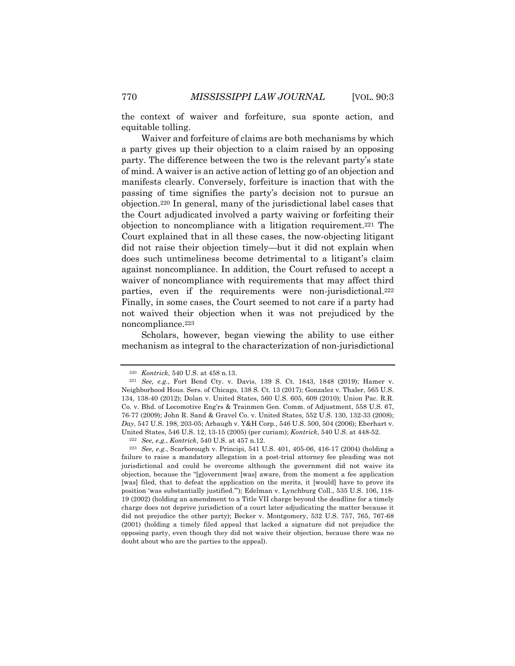the context of waiver and forfeiture, sua sponte action, and equitable tolling.

Waiver and forfeiture of claims are both mechanisms by which a party gives up their objection to a claim raised by an opposing party. The difference between the two is the relevant party's state of mind. A waiver is an active action of letting go of an objection and manifests clearly. Conversely, forfeiture is inaction that with the passing of time signifies the party's decision not to pursue an objection.220 In general, many of the jurisdictional label cases that the Court adjudicated involved a party waiving or forfeiting their objection to noncompliance with a litigation requirement.221 The Court explained that in all these cases, the now-objecting litigant did not raise their objection timely—but it did not explain when does such untimeliness become detrimental to a litigant's claim against noncompliance. In addition, the Court refused to accept a waiver of noncompliance with requirements that may affect third parties, even if the requirements were non-jurisdictional.<sup>222</sup> Finally, in some cases, the Court seemed to not care if a party had not waived their objection when it was not prejudiced by the noncompliance.223

Scholars, however, began viewing the ability to use either mechanism as integral to the characterization of non-jurisdictional

<sup>220</sup> *Kontrick*, 540 U.S. at 458 n.13.

<sup>221</sup> *See, e.g.*, Fort Bend Cty. v. Davis, 139 S. Ct. 1843, 1848 (2019); Hamer v. Neighborhood Hous. Sers. of Chicago, 138 S. Ct. 13 (2017); Gonzalez v. Thaler, 565 U.S. 134, 138-40 (2012); Dolan v. United States, 560 U.S. 605, 609 (2010); Union Pac. R.R. Co. v. Bhd. of Locomotive Eng'rs & Trainmen Gen. Comm. of Adjustment, 558 U.S. 67, 76-77 (2009); John R. Sand & Gravel Co. v. United States, 552 U.S. 130, 132-33 (2008); *Day*, 547 U.S. 198, 203-05; Arbaugh v. Y&H Corp., 546 U.S. 500, 504 (2006); Eberhart v. United States, 546 U.S. 12, 13-15 (2005) (per curiam); *Kontrick*, 540 U.S. at 448-52.

<sup>222</sup> *See, e.g.*, *Kontrick*, 540 U.S. at 457 n.12.

<sup>223</sup> *See, e.g.*, Scarborough v. Principi, 541 U.S. 401, 405-06, 416-17 (2004) (holding a failure to raise a mandatory allegation in a post-trial attorney fee pleading was not jurisdictional and could be overcome although the government did not waive its objection, because the "[g]overnment [was] aware, from the moment a fee application [was] filed, that to defeat the application on the merits, it [would] have to prove its position 'was substantially justified.'"); Edelman v. Lynchburg Coll., 535 U.S. 106, 118- 19 (2002) (holding an amendment to a Title VII charge beyond the deadline for a timely charge does not deprive jurisdiction of a court later adjudicating the matter because it did not prejudice the other party); Becker v. Montgomery, 532 U.S. 757, 765, 767-68 (2001) (holding a timely filed appeal that lacked a signature did not prejudice the opposing party, even though they did not waive their objection, because there was no doubt about who are the parties to the appeal).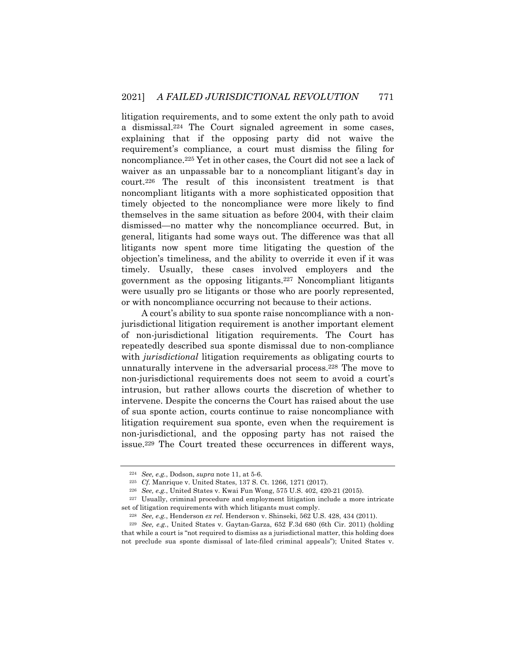litigation requirements, and to some extent the only path to avoid a dismissal.224 The Court signaled agreement in some cases, explaining that if the opposing party did not waive the requirement's compliance, a court must dismiss the filing for noncompliance.225 Yet in other cases, the Court did not see a lack of waiver as an unpassable bar to a noncompliant litigant's day in court.226 The result of this inconsistent treatment is that noncompliant litigants with a more sophisticated opposition that timely objected to the noncompliance were more likely to find themselves in the same situation as before 2004, with their claim dismissed—no matter why the noncompliance occurred. But, in general, litigants had some ways out. The difference was that all litigants now spent more time litigating the question of the objection's timeliness, and the ability to override it even if it was timely. Usually, these cases involved employers and the government as the opposing litigants.227 Noncompliant litigants were usually pro se litigants or those who are poorly represented, or with noncompliance occurring not because to their actions.

A court's ability to sua sponte raise noncompliance with a nonjurisdictional litigation requirement is another important element of non-jurisdictional litigation requirements. The Court has repeatedly described sua sponte dismissal due to non-compliance with *jurisdictional* litigation requirements as obligating courts to unnaturally intervene in the adversarial process.228 The move to non-jurisdictional requirements does not seem to avoid a court's intrusion, but rather allows courts the discretion of whether to intervene. Despite the concerns the Court has raised about the use of sua sponte action, courts continue to raise noncompliance with litigation requirement sua sponte, even when the requirement is non-jurisdictional, and the opposing party has not raised the issue.229 The Court treated these occurrences in different ways,

<sup>224</sup> *See, e.g.*, Dodson, *supra* note 11, at 5-6.

<sup>225</sup> *Cf.* Manrique v. United States, 137 S. Ct. 1266, 1271 (2017).

<sup>226</sup> *See, e.g.*, United States v. Kwai Fun Wong, 575 U.S. 402, 420-21 (2015).

<sup>227</sup> Usually, criminal procedure and employment litigation include a more intricate set of litigation requirements with which litigants must comply.

<sup>228</sup> *See, e.g.*, Henderson *ex rel.* Henderson v. Shinseki, 562 U.S. 428, 434 (2011).

<sup>229</sup> *See, e.g.*, United States v. Gaytan-Garza, 652 F.3d 680 (6th Cir. 2011) (holding that while a court is "not required to dismiss as a jurisdictional matter, this holding does not preclude sua sponte dismissal of late-filed criminal appeals"); United States v.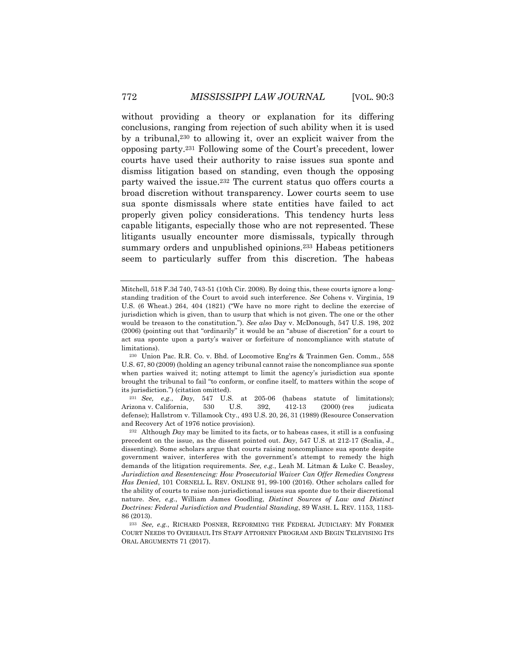without providing a theory or explanation for its differing conclusions, ranging from rejection of such ability when it is used by a tribunal,230 to allowing it, over an explicit waiver from the opposing party.231 Following some of the Court's precedent, lower courts have used their authority to raise issues sua sponte and dismiss litigation based on standing, even though the opposing party waived the issue.232 The current status quo offers courts a broad discretion without transparency. Lower courts seem to use sua sponte dismissals where state entities have failed to act properly given policy considerations. This tendency hurts less capable litigants, especially those who are not represented. These litigants usually encounter more dismissals, typically through summary orders and unpublished opinions.233 Habeas petitioners seem to particularly suffer from this discretion. The habeas

<sup>231</sup> *See, e.g.*, *Day*, 547 U.S*.* at 205-06 (habeas statute of limitations); Arizona v. California, 530 U.S. 392, 412-13 (2000) (res judicata defense); Hallstrom v. Tillamook Cty., 493 U.S. 20, 26, 31 (1989) (Resource Conservation and Recovery Act of 1976 notice provision).

Mitchell, 518 F.3d 740, 743-51 (10th Cir. 2008). By doing this, these courts ignore a longstanding tradition of the Court to avoid such interference. *See* Cohens v. Virginia, 19 U.S. (6 Wheat.) 264, 404 (1821) ("We have no more right to decline the exercise of jurisdiction which is given, than to usurp that which is not given. The one or the other would be treason to the constitution."). *See also* Day v. McDonough, 547 U.S. 198, 202 (2006) (pointing out that "ordinarily" it would be an "abuse of discretion" for a court to act sua sponte upon a party's waiver or forfeiture of noncompliance with statute of limitations).

<sup>230</sup> Union Pac. R.R. Co. v. Bhd. of Locomotive Eng'rs & Trainmen Gen. Comm., 558 U.S. 67, 80 (2009) (holding an agency tribunal cannot raise the noncompliance sua sponte when parties waived it; noting attempt to limit the agency's jurisdiction sua sponte brought the tribunal to fail "to conform, or confine itself, to matters within the scope of its jurisdiction.") (citation omitted).

<sup>232</sup> Although *Day* may be limited to its facts, or to habeas cases, it still is a confusing precedent on the issue, as the dissent pointed out. *Day*, 547 U.S*.* at 212-17 (Scalia, J., dissenting). Some scholars argue that courts raising noncompliance sua sponte despite government waiver, interferes with the government's attempt to remedy the high demands of the litigation requirements. *See, e.g.*, Leah M. Litman & Luke C. Beasley, *Jurisdiction and Resentencing: How Prosecutorial Waiver Can Offer Remedies Congress Has Denied*, 101 CORNELL L. REV. ONLINE 91, 99-100 (2016). Other scholars called for the ability of courts to raise non-jurisdictional issues sua sponte due to their discretional nature. *See, e.g.*, William James Goodling, *Distinct Sources of Law and Distinct Doctrines: Federal Jurisdiction and Prudential Standing*, 89 WASH. L. REV. 1153, 1183- 86 (2013).

<sup>233</sup> *See, e.g.*, RICHARD POSNER, REFORMING THE FEDERAL JUDICIARY: MY FORMER COURT NEEDS TO OVERHAUL ITS STAFF ATTORNEY PROGRAM AND BEGIN TELEVISING ITS ORAL ARGUMENTS 71 (2017).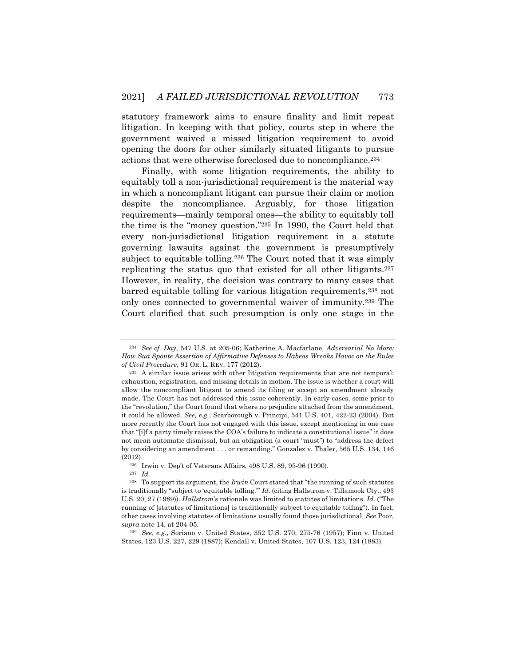statutory framework aims to ensure finality and limit repeat litigation. In keeping with that policy, courts step in where the government waived a missed litigation requirement to avoid opening the doors for other similarly situated litigants to pursue actions that were otherwise foreclosed due to noncompliance.234

Finally, with some litigation requirements, the ability to equitably toll a non-jurisdictional requirement is the material way in which a noncompliant litigant can pursue their claim or motion despite the noncompliance. Arguably, for those litigation requirements—mainly temporal ones—the ability to equitably toll the time is the "money question."235 In 1990, the Court held that every non-jurisdictional litigation requirement in a statute governing lawsuits against the government is presumptively subject to equitable tolling.236 The Court noted that it was simply replicating the status quo that existed for all other litigants.237 However, in reality, the decision was contrary to many cases that barred equitable tolling for various litigation requirements,238 not only ones connected to governmental waiver of immunity.239 The Court clarified that such presumption is only one stage in the

<sup>234</sup> *See cf. Day*, 547 U.S*.* at 205-06; Katherine A. Macfarlane, *Adversarial No More: How Sua Sponte Assertion of Affirmative Defenses to Habeas Wreaks Havoc on the Rules of Civil Procedure*, 91 OR. L. REV. 177 (2012).

<sup>235</sup> A similar issue arises with other litigation requirements that are not temporal: exhaustion, registration, and missing details in motion. The issue is whether a court will allow the noncompliant litigant to amend its filing or accept an amendment already made. The Court has not addressed this issue coherently. In early cases, some prior to the "revolution," the Court found that where no prejudice attached from the amendment, it could be allowed. *See, e.g.*, Scarborough v. Principi, 541 U.S. 401, 422-23 (2004). But more recently the Court has not engaged with this issue, except mentioning in one case that "[i]f a party timely raises the COA's failure to indicate a constitutional issue" it does not mean automatic dismissal, but an obligation (a court "must") to "address the defect by considering an amendment . . . or remanding." Gonzalez v. Thaler, 565 U.S. 134, 146 (2012).

<sup>236</sup> Irwin v. Dep't of Veterans Affairs, 498 U.S. 89, 95-96 (1990).

<sup>237</sup> *Id.*

<sup>238</sup> To support its argument, the *Irwin* Court stated that "the running of such statutes is traditionally "subject to 'equitable tolling.'" *Id.* (citing Hallstrom v. Tillamook Cty., 493 U.S. 20, 27 (1989)). *Hallstrom*'s rationale was limited to statutes of limitations. *Id.* ("The running of [statutes of limitations] is traditionally subject to equitable tolling"). In fact, other cases involving statutes of limitations usually found those jurisdictional. *See* Poor, *supra* note 14, at 204-05.

<sup>239</sup> *See*, *e.g.*, Soriano v. United States, 352 U.S. 270, 275-76 (1957); Finn v. United States, 123 U.S. 227, 229 (1887); Kendall v. United States, 107 U.S. 123, 124 (1883).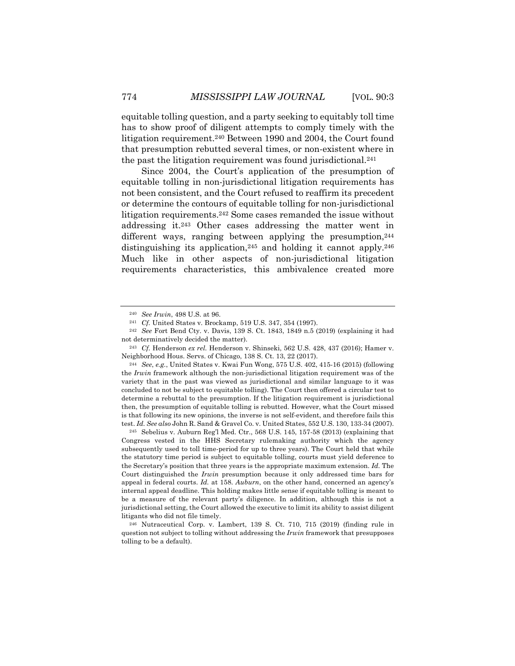equitable tolling question, and a party seeking to equitably toll time has to show proof of diligent attempts to comply timely with the litigation requirement.240 Between 1990 and 2004, the Court found that presumption rebutted several times, or non-existent where in the past the litigation requirement was found jurisdictional.241

Since 2004, the Court's application of the presumption of equitable tolling in non-jurisdictional litigation requirements has not been consistent, and the Court refused to reaffirm its precedent or determine the contours of equitable tolling for non-jurisdictional litigation requirements.242 Some cases remanded the issue without addressing it.243 Other cases addressing the matter went in different ways, ranging between applying the presumption,  $244$ distinguishing its application, <sup>245</sup> and holding it cannot apply.<sup>246</sup> Much like in other aspects of non-jurisdictional litigation requirements characteristics, this ambivalence created more

<sup>240</sup> *See Irwin*, 498 U.S. at 96.

<sup>241</sup> *Cf.* United States v. Brockamp, 519 U.S. 347, 354 (1997).

<sup>242</sup> *See* Fort Bend Cty. v. Davis, 139 S. Ct. 1843, 1849 n.5 (2019) (explaining it had not determinatively decided the matter).

<sup>243</sup> *Cf.* Henderson *ex rel.* Henderson v. Shinseki, 562 U.S. 428, 437 (2016); Hamer v. Neighborhood Hous. Servs. of Chicago, 138 S. Ct. 13, 22 (2017).

<sup>244</sup> *See*, *e.g.*, United States v. Kwai Fun Wong, 575 U.S. 402, 415-16 (2015) (following the *Irwin* framework although the non-jurisdictional litigation requirement was of the variety that in the past was viewed as jurisdictional and similar language to it was concluded to not be subject to equitable tolling). The Court then offered a circular test to determine a rebuttal to the presumption. If the litigation requirement is jurisdictional then, the presumption of equitable tolling is rebutted. However, what the Court missed is that following its new opinions, the inverse is not self-evident, and therefore fails this test. *Id. See also* John R. Sand & Gravel Co. v. United States, 552 U.S. 130, 133-34 (2007).

 $245$  Sebelius v. Auburn Reg'l Med. Ctr., 568 U.S. 145, 157-58 (2013) (explaining that Congress vested in the HHS Secretary rulemaking authority which the agency subsequently used to toll time-period for up to three years). The Court held that while the statutory time period is subject to equitable tolling, courts must yield deference to the Secretary's position that three years is the appropriate maximum extension. *Id.* The Court distinguished the *Irwin* presumption because it only addressed time bars for appeal in federal courts. *Id.* at 158. *Auburn*, on the other hand, concerned an agency's internal appeal deadline. This holding makes little sense if equitable tolling is meant to be a measure of the relevant party's diligence. In addition, although this is not a jurisdictional setting, the Court allowed the executive to limit its ability to assist diligent litigants who did not file timely.

<sup>246</sup> Nutraceutical Corp. v. Lambert, 139 S. Ct. 710, 715 (2019) (finding rule in question not subject to tolling without addressing the *Irwin* framework that presupposes tolling to be a default).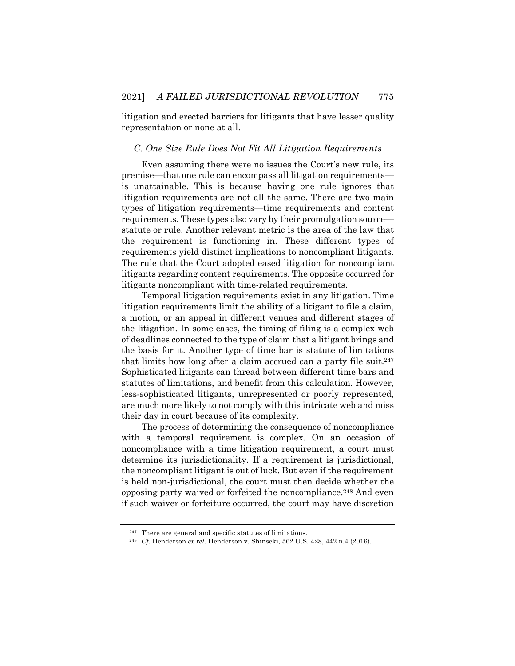litigation and erected barriers for litigants that have lesser quality representation or none at all.

### *C. One Size Rule Does Not Fit All Litigation Requirements*

Even assuming there were no issues the Court's new rule, its premise—that one rule can encompass all litigation requirements is unattainable. This is because having one rule ignores that litigation requirements are not all the same. There are two main types of litigation requirements—time requirements and content requirements. These types also vary by their promulgation source statute or rule. Another relevant metric is the area of the law that the requirement is functioning in. These different types of requirements yield distinct implications to noncompliant litigants. The rule that the Court adopted eased litigation for noncompliant litigants regarding content requirements. The opposite occurred for litigants noncompliant with time-related requirements.

Temporal litigation requirements exist in any litigation. Time litigation requirements limit the ability of a litigant to file a claim, a motion, or an appeal in different venues and different stages of the litigation. In some cases, the timing of filing is a complex web of deadlines connected to the type of claim that a litigant brings and the basis for it. Another type of time bar is statute of limitations that limits how long after a claim accrued can a party file suit.247 Sophisticated litigants can thread between different time bars and statutes of limitations, and benefit from this calculation. However, less-sophisticated litigants, unrepresented or poorly represented, are much more likely to not comply with this intricate web and miss their day in court because of its complexity.

The process of determining the consequence of noncompliance with a temporal requirement is complex. On an occasion of noncompliance with a time litigation requirement, a court must determine its jurisdictionality. If a requirement is jurisdictional, the noncompliant litigant is out of luck. But even if the requirement is held non-jurisdictional, the court must then decide whether the opposing party waived or forfeited the noncompliance.248 And even if such waiver or forfeiture occurred, the court may have discretion

<sup>247</sup> There are general and specific statutes of limitations.

<sup>248</sup> *Cf.* Henderson *ex rel.* Henderson v. Shinseki, 562 U.S. 428, 442 n.4 (2016).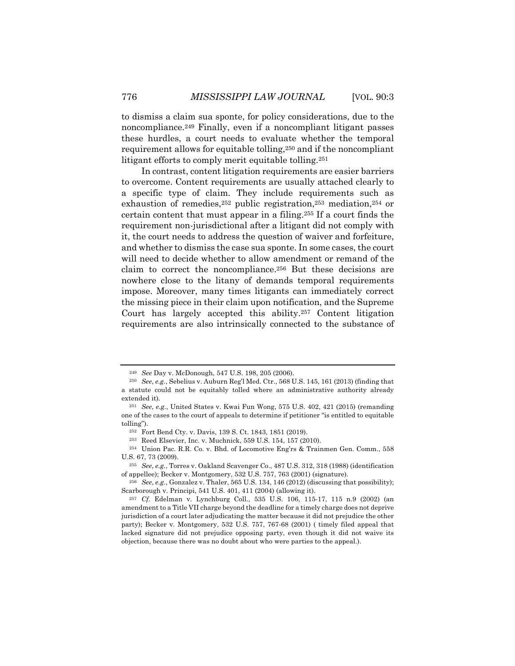to dismiss a claim sua sponte, for policy considerations, due to the noncompliance.249 Finally, even if a noncompliant litigant passes these hurdles, a court needs to evaluate whether the temporal requirement allows for equitable tolling,250 and if the noncompliant litigant efforts to comply merit equitable tolling.251

In contrast, content litigation requirements are easier barriers to overcome. Content requirements are usually attached clearly to a specific type of claim. They include requirements such as exhaustion of remedies,252 public registration,253 mediation,254 or certain content that must appear in a filing.255 If a court finds the requirement non-jurisdictional after a litigant did not comply with it, the court needs to address the question of waiver and forfeiture, and whether to dismiss the case sua sponte. In some cases, the court will need to decide whether to allow amendment or remand of the claim to correct the noncompliance.256 But these decisions are nowhere close to the litany of demands temporal requirements impose. Moreover, many times litigants can immediately correct the missing piece in their claim upon notification, and the Supreme Court has largely accepted this ability.257 Content litigation requirements are also intrinsically connected to the substance of

<sup>249</sup> *See* Day v. McDonough, 547 U.S. 198, 205 (2006).

<sup>250</sup> *See*, *e.g.*, Sebelius v. Auburn Reg'l Med. Ctr., 568 U.S. 145, 161 (2013) (finding that a statute could not be equitably tolled where an administrative authority already extended it).

<sup>251</sup> *See*, *e.g.*, United States v. Kwai Fun Wong, 575 U.S. 402, 421 (2015) (remanding one of the cases to the court of appeals to determine if petitioner "is entitled to equitable tolling").

<sup>252</sup> Fort Bend Cty. v. Davis, 139 S. Ct. 1843, 1851 (2019).

<sup>253</sup> Reed Elsevier, Inc. v. Muchnick, 559 U.S. 154, 157 (2010).

<sup>254</sup> Union Pac*.* R.R. Co. v. Bhd. of Locomotive Eng'rs & Trainmen Gen. Comm., 558 U.S. 67, 73 (2009).

<sup>255</sup> *See*, *e.g.*, Torres v. Oakland Scavenger Co., 487 U.S. 312, 318 (1988) (identification of appellee); Becker v. Montgomery, 532 U.S. 757, 763 (2001) (signature).

<sup>256</sup> *See*, *e.g.*, Gonzalez v. Thaler, 565 U.S. 134, 146 (2012) (discussing that possibility); Scarborough v. Principi, 541 U.S. 401, 411 (2004) (allowing it).

<sup>257</sup> *Cf.* Edelman v. Lynchburg Coll., 535 U.S. 106, 115-17, 115 n.9 (2002) (an amendment to a Title VII charge beyond the deadline for a timely charge does not deprive jurisdiction of a court later adjudicating the matter because it did not prejudice the other party); Becker v. Montgomery, 532 U.S. 757, 767-68 (2001) ( timely filed appeal that lacked signature did not prejudice opposing party, even though it did not waive its objection, because there was no doubt about who were parties to the appeal.).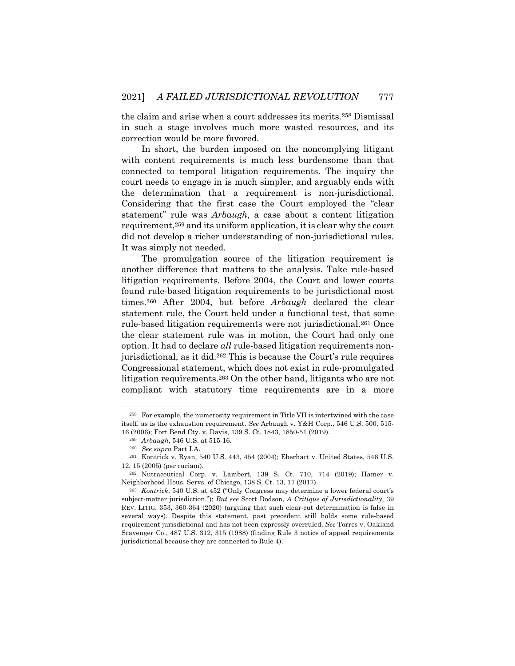the claim and arise when a court addresses its merits.258 Dismissal in such a stage involves much more wasted resources, and its correction would be more favored.

In short, the burden imposed on the noncomplying litigant with content requirements is much less burdensome than that connected to temporal litigation requirements. The inquiry the court needs to engage in is much simpler, and arguably ends with the determination that a requirement is non-jurisdictional. Considering that the first case the Court employed the "clear statement" rule was *Arbaugh*, a case about a content litigation requirement,259 and its uniform application, it is clear why the court did not develop a richer understanding of non-jurisdictional rules. It was simply not needed.

The promulgation source of the litigation requirement is another difference that matters to the analysis. Take rule-based litigation requirements. Before 2004, the Court and lower courts found rule-based litigation requirements to be jurisdictional most times.260 After 2004, but before *Arbaugh* declared the clear statement rule, the Court held under a functional test, that some rule-based litigation requirements were not jurisdictional.261 Once the clear statement rule was in motion, the Court had only one option. It had to declare *all* rule-based litigation requirements nonjurisdictional, as it did.262 This is because the Court's rule requires Congressional statement, which does not exist in rule-promulgated litigation requirements.263 On the other hand, litigants who are not compliant with statutory time requirements are in a more

<sup>258</sup> For example, the numerosity requirement in Title VII is intertwined with the case itself, as is the exhaustion requirement. *See* Arbaugh v. Y&H Corp., 546 U.S. 500, 515- 16 (2006); Fort Bend Cty. v. Davis, 139 S. Ct. 1843, 1850-51 (2019).

<sup>259</sup> *Arbaugh*, 546 U.S. at 515-16.

<sup>260</sup> *See supra* Part I.A.

<sup>261</sup> Kontrick v. Ryan, 540 U.S. 443, 454 (2004); Eberhart v. United States, 546 U.S. 12, 15 (2005) (per curiam).

<sup>262</sup> Nutraceutical Corp. v. Lambert, 139 S. Ct. 710, 714 (2019); Hamer v. Neighborhood Hous. Servs. of Chicago, 138 S. Ct. 13, 17 (2017).

<sup>263</sup> *Kontrick*, 540 U.S. at 452 ("Only Congress may determine a lower federal court's subject-matter jurisdiction."); *But see* Scott Dodson, *A Critique of Jurisdictionality*, 39 REV. LITIG. 353, 360-364 (2020) (arguing that such clear-cut determination is false in several ways). Despite this statement, past precedent still holds some rule-based requirement jurisdictional and has not been expressly overruled. *See* Torres v. Oakland Scavenger Co., 487 U.S. 312, 315 (1988) (finding Rule 3 notice of appeal requirements jurisdictional because they are connected to Rule 4).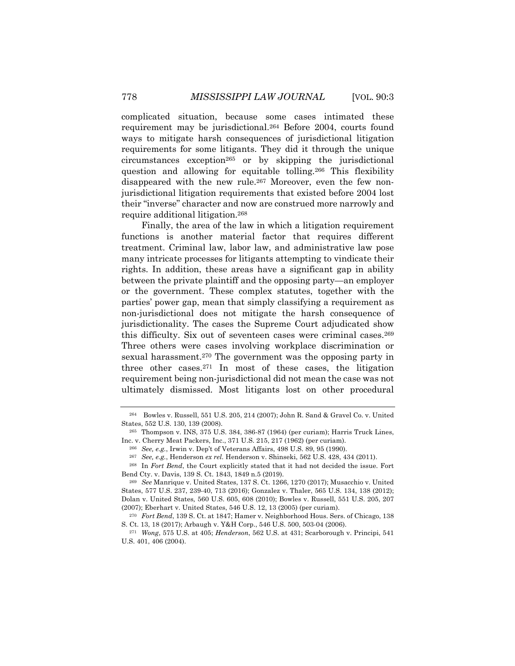complicated situation, because some cases intimated these requirement may be jurisdictional.264 Before 2004, courts found ways to mitigate harsh consequences of jurisdictional litigation requirements for some litigants. They did it through the unique circumstances exception265 or by skipping the jurisdictional question and allowing for equitable tolling.266 This flexibility disappeared with the new rule.<sup>267</sup> Moreover, even the few nonjurisdictional litigation requirements that existed before 2004 lost their "inverse" character and now are construed more narrowly and require additional litigation.268

Finally, the area of the law in which a litigation requirement functions is another material factor that requires different treatment. Criminal law, labor law, and administrative law pose many intricate processes for litigants attempting to vindicate their rights. In addition, these areas have a significant gap in ability between the private plaintiff and the opposing party—an employer or the government. These complex statutes, together with the parties' power gap, mean that simply classifying a requirement as non-jurisdictional does not mitigate the harsh consequence of jurisdictionality. The cases the Supreme Court adjudicated show this difficulty. Six out of seventeen cases were criminal cases.269 Three others were cases involving workplace discrimination or sexual harassment.270 The government was the opposing party in three other cases.271 In most of these cases, the litigation requirement being non-jurisdictional did not mean the case was not ultimately dismissed. Most litigants lost on other procedural

<sup>264</sup> Bowles v. Russell, 551 U.S. 205, 214 (2007); John R. Sand & Gravel Co. v. United States, 552 U.S. 130, 139 (2008).

<sup>265</sup> Thompson v. INS, 375 U.S. 384, 386-87 (1964) (per curiam); Harris Truck Lines, Inc. v. Cherry Meat Packers, Inc., 371 U.S. 215, 217 (1962) (per curiam).

<sup>266</sup> *See, e.g.*, Irwin v. Dep't of Veterans Affairs, 498 U.S. 89, 95 (1990).

<sup>267</sup> *See, e.g.*, Henderson *ex rel.* Henderson v. Shinseki, 562 U.S. 428, 434 (2011).

<sup>268</sup> In *Fort Bend*, the Court explicitly stated that it had not decided the issue. Fort Bend Cty. v. Davis, 139 S. Ct. 1843, 1849 n.5 (2019).

<sup>269</sup> *See* Manrique v. United States, 137 S. Ct. 1266, 1270 (2017); Musacchio v. United States, 577 U.S. 237, 239-40, 713 (2016); Gonzalez v. Thaler, 565 U.S. 134, 138 (2012); Dolan v. United States*,* 560 U.S. 605, 608 (2010); Bowles v. Russell, 551 U.S. 205, 207 (2007); Eberhart v. United States, 546 U.S. 12, 13 (2005) (per curiam).

<sup>270</sup> *Fort Bend*, 139 S. Ct. at 1847; Hamer v. Neighborhood Hous. Sers. of Chicago, 138 S. Ct. 13, 18 (2017); Arbaugh v. Y&H Corp., 546 U.S. 500, 503-04 (2006).

<sup>271</sup> *Wong*, 575 U.S. at 405; *Henderson*, 562 U.S. at 431; Scarborough v. Principi, 541 U.S. 401, 406 (2004).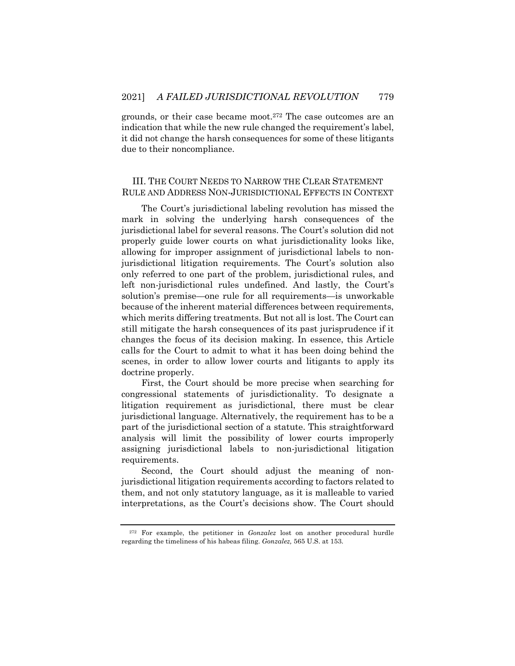grounds, or their case became moot.272 The case outcomes are an indication that while the new rule changed the requirement's label, it did not change the harsh consequences for some of these litigants due to their noncompliance.

# III. THE COURT NEEDS TO NARROW THE CLEAR STATEMENT RULE AND ADDRESS NON-JURISDICTIONAL EFFECTS IN CONTEXT

The Court's jurisdictional labeling revolution has missed the mark in solving the underlying harsh consequences of the jurisdictional label for several reasons. The Court's solution did not properly guide lower courts on what jurisdictionality looks like, allowing for improper assignment of jurisdictional labels to nonjurisdictional litigation requirements. The Court's solution also only referred to one part of the problem, jurisdictional rules, and left non-jurisdictional rules undefined. And lastly, the Court's solution's premise—one rule for all requirements—is unworkable because of the inherent material differences between requirements, which merits differing treatments. But not all is lost. The Court can still mitigate the harsh consequences of its past jurisprudence if it changes the focus of its decision making. In essence, this Article calls for the Court to admit to what it has been doing behind the scenes, in order to allow lower courts and litigants to apply its doctrine properly.

First, the Court should be more precise when searching for congressional statements of jurisdictionality. To designate a litigation requirement as jurisdictional, there must be clear jurisdictional language. Alternatively, the requirement has to be a part of the jurisdictional section of a statute. This straightforward analysis will limit the possibility of lower courts improperly assigning jurisdictional labels to non-jurisdictional litigation requirements.

Second, the Court should adjust the meaning of nonjurisdictional litigation requirements according to factors related to them, and not only statutory language, as it is malleable to varied interpretations, as the Court's decisions show. The Court should

<sup>272</sup> For example, the petitioner in *Gonzalez* lost on another procedural hurdle regarding the timeliness of his habeas filing. *Gonzalez,* 565 U.S. at 153.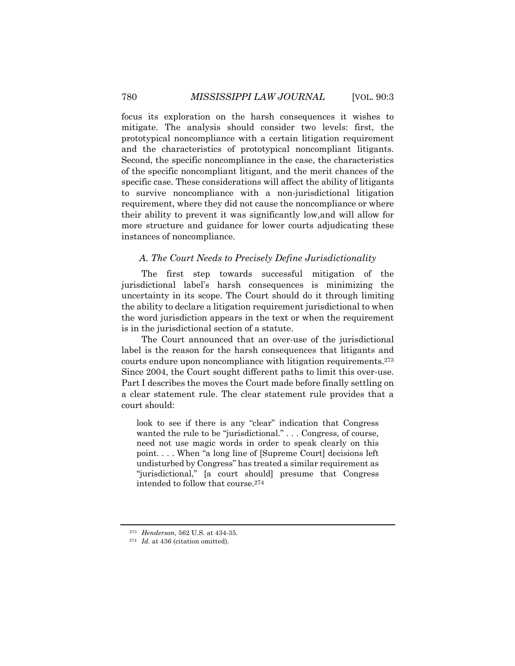focus its exploration on the harsh consequences it wishes to mitigate. The analysis should consider two levels: first, the prototypical noncompliance with a certain litigation requirement and the characteristics of prototypical noncompliant litigants. Second, the specific noncompliance in the case, the characteristics of the specific noncompliant litigant, and the merit chances of the specific case. These considerations will affect the ability of litigants to survive noncompliance with a non-jurisdictional litigation requirement, where they did not cause the noncompliance or where their ability to prevent it was significantly low,and will allow for more structure and guidance for lower courts adjudicating these instances of noncompliance.

#### *A. The Court Needs to Precisely Define Jurisdictionality*

The first step towards successful mitigation of the jurisdictional label's harsh consequences is minimizing the uncertainty in its scope. The Court should do it through limiting the ability to declare a litigation requirement jurisdictional to when the word jurisdiction appears in the text or when the requirement is in the jurisdictional section of a statute.

The Court announced that an over-use of the jurisdictional label is the reason for the harsh consequences that litigants and courts endure upon noncompliance with litigation requirements.273 Since 2004, the Court sought different paths to limit this over-use. Part I describes the moves the Court made before finally settling on a clear statement rule. The clear statement rule provides that a court should:

look to see if there is any "clear" indication that Congress wanted the rule to be "jurisdictional." . . . Congress, of course, need not use magic words in order to speak clearly on this point. . . . When "a long line of [Supreme Court] decisions left undisturbed by Congress" has treated a similar requirement as "jurisdictional," [a court should] presume that Congress intended to follow that course.274

<sup>273</sup> *Henderson*, 562 U.S. at 434-35.

<sup>274</sup> *Id.* at 436 (citation omitted).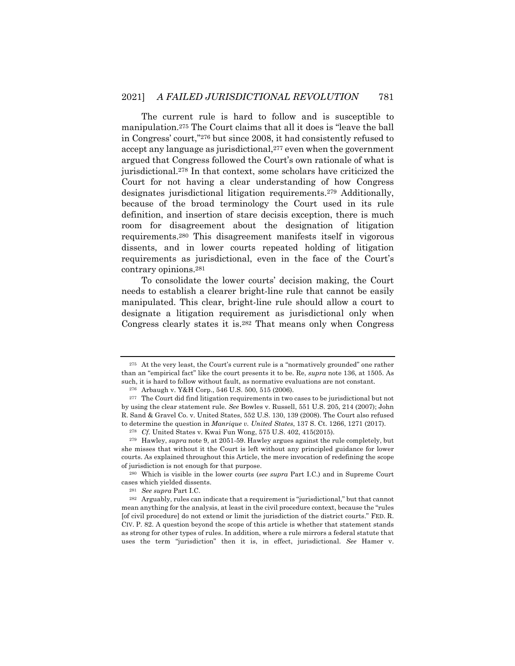The current rule is hard to follow and is susceptible to manipulation.275 The Court claims that all it does is "leave the ball in Congress' court,"276 but since 2008, it had consistently refused to accept any language as jurisdictional,<sup>277</sup> even when the government argued that Congress followed the Court's own rationale of what is jurisdictional.278 In that context, some scholars have criticized the Court for not having a clear understanding of how Congress designates jurisdictional litigation requirements.279 Additionally, because of the broad terminology the Court used in its rule definition, and insertion of stare decisis exception, there is much room for disagreement about the designation of litigation requirements.280 This disagreement manifests itself in vigorous dissents, and in lower courts repeated holding of litigation requirements as jurisdictional, even in the face of the Court's contrary opinions.281

To consolidate the lower courts' decision making, the Court needs to establish a clearer bright-line rule that cannot be easily manipulated. This clear, bright-line rule should allow a court to designate a litigation requirement as jurisdictional only when Congress clearly states it is.282 That means only when Congress

<sup>275</sup> At the very least, the Court's current rule is a "normatively grounded" one rather than an "empirical fact" like the court presents it to be. Re, *supra* note 136, at 1505. As such, it is hard to follow without fault, as normative evaluations are not constant.

<sup>276</sup> Arbaugh v. Y&H Corp., 546 U.S. 500, 515 (2006).

 $^{277}\,$  The Court did find litigation requirements in two cases to be jurisdictional but not by using the clear statement rule. *See* Bowles v. Russell, 551 U.S. 205, 214 (2007); John R. Sand & Gravel Co. v. United States, 552 U.S. 130, 139 (2008). The Court also refused to determine the question in *Manrique v. United States*, 137 S. Ct. 1266, 1271 (2017).

<sup>278</sup> *Cf.* United States v. Kwai Fun Wong, 575 U.S. 402, 415(2015).

<sup>279</sup> Hawley, *supra* note 9, at 2051-59. Hawley argues against the rule completely, but she misses that without it the Court is left without any principled guidance for lower courts. As explained throughout this Article, the mere invocation of redefining the scope of jurisdiction is not enough for that purpose.

<sup>280</sup> Which is visible in the lower courts (*see supra* Part I.C.) and in Supreme Court cases which yielded dissents.

<sup>281</sup> *See supra* Part I.C.

<sup>282</sup> Arguably, rules can indicate that a requirement is "jurisdictional," but that cannot mean anything for the analysis, at least in the civil procedure context, because the "rules [of civil procedure] do not extend or limit the jurisdiction of the district courts." FED. R. CIV. P. 82. A question beyond the scope of this article is whether that statement stands as strong for other types of rules. In addition, where a rule mirrors a federal statute that uses the term "jurisdiction" then it is, in effect, jurisdictional. *See* Hamer v.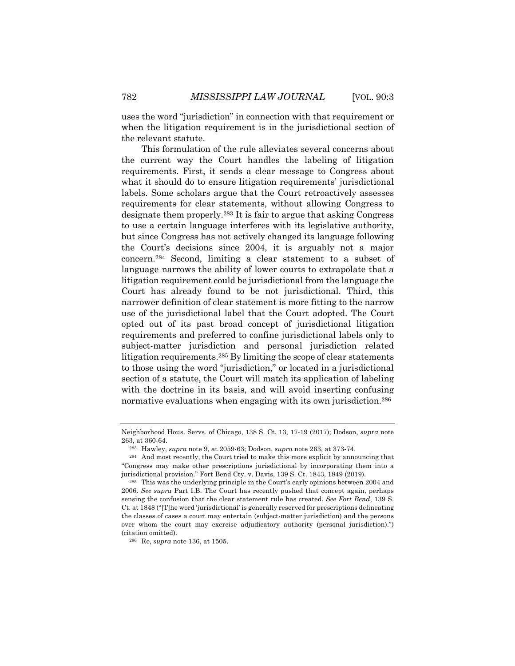uses the word "jurisdiction" in connection with that requirement or when the litigation requirement is in the jurisdictional section of the relevant statute.

This formulation of the rule alleviates several concerns about the current way the Court handles the labeling of litigation requirements. First, it sends a clear message to Congress about what it should do to ensure litigation requirements' jurisdictional labels. Some scholars argue that the Court retroactively assesses requirements for clear statements, without allowing Congress to designate them properly.283 It is fair to argue that asking Congress to use a certain language interferes with its legislative authority, but since Congress has not actively changed its language following the Court's decisions since 2004, it is arguably not a major concern.284 Second, limiting a clear statement to a subset of language narrows the ability of lower courts to extrapolate that a litigation requirement could be jurisdictional from the language the Court has already found to be not jurisdictional. Third, this narrower definition of clear statement is more fitting to the narrow use of the jurisdictional label that the Court adopted. The Court opted out of its past broad concept of jurisdictional litigation requirements and preferred to confine jurisdictional labels only to subject-matter jurisdiction and personal jurisdiction related litigation requirements.285 By limiting the scope of clear statements to those using the word "jurisdiction," or located in a jurisdictional section of a statute, the Court will match its application of labeling with the doctrine in its basis, and will avoid inserting confusing normative evaluations when engaging with its own jurisdiction.<sup>286</sup>

<sup>286</sup> Re, *supra* note 136, at 1505.

Neighborhood Hous. Servs. of Chicago, 138 S. Ct. 13, 17-19 (2017); Dodson, *supra* note 263, at 360-64.

<sup>283</sup> Hawley, *supra* note 9, at 2059-63; Dodson, *supra* note 263, at 373-74.

<sup>284</sup> And most recently, the Court tried to make this more explicit by announcing that "Congress may make other prescriptions jurisdictional by incorporating them into a jurisdictional provision." Fort Bend Cty. v. Davis, 139 S. Ct. 1843, 1849 (2019).

<sup>285</sup> This was the underlying principle in the Court's early opinions between 2004 and 2006. *See supra* Part I.B. The Court has recently pushed that concept again, perhaps sensing the confusion that the clear statement rule has created. *See Fort Bend*, 139 S. Ct. at 1848 ("[T]he word 'jurisdictional' is generally reserved for prescriptions delineating the classes of cases a court may entertain (subject-matter jurisdiction) and the persons over whom the court may exercise adjudicatory authority (personal jurisdiction).") (citation omitted).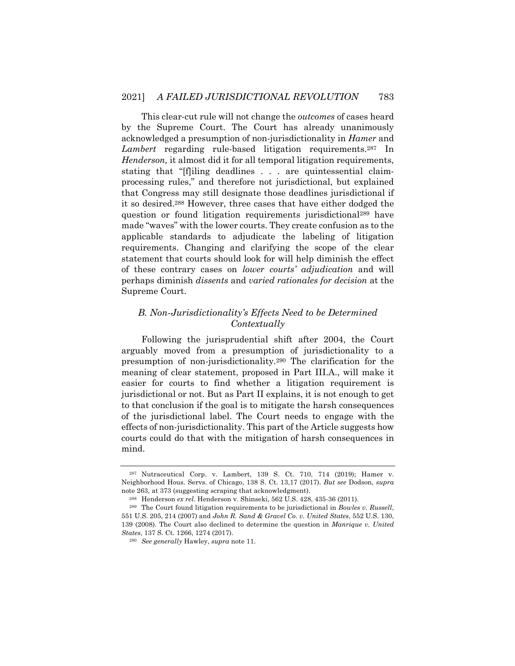This clear-cut rule will not change the *outcomes* of cases heard by the Supreme Court. The Court has already unanimously acknowledged a presumption of non-jurisdictionality in *Hamer* and *Lambert* regarding rule-based litigation requirements.287 In *Henderson,* it almost did it for all temporal litigation requirements, stating that "[f]iling deadlines . . . are quintessential claimprocessing rules," and therefore not jurisdictional, but explained that Congress may still designate those deadlines jurisdictional if it so desired.288 However, three cases that have either dodged the question or found litigation requirements jurisdictional289 have made "waves" with the lower courts. They create confusion as to the applicable standards to adjudicate the labeling of litigation requirements. Changing and clarifying the scope of the clear statement that courts should look for will help diminish the effect of these contrary cases on *lower courts' adjudication* and will perhaps diminish *dissents* and *varied rationales for decision* at the Supreme Court.

# *B. Non-Jurisdictionality's Effects Need to be Determined Contextually*

Following the jurisprudential shift after 2004, the Court arguably moved from a presumption of jurisdictionality to a presumption of non-jurisdictionality.290 The clarification for the meaning of clear statement, proposed in Part III.A., will make it easier for courts to find whether a litigation requirement is jurisdictional or not. But as Part II explains, it is not enough to get to that conclusion if the goal is to mitigate the harsh consequences of the jurisdictional label. The Court needs to engage with the effects of non-jurisdictionality. This part of the Article suggests how courts could do that with the mitigation of harsh consequences in mind.

<sup>287</sup> Nutraceutical Corp. v. Lambert, 139 S. Ct. 710, 714 (2019); Hamer v. Neighborhood Hous. Servs. of Chicago, 138 S. Ct. 13,17 (2017). *But see* Dodson, *supra*  note 263, at 373 (suggesting scraping that acknowledgment).

<sup>&</sup>lt;sup>288</sup> Henderson *ex rel.* Henderson v. Shinseki, 562 U.S. 428, 435-36 (2011).

<sup>289</sup> The Court found litigation requirements to be jurisdictional in *Bowles v. Russell*, 551 U.S. 205, 214 (2007) and *John R. Sand & Gravel Co. v. United States*, 552 U.S. 130, 139 (2008). The Court also declined to determine the question in *Manrique v. United States*, 137 S. Ct. 1266, 1274 (2017).

<sup>290</sup> *See generally* Hawley, *supra* note 11.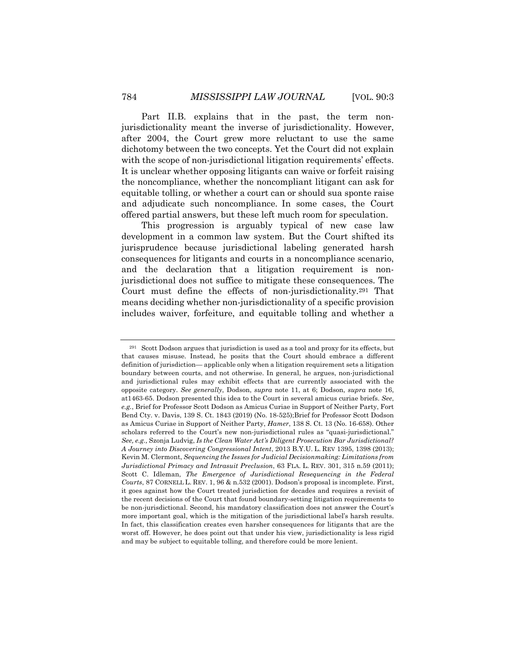Part II.B. explains that in the past, the term nonjurisdictionality meant the inverse of jurisdictionality. However, after 2004, the Court grew more reluctant to use the same dichotomy between the two concepts. Yet the Court did not explain with the scope of non-jurisdictional litigation requirements' effects. It is unclear whether opposing litigants can waive or forfeit raising the noncompliance, whether the noncompliant litigant can ask for equitable tolling, or whether a court can or should sua sponte raise and adjudicate such noncompliance. In some cases, the Court offered partial answers, but these left much room for speculation.

This progression is arguably typical of new case law development in a common law system. But the Court shifted its jurisprudence because jurisdictional labeling generated harsh consequences for litigants and courts in a noncompliance scenario, and the declaration that a litigation requirement is nonjurisdictional does not suffice to mitigate these consequences. The Court must define the effects of non-jurisdictionality.291 That means deciding whether non-jurisdictionality of a specific provision includes waiver, forfeiture, and equitable tolling and whether a

<sup>291</sup> Scott Dodson argues that jurisdiction is used as a tool and proxy for its effects, but that causes misuse. Instead, he posits that the Court should embrace a different definition of jurisdiction— applicable only when a litigation requirement sets a litigation boundary between courts, and not otherwise. In general, he argues, non-jurisdictional and jurisdictional rules may exhibit effects that are currently associated with the opposite category. *See generally*, Dodson, *supra* note 11, at 6; Dodson, *supra* note 16, at1463-65. Dodson presented this idea to the Court in several amicus curiae briefs. *See*, *e.g.*, Brief for Professor Scott Dodson as Amicus Curiae in Support of Neither Party, Fort Bend Cty. v. Davis, 139 S. Ct. 1843 (2019) (No. 18-525); Brief for Professor Scott Dodson as Amicus Curiae in Support of Neither Party, *Hamer*, 138 S. Ct. 13 (No. 16-658). Other scholars referred to the Court's new non-jurisdictional rules as "quasi-jurisdictional." *See, e.g.,* Szonja Ludvig, *Is the Clean Water Act's Diligent Prosecution Bar Jurisdictional? A Journey into Discovering Congressional Intent*, 2013 B.Y.U. L. REV 1395, 1398 (2013); Kevin M. Clermont, *Sequencing the Issues for Judicial Decisionmaking: Limitations from Jurisdictional Primacy and Intrasuit Preclusion*, 63 FLA. L. REV. 301, 315 n.59 (2011); Scott C. Idleman, *The Emergence of Jurisdictional Resequencing in the Federal Courts*, 87 CORNELL L. REV. 1, 96 & n.532 (2001). Dodson's proposal is incomplete. First, it goes against how the Court treated jurisdiction for decades and requires a revisit of the recent decisions of the Court that found boundary-setting litigation requirements to be non-jurisdictional. Second, his mandatory classification does not answer the Court's more important goal, which is the mitigation of the jurisdictional label's harsh results. In fact, this classification creates even harsher consequences for litigants that are the worst off. However, he does point out that under his view, jurisdictionality is less rigid and may be subject to equitable tolling, and therefore could be more lenient.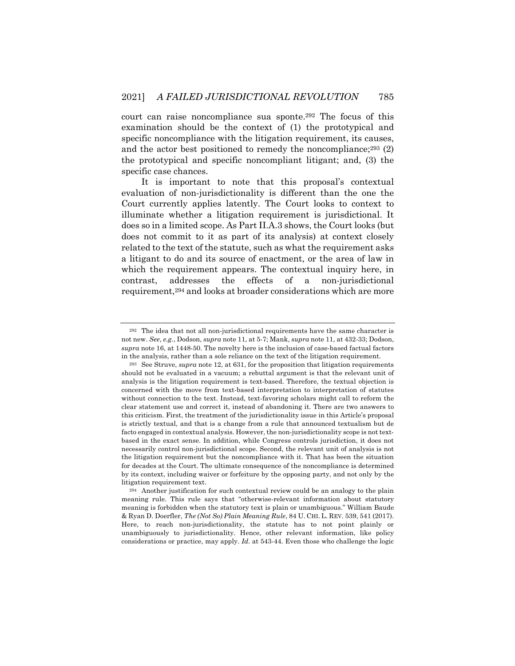court can raise noncompliance sua sponte.292 The focus of this examination should be the context of (1) the prototypical and specific noncompliance with the litigation requirement, its causes, and the actor best positioned to remedy the noncompliance; $293$  (2) the prototypical and specific noncompliant litigant; and, (3) the specific case chances.

It is important to note that this proposal's contextual evaluation of non-jurisdictionality is different than the one the Court currently applies latently. The Court looks to context to illuminate whether a litigation requirement is jurisdictional. It does so in a limited scope. As Part II.A.3 shows, the Court looks (but does not commit to it as part of its analysis) at context closely related to the text of the statute, such as what the requirement asks a litigant to do and its source of enactment, or the area of law in which the requirement appears. The contextual inquiry here, in contrast, addresses the effects of a non-jurisdictional requirement,294 and looks at broader considerations which are more

<sup>292</sup> The idea that not all non-jurisdictional requirements have the same character is not new. *See*, *e.g.*, Dodson, *supra* note 11, at 5-7; Mank, *supra* note 11, at 432-33; Dodson, *supra* note 16, at 1448-50. The novelty here is the inclusion of case-based factual factors in the analysis, rather than a sole reliance on the text of the litigation requirement.

<sup>293</sup> See Struve, *supra* note 12, at 631, for the proposition that litigation requirements should not be evaluated in a vacuum; a rebuttal argument is that the relevant unit of analysis is the litigation requirement is text-based. Therefore, the textual objection is concerned with the move from text-based interpretation to interpretation of statutes without connection to the text. Instead, text-favoring scholars might call to reform the clear statement use and correct it, instead of abandoning it. There are two answers to this criticism. First, the treatment of the jurisdictionality issue in this Article's proposal is strictly textual, and that is a change from a rule that announced textualism but de facto engaged in contextual analysis. However, the non-jurisdictionality scope is not textbased in the exact sense. In addition, while Congress controls jurisdiction, it does not necessarily control non-jurisdictional scope. Second, the relevant unit of analysis is not the litigation requirement but the noncompliance with it. That has been the situation for decades at the Court. The ultimate consequence of the noncompliance is determined by its context, including waiver or forfeiture by the opposing party, and not only by the litigation requirement text.

<sup>294</sup> Another justification for such contextual review could be an analogy to the plain meaning rule. This rule says that "otherwise-relevant information about statutory meaning is forbidden when the statutory text is plain or unambiguous." William Baude & Ryan D. Doerfler, *The (Not So) Plain Meaning Rule*, 84 U. CHI. L. REV. 539, 541 (2017). Here, to reach non-jurisdictionality, the statute has to not point plainly or unambiguously to jurisdictionality. Hence, other relevant information, like policy considerations or practice, may apply. *Id.* at 543-44. Even those who challenge the logic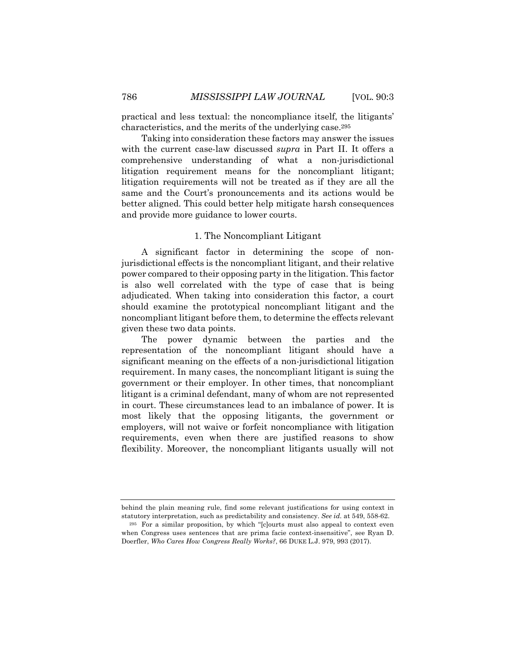practical and less textual: the noncompliance itself, the litigants' characteristics, and the merits of the underlying case.295

Taking into consideration these factors may answer the issues with the current case-law discussed *supra* in Part II. It offers a comprehensive understanding of what a non-jurisdictional litigation requirement means for the noncompliant litigant; litigation requirements will not be treated as if they are all the same and the Court's pronouncements and its actions would be better aligned. This could better help mitigate harsh consequences and provide more guidance to lower courts.

## 1. The Noncompliant Litigant

A significant factor in determining the scope of nonjurisdictional effects is the noncompliant litigant, and their relative power compared to their opposing party in the litigation. This factor is also well correlated with the type of case that is being adjudicated. When taking into consideration this factor, a court should examine the prototypical noncompliant litigant and the noncompliant litigant before them, to determine the effects relevant given these two data points.

The power dynamic between the parties and the representation of the noncompliant litigant should have a significant meaning on the effects of a non-jurisdictional litigation requirement. In many cases, the noncompliant litigant is suing the government or their employer. In other times, that noncompliant litigant is a criminal defendant, many of whom are not represented in court. These circumstances lead to an imbalance of power. It is most likely that the opposing litigants, the government or employers, will not waive or forfeit noncompliance with litigation requirements, even when there are justified reasons to show flexibility. Moreover, the noncompliant litigants usually will not

behind the plain meaning rule, find some relevant justifications for using context in statutory interpretation, such as predictability and consistency. *See id.* at 549, 558-62.

<sup>295</sup> For a similar proposition, by which "[c]ourts must also appeal to context even when Congress uses sentences that are prima facie context-insensitive", see Ryan D. Doerfler, *Who Cares How Congress Really Works?*, 66 DUKE L.J. 979, 993 (2017).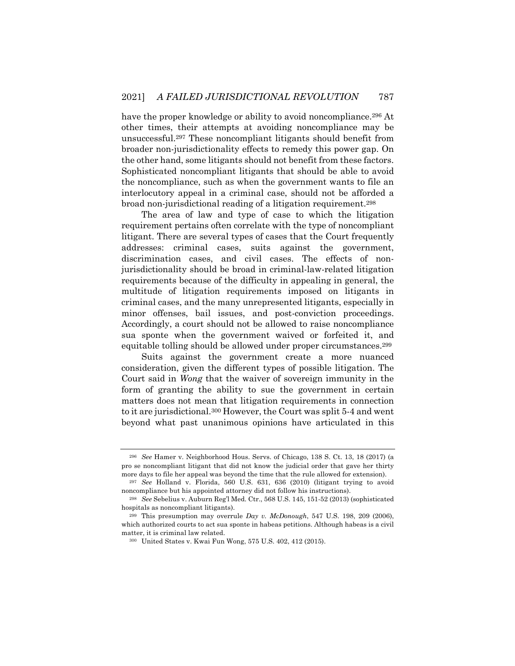have the proper knowledge or ability to avoid noncompliance.<sup>296</sup> At other times, their attempts at avoiding noncompliance may be unsuccessful.297 These noncompliant litigants should benefit from broader non-jurisdictionality effects to remedy this power gap. On the other hand, some litigants should not benefit from these factors. Sophisticated noncompliant litigants that should be able to avoid the noncompliance, such as when the government wants to file an interlocutory appeal in a criminal case, should not be afforded a broad non-jurisdictional reading of a litigation requirement.298

The area of law and type of case to which the litigation requirement pertains often correlate with the type of noncompliant litigant. There are several types of cases that the Court frequently addresses: criminal cases, suits against the government, discrimination cases, and civil cases. The effects of nonjurisdictionality should be broad in criminal-law-related litigation requirements because of the difficulty in appealing in general, the multitude of litigation requirements imposed on litigants in criminal cases, and the many unrepresented litigants, especially in minor offenses, bail issues, and post-conviction proceedings. Accordingly, a court should not be allowed to raise noncompliance sua sponte when the government waived or forfeited it, and equitable tolling should be allowed under proper circumstances.299

Suits against the government create a more nuanced consideration, given the different types of possible litigation. The Court said in *Wong* that the waiver of sovereign immunity in the form of granting the ability to sue the government in certain matters does not mean that litigation requirements in connection to it are jurisdictional.300 However, the Court was split 5-4 and went beyond what past unanimous opinions have articulated in this

<sup>296</sup> *See* Hamer v. Neighborhood Hous. Servs. of Chicago, 138 S. Ct. 13, 18 (2017) (a pro se noncompliant litigant that did not know the judicial order that gave her thirty more days to file her appeal was beyond the time that the rule allowed for extension).

<sup>297</sup> *See* Holland v. Florida, 560 U.S. 631, 636 (2010) (litigant trying to avoid noncompliance but his appointed attorney did not follow his instructions).

<sup>298</sup> *See* Sebelius v. Auburn Reg'l Med. Ctr., 568 U.S. 145, 151-52 (2013) (sophisticated hospitals as noncompliant litigants).

<sup>299</sup> This presumption may overrule *Day v. McDonough*, 547 U.S. 198, 209 (2006), which authorized courts to act sua sponte in habeas petitions. Although habeas is a civil matter, it is criminal law related.

<sup>300</sup> United States v. Kwai Fun Wong, 575 U.S. 402, 412 (2015).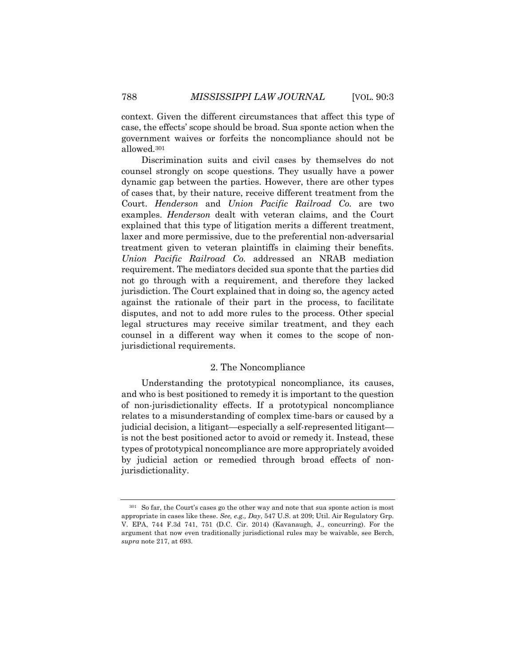context. Given the different circumstances that affect this type of case, the effects' scope should be broad. Sua sponte action when the government waives or forfeits the noncompliance should not be allowed.301

Discrimination suits and civil cases by themselves do not counsel strongly on scope questions. They usually have a power dynamic gap between the parties. However, there are other types of cases that, by their nature, receive different treatment from the Court. *Henderson* and *Union Pacific Railroad Co.* are two examples. *Henderson* dealt with veteran claims, and the Court explained that this type of litigation merits a different treatment, laxer and more permissive, due to the preferential non-adversarial treatment given to veteran plaintiffs in claiming their benefits. *Union Pacific Railroad Co.* addressed an NRAB mediation requirement. The mediators decided sua sponte that the parties did not go through with a requirement, and therefore they lacked jurisdiction. The Court explained that in doing so, the agency acted against the rationale of their part in the process, to facilitate disputes, and not to add more rules to the process. Other special legal structures may receive similar treatment, and they each counsel in a different way when it comes to the scope of nonjurisdictional requirements.

## 2. The Noncompliance

Understanding the prototypical noncompliance, its causes, and who is best positioned to remedy it is important to the question of non-jurisdictionality effects. If a prototypical noncompliance relates to a misunderstanding of complex time-bars or caused by a judicial decision, a litigant—especially a self-represented litigant is not the best positioned actor to avoid or remedy it. Instead, these types of prototypical noncompliance are more appropriately avoided by judicial action or remedied through broad effects of nonjurisdictionality.

<sup>301</sup> So far, the Court's cases go the other way and note that sua sponte action is most appropriate in cases like these. *See, e.g., Day*, 547 U.S. at 209; Util. Air Regulatory Grp. V. EPA, 744 F.3d 741, 751 (D.C. Cir. 2014) (Kavanaugh, J., concurring). For the argument that now even traditionally jurisdictional rules may be waivable, see Berch, *supra* note 217, at 693.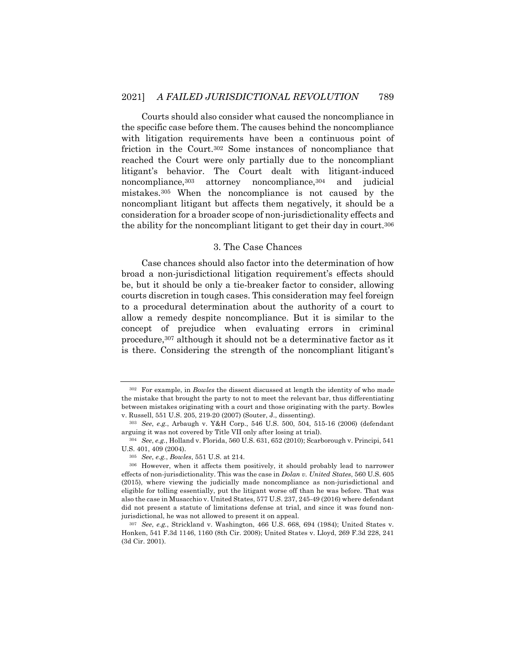Courts should also consider what caused the noncompliance in the specific case before them. The causes behind the noncompliance with litigation requirements have been a continuous point of friction in the Court.302 Some instances of noncompliance that reached the Court were only partially due to the noncompliant litigant's behavior. The Court dealt with litigant-induced noncompliance, <sup>303</sup> attorney noncompliance, <sup>304</sup> and judicial mistakes.305 When the noncompliance is not caused by the noncompliant litigant but affects them negatively, it should be a consideration for a broader scope of non-jurisdictionality effects and the ability for the noncompliant litigant to get their day in court.306

#### 3. The Case Chances

Case chances should also factor into the determination of how broad a non-jurisdictional litigation requirement's effects should be, but it should be only a tie-breaker factor to consider, allowing courts discretion in tough cases. This consideration may feel foreign to a procedural determination about the authority of a court to allow a remedy despite noncompliance. But it is similar to the concept of prejudice when evaluating errors in criminal procedure,307 although it should not be a determinative factor as it is there. Considering the strength of the noncompliant litigant's

<sup>302</sup> For example, in *Bowles* the dissent discussed at length the identity of who made the mistake that brought the party to not to meet the relevant bar, thus differentiating between mistakes originating with a court and those originating with the party. Bowles v. Russell, 551 U.S. 205, 219-20 (2007) (Souter, J., dissenting).

<sup>303</sup> *See*, *e.g.*, Arbaugh v. Y&H Corp., 546 U.S. 500, 504, 515-16 (2006) (defendant arguing it was not covered by Title VII only after losing at trial).

<sup>304</sup> *See*, *e.g.*, Holland v. Florida, 560 U.S. 631, 652 (2010); Scarborough v. Principi, 541 U.S. 401, 409 (2004).

<sup>305</sup> *See*, *e.g.*, *Bowles*, 551 U.S. at 214.

<sup>306</sup> However, when it affects them positively, it should probably lead to narrower effects of non-jurisdictionality. This was the case in *Dolan v. United States*, 560 U.S. 605 (2015), where viewing the judicially made noncompliance as non-jurisdictional and eligible for tolling essentially, put the litigant worse off than he was before. That was also the case in Musacchio v. United States, 577 U.S. 237, 245-49 (2016) where defendant did not present a statute of limitations defense at trial, and since it was found nonjurisdictional, he was not allowed to present it on appeal.

<sup>307</sup> *See*, *e.g.*, Strickland v. Washington, 466 U.S. 668, 694 (1984); United States v. Honken, 541 F.3d 1146, 1160 (8th Cir. 2008); United States v. Lloyd, 269 F.3d 228, 241 (3d Cir. 2001).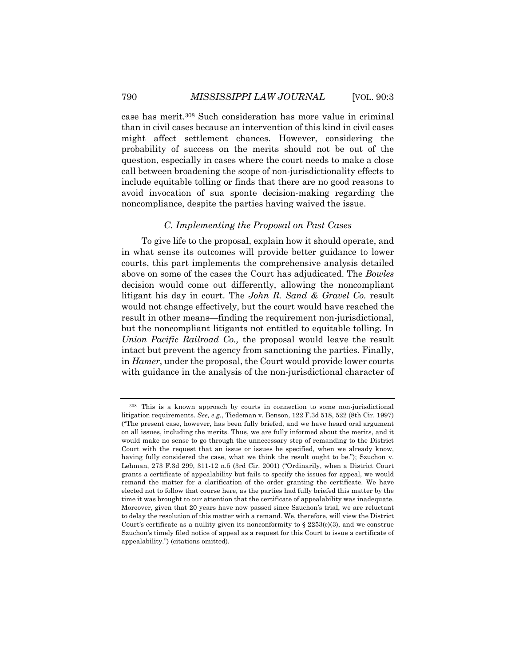case has merit.308 Such consideration has more value in criminal than in civil cases because an intervention of this kind in civil cases might affect settlement chances. However, considering the probability of success on the merits should not be out of the question, especially in cases where the court needs to make a close call between broadening the scope of non-jurisdictionality effects to include equitable tolling or finds that there are no good reasons to avoid invocation of sua sponte decision-making regarding the noncompliance, despite the parties having waived the issue.

### *C. Implementing the Proposal on Past Cases*

To give life to the proposal, explain how it should operate, and in what sense its outcomes will provide better guidance to lower courts, this part implements the comprehensive analysis detailed above on some of the cases the Court has adjudicated. The *Bowles* decision would come out differently, allowing the noncompliant litigant his day in court. The *John R. Sand & Gravel Co.* result would not change effectively, but the court would have reached the result in other means—finding the requirement non-jurisdictional, but the noncompliant litigants not entitled to equitable tolling. In *Union Pacific Railroad Co.,* the proposal would leave the result intact but prevent the agency from sanctioning the parties. Finally, in *Hamer*, under the proposal, the Court would provide lower courts with guidance in the analysis of the non-jurisdictional character of

<sup>308</sup> This is a known approach by courts in connection to some non-jurisdictional litigation requirements. *See, e.g.*, Tiedeman v. Benson, 122 F.3d 518, 522 (8th Cir. 1997) ("The present case, however, has been fully briefed, and we have heard oral argument on all issues, including the merits. Thus, we are fully informed about the merits, and it would make no sense to go through the unnecessary step of remanding to the District Court with the request that an issue or issues be specified, when we already know, having fully considered the case, what we think the result ought to be."); Szuchon v. Lehman, 273 F.3d 299, 311-12 n.5 (3rd Cir. 2001) ("Ordinarily, when a District Court grants a certificate of appealability but fails to specify the issues for appeal, we would remand the matter for a clarification of the order granting the certificate. We have elected not to follow that course here, as the parties had fully briefed this matter by the time it was brought to our attention that the certificate of appealability was inadequate. Moreover, given that 20 years have now passed since Szuchon's trial, we are reluctant to delay the resolution of this matter with a remand. We, therefore, will view the District Court's certificate as a nullity given its nonconformity to  $\S 2253(c)(3)$ , and we construe Szuchon's timely filed notice of appeal as a request for this Court to issue a certificate of appealability.") (citations omitted).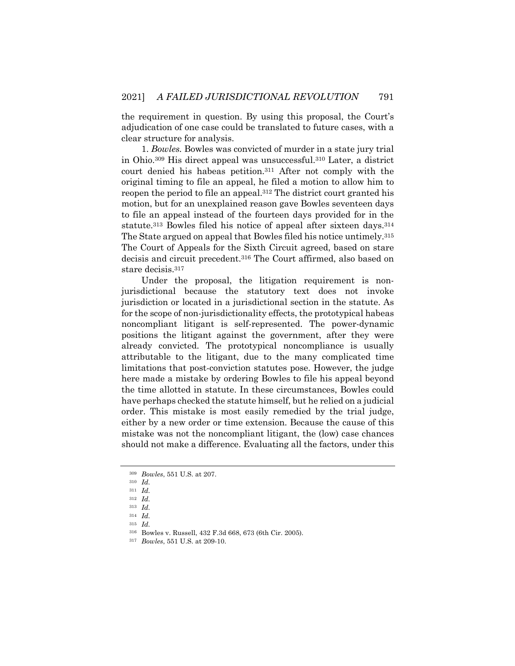the requirement in question. By using this proposal, the Court's adjudication of one case could be translated to future cases, with a clear structure for analysis.

1. *Bowles.* Bowles was convicted of murder in a state jury trial in Ohio.309 His direct appeal was unsuccessful.310 Later, a district court denied his habeas petition.311 After not comply with the original timing to file an appeal, he filed a motion to allow him to reopen the period to file an appeal.312 The district court granted his motion, but for an unexplained reason gave Bowles seventeen days to file an appeal instead of the fourteen days provided for in the statute.313 Bowles filed his notice of appeal after sixteen days.314 The State argued on appeal that Bowles filed his notice untimely.315 The Court of Appeals for the Sixth Circuit agreed, based on stare decisis and circuit precedent.316 The Court affirmed, also based on stare decisis.317

Under the proposal, the litigation requirement is nonjurisdictional because the statutory text does not invoke jurisdiction or located in a jurisdictional section in the statute. As for the scope of non-jurisdictionality effects, the prototypical habeas noncompliant litigant is self-represented. The power-dynamic positions the litigant against the government, after they were already convicted. The prototypical noncompliance is usually attributable to the litigant, due to the many complicated time limitations that post-conviction statutes pose. However, the judge here made a mistake by ordering Bowles to file his appeal beyond the time allotted in statute. In these circumstances, Bowles could have perhaps checked the statute himself, but he relied on a judicial order. This mistake is most easily remedied by the trial judge, either by a new order or time extension. Because the cause of this mistake was not the noncompliant litigant, the (low) case chances should not make a difference. Evaluating all the factors, under this

<sup>309</sup> *Bowles*, 551 U.S. at 207.

<sup>310</sup> *Id.*

<sup>311</sup> *Id.*

<sup>312</sup> *Id.*

<sup>313</sup> *Id.*

<sup>314</sup> *Id.*

<sup>315</sup> *Id.*

<sup>316</sup> Bowles v. Russell, 432 F.3d 668, 673 (6th Cir. 2005).

<sup>317</sup> *Bowles*, 551 U.S. at 209-10.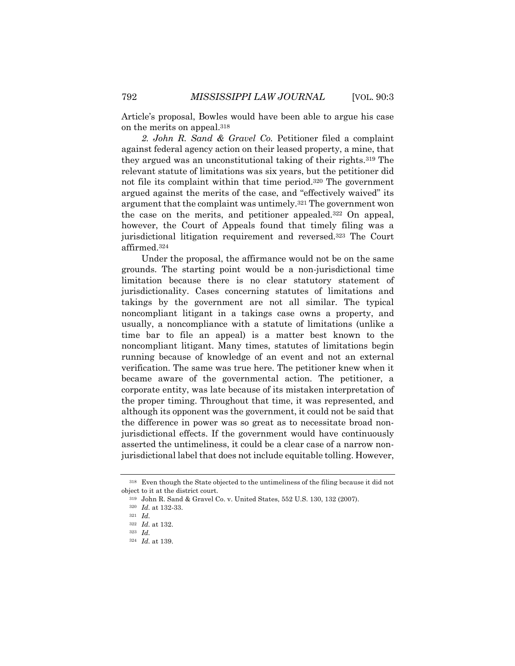Article's proposal, Bowles would have been able to argue his case on the merits on appeal.318

*2. John R. Sand & Gravel Co.* Petitioner filed a complaint against federal agency action on their leased property, a mine, that they argued was an unconstitutional taking of their rights.319 The relevant statute of limitations was six years, but the petitioner did not file its complaint within that time period.320 The government argued against the merits of the case, and "effectively waived" its argument that the complaint was untimely.321 The government won the case on the merits, and petitioner appealed.322 On appeal, however, the Court of Appeals found that timely filing was a jurisdictional litigation requirement and reversed.323 The Court affirmed.324

Under the proposal, the affirmance would not be on the same grounds. The starting point would be a non-jurisdictional time limitation because there is no clear statutory statement of jurisdictionality. Cases concerning statutes of limitations and takings by the government are not all similar. The typical noncompliant litigant in a takings case owns a property, and usually, a noncompliance with a statute of limitations (unlike a time bar to file an appeal) is a matter best known to the noncompliant litigant. Many times, statutes of limitations begin running because of knowledge of an event and not an external verification. The same was true here. The petitioner knew when it became aware of the governmental action. The petitioner, a corporate entity, was late because of its mistaken interpretation of the proper timing. Throughout that time, it was represented, and although its opponent was the government, it could not be said that the difference in power was so great as to necessitate broad nonjurisdictional effects. If the government would have continuously asserted the untimeliness, it could be a clear case of a narrow nonjurisdictional label that does not include equitable tolling. However,

<sup>318</sup> Even though the State objected to the untimeliness of the filing because it did not object to it at the district court.

<sup>319</sup> John R. Sand & Gravel Co. v. United States, 552 U.S. 130, 132 (2007).

<sup>320</sup> *Id.* at 132-33.

<sup>321</sup> *Id.*

<sup>322</sup> *Id.* at 132.

<sup>323</sup> *Id.*

<sup>324</sup> *Id.* at 139.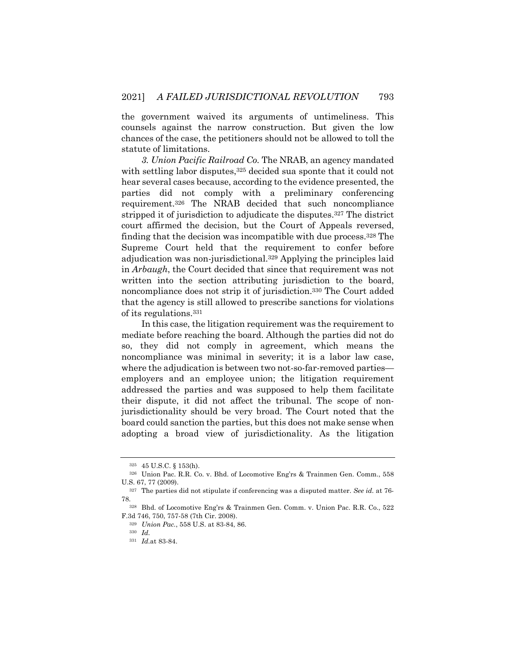the government waived its arguments of untimeliness. This counsels against the narrow construction. But given the low chances of the case, the petitioners should not be allowed to toll the statute of limitations.

*3. Union Pacific Railroad Co.* The NRAB, an agency mandated with settling labor disputes,<sup>325</sup> decided sua sponte that it could not hear several cases because, according to the evidence presented, the parties did not comply with a preliminary conferencing requirement.326 The NRAB decided that such noncompliance stripped it of jurisdiction to adjudicate the disputes.327 The district court affirmed the decision, but the Court of Appeals reversed, finding that the decision was incompatible with due process.328 The Supreme Court held that the requirement to confer before adjudication was non-jurisdictional.329 Applying the principles laid in *Arbaugh*, the Court decided that since that requirement was not written into the section attributing jurisdiction to the board, noncompliance does not strip it of jurisdiction.330 The Court added that the agency is still allowed to prescribe sanctions for violations of its regulations.331

In this case, the litigation requirement was the requirement to mediate before reaching the board. Although the parties did not do so, they did not comply in agreement, which means the noncompliance was minimal in severity; it is a labor law case, where the adjudication is between two not-so-far-removed parties employers and an employee union; the litigation requirement addressed the parties and was supposed to help them facilitate their dispute, it did not affect the tribunal. The scope of nonjurisdictionality should be very broad. The Court noted that the board could sanction the parties, but this does not make sense when adopting a broad view of jurisdictionality. As the litigation

<sup>325</sup> 45 U.S.C. § 153(h).

<sup>326</sup> Union Pac. R.R. Co. v. Bhd. of Locomotive Eng'rs & Trainmen Gen. Comm., 558 U.S. 67, 77 (2009).

<sup>327</sup> The parties did not stipulate if conferencing was a disputed matter. *See id.* at 76- 78.328 Bhd. of Locomotive Eng'rs & Trainmen Gen. Comm. v. Union Pac. R.R. Co., 522

F.3d 746, 750, 757-58 (7th Cir. 2008).

<sup>329</sup> *Union Pac.*, 558 U.S. at 83-84, 86.

<sup>330</sup> *Id.*

<sup>331</sup> *Id.*at 83-84.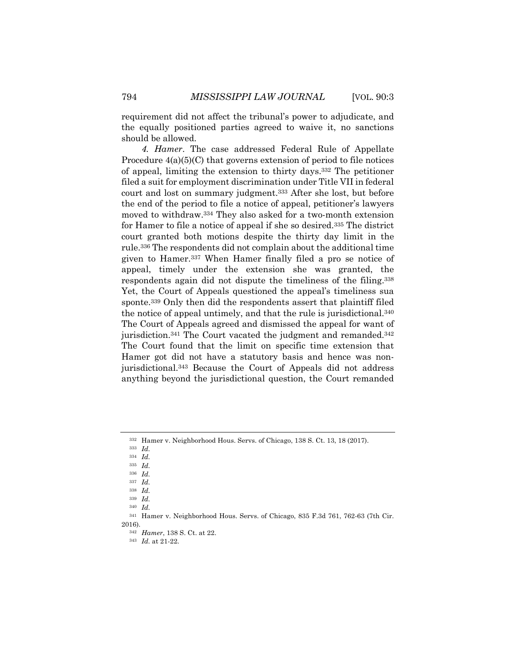requirement did not affect the tribunal's power to adjudicate, and the equally positioned parties agreed to waive it, no sanctions should be allowed.

*4. Hamer*. The case addressed Federal Rule of Appellate Procedure 4(a)(5)(C) that governs extension of period to file notices of appeal, limiting the extension to thirty days.332 The petitioner filed a suit for employment discrimination under Title VII in federal court and lost on summary judgment.333 After she lost, but before the end of the period to file a notice of appeal, petitioner's lawyers moved to withdraw.334 They also asked for a two-month extension for Hamer to file a notice of appeal if she so desired.335 The district court granted both motions despite the thirty day limit in the rule.336 The respondents did not complain about the additional time given to Hamer.337 When Hamer finally filed a pro se notice of appeal, timely under the extension she was granted, the respondents again did not dispute the timeliness of the filing.338 Yet, the Court of Appeals questioned the appeal's timeliness sua sponte.339 Only then did the respondents assert that plaintiff filed the notice of appeal untimely, and that the rule is jurisdictional.340 The Court of Appeals agreed and dismissed the appeal for want of jurisdiction.341 The Court vacated the judgment and remanded.342 The Court found that the limit on specific time extension that Hamer got did not have a statutory basis and hence was nonjurisdictional.343 Because the Court of Appeals did not address anything beyond the jurisdictional question, the Court remanded

<sup>332</sup> Hamer v. Neighborhood Hous. Servs. of Chicago, 138 S. Ct. 13, 18 (2017).

<sup>333</sup> *Id.*

<sup>334</sup> *Id.*

<sup>335</sup> *Id.* <sup>336</sup> *Id.*

<sup>337</sup> *Id.*

<sup>338</sup> *Id.*

<sup>339</sup> *Id.*

<sup>340</sup> *Id.*

<sup>341</sup> Hamer v. Neighborhood Hous. Servs. of Chicago, 835 F.3d 761, 762-63 (7th Cir. 2016).

<sup>342</sup> *Hamer*, 138 S. Ct. at 22.

<sup>343</sup> *Id.* at 21-22.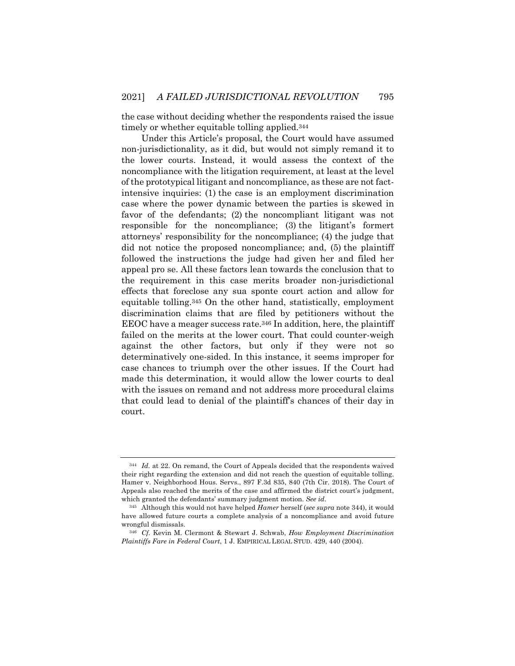the case without deciding whether the respondents raised the issue timely or whether equitable tolling applied.344

Under this Article's proposal, the Court would have assumed non-jurisdictionality, as it did, but would not simply remand it to the lower courts. Instead, it would assess the context of the noncompliance with the litigation requirement, at least at the level of the prototypical litigant and noncompliance, as these are not factintensive inquiries: (1) the case is an employment discrimination case where the power dynamic between the parties is skewed in favor of the defendants; (2) the noncompliant litigant was not responsible for the noncompliance; (3) the litigant's formert attorneys' responsibility for the noncompliance; (4) the judge that did not notice the proposed noncompliance; and, (5) the plaintiff followed the instructions the judge had given her and filed her appeal pro se. All these factors lean towards the conclusion that to the requirement in this case merits broader non-jurisdictional effects that foreclose any sua sponte court action and allow for equitable tolling.345 On the other hand, statistically, employment discrimination claims that are filed by petitioners without the EEOC have a meager success rate.346 In addition, here, the plaintiff failed on the merits at the lower court. That could counter-weigh against the other factors, but only if they were not so determinatively one-sided. In this instance, it seems improper for case chances to triumph over the other issues. If the Court had made this determination, it would allow the lower courts to deal with the issues on remand and not address more procedural claims that could lead to denial of the plaintiff's chances of their day in court.

<sup>344</sup> *Id.* at 22. On remand, the Court of Appeals decided that the respondents waived their right regarding the extension and did not reach the question of equitable tolling. Hamer v. Neighborhood Hous. Servs., 897 F.3d 835, 840 (7th Cir. 2018). The Court of Appeals also reached the merits of the case and affirmed the district court's judgment, which granted the defendants' summary judgment motion. *See id*.

<sup>345</sup> Although this would not have helped *Hamer* herself (*see supra* note 344), it would have allowed future courts a complete analysis of a noncompliance and avoid future wrongful dismissals.

<sup>346</sup> *Cf.* Kevin M. Clermont & Stewart J. Schwab, *How Employment Discrimination Plaintiffs Fare in Federal Court*, 1 J. EMPIRICAL LEGAL STUD. 429, 440 (2004).